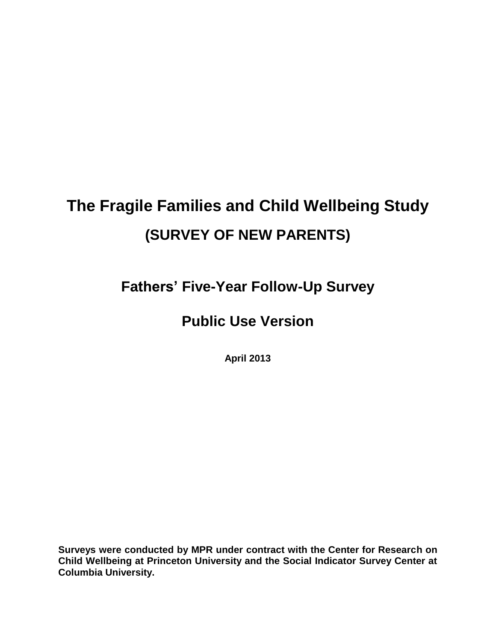# **The Fragile Families and Child Wellbeing Study (SURVEY OF NEW PARENTS)**

**Fathers' Five-Year Follow-Up Survey**

## **Public Use Version**

**April 2013**

**Surveys were conducted by MPR under contract with the Center for Research on Child Wellbeing at Princeton University and the Social Indicator Survey Center at Columbia University.**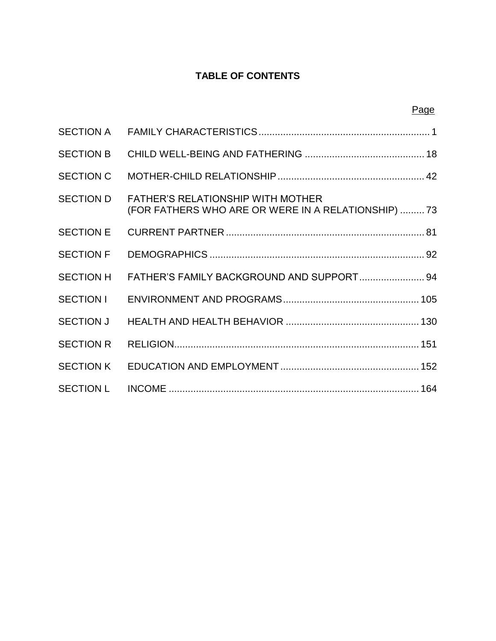#### **TABLE OF CONTENTS**

Page

| <b>SECTION A</b> |                                                                                                 |
|------------------|-------------------------------------------------------------------------------------------------|
| <b>SECTION B</b> |                                                                                                 |
| <b>SECTION C</b> |                                                                                                 |
| <b>SECTION D</b> | <b>FATHER'S RELATIONSHIP WITH MOTHER</b><br>(FOR FATHERS WHO ARE OR WERE IN A RELATIONSHIP)  73 |
| <b>SECTION E</b> |                                                                                                 |
| <b>SECTION F</b> |                                                                                                 |
| <b>SECTION H</b> | FATHER'S FAMILY BACKGROUND AND SUPPORT 94                                                       |
| SECTION I        |                                                                                                 |
|                  |                                                                                                 |
| <b>SECTION R</b> |                                                                                                 |
| <b>SECTION K</b> |                                                                                                 |
| <b>SECTION L</b> |                                                                                                 |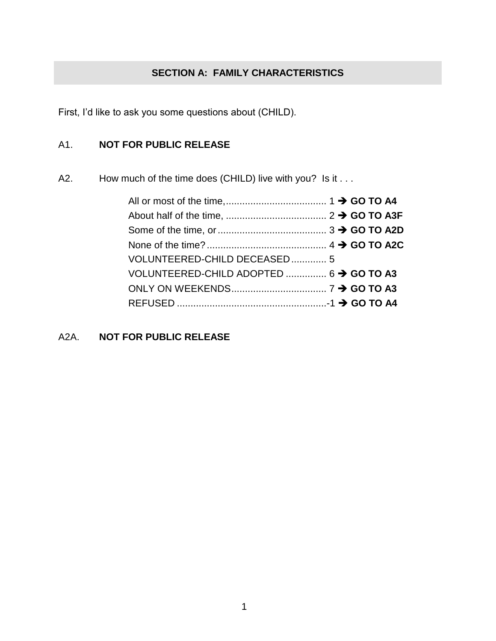#### **SECTION A: FAMILY CHARACTERISTICS**

First, I'd like to ask you some questions about (CHILD).

#### A1. **NOT FOR PUBLIC RELEASE**

A2. How much of the time does (CHILD) live with you? Is it . . .

| VOLUNTEERED-CHILD DECEASED 5            |  |  |
|-----------------------------------------|--|--|
| VOLUNTEERED-CHILD ADOPTED  6 → GO TO A3 |  |  |
|                                         |  |  |
|                                         |  |  |

A2A. **NOT FOR PUBLIC RELEASE**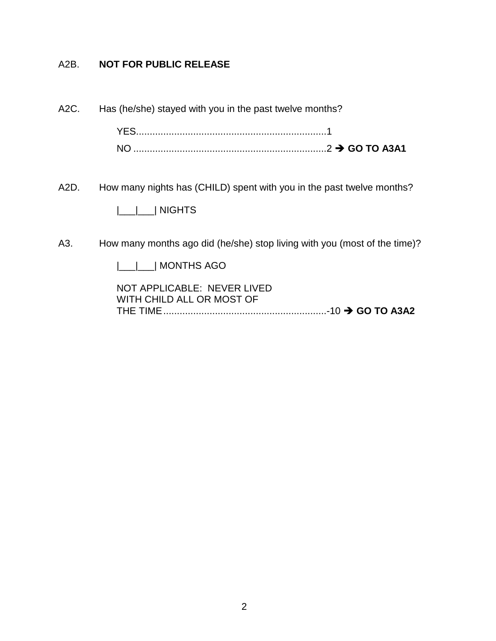#### A2B. **NOT FOR PUBLIC RELEASE**

A2C. Has (he/she) stayed with you in the past twelve months?

YES......................................................................1 NO .......................................................................2 **GO TO A3A1**

A2D. How many nights has (CHILD) spent with you in the past twelve months?

|\_\_\_|\_\_\_| NIGHTS

A3. How many months ago did (he/she) stop living with you (most of the time)?

|\_\_\_|\_\_\_| MONTHS AGO

NOT APPLICABLE: NEVER LIVED WITH CHILD ALL OR MOST OF THE TIME............................................................-10 **GO TO A3A2**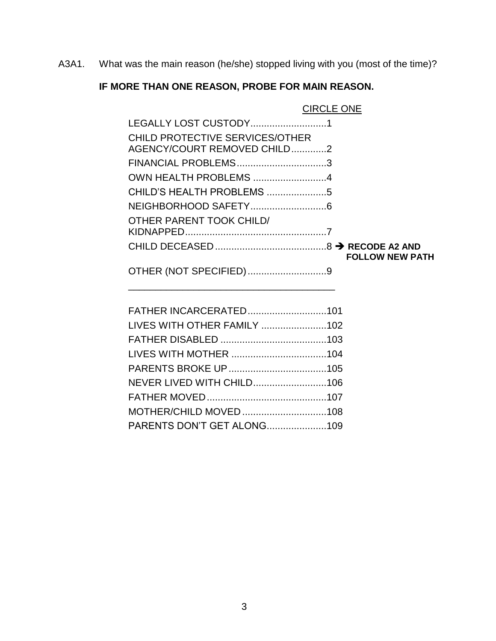A3A1. What was the main reason (he/she) stopped living with you (most of the time)?

## **IF MORE THAN ONE REASON, PROBE FOR MAIN REASON.**

|                                        | <b>CIRCLE ONE</b>      |  |
|----------------------------------------|------------------------|--|
| LEGALLY LOST CUSTODY1                  |                        |  |
| <b>CHILD PROTECTIVE SERVICES/OTHER</b> |                        |  |
| AGENCY/COURT REMOVED CHILD2            |                        |  |
| FINANCIAL PROBLEMS3                    |                        |  |
| OWN HEALTH PROBLEMS 4                  |                        |  |
| CHILD'S HEALTH PROBLEMS 5              |                        |  |
|                                        |                        |  |
| OTHER PARENT TOOK CHILD/               |                        |  |
|                                        |                        |  |
|                                        |                        |  |
|                                        | <b>FOLLOW NEW PATH</b> |  |
|                                        |                        |  |
| OTHER (NOT SPECIFIED)9                 |                        |  |
|                                        |                        |  |
|                                        |                        |  |
|                                        |                        |  |
|                                        |                        |  |
|                                        |                        |  |
|                                        |                        |  |
|                                        |                        |  |
| <b>NEVER LIVED WITH CHILD106</b>       |                        |  |
|                                        |                        |  |
| MOTHER/CHILD MOVED108                  |                        |  |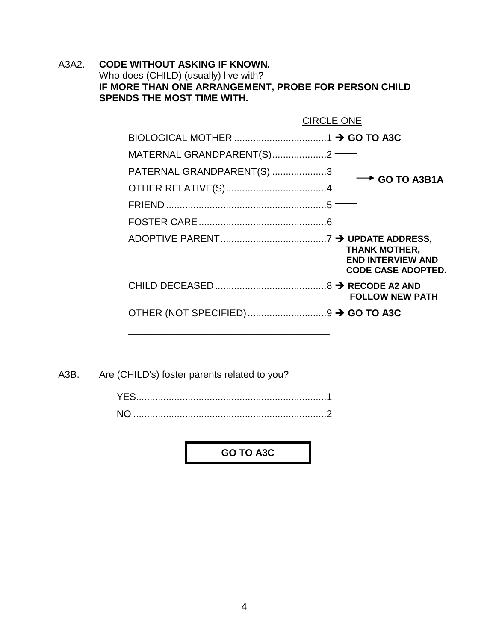A3A2. **CODE WITHOUT ASKING IF KNOWN.** Who does (CHILD) (usually) live with? **IF MORE THAN ONE ARRANGEMENT, PROBE FOR PERSON CHILD SPENDS THE MOST TIME WITH.**

|                            | <b>CIRCLE ONE</b>    |                                                       |
|----------------------------|----------------------|-------------------------------------------------------|
|                            |                      |                                                       |
| MATERNAL GRANDPARENT(S)2 – |                      |                                                       |
| PATERNAL GRANDPARENT(S) 3  |                      | $\overline{ }$ GO TO A3B1A                            |
|                            |                      |                                                       |
|                            |                      |                                                       |
|                            |                      |                                                       |
|                            | <b>THANK MOTHER,</b> | <b>END INTERVIEW AND</b><br><b>CODE CASE ADOPTED.</b> |
|                            |                      | <b>FOLLOW NEW PATH</b>                                |
|                            |                      |                                                       |

A3B. Are (CHILD's) foster parents related to you?

| NO. |  |
|-----|--|

**GO TO A3C**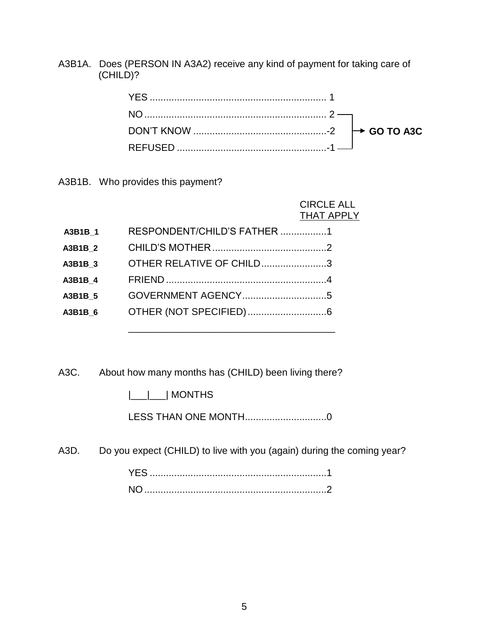A3B1A. Does (PERSON IN A3A2) receive any kind of payment for taking care of (CHILD)?

A3B1B. Who provides this payment?

 CIRCLE ALL THAT APPLY

| A3B1B 1 | RESPONDENT/CHILD'S FATHER 1 |  |
|---------|-----------------------------|--|
| A3B1B 2 |                             |  |
| A3B1B 3 | OTHER RELATIVE OF CHILD3    |  |
| A3B1B 4 |                             |  |
| A3B1B 5 |                             |  |
| A3B1B 6 |                             |  |
|         |                             |  |

A3C. About how many months has (CHILD) been living there?

|\_\_\_|\_\_\_| MONTHS

LESS THAN ONE MONTH..............................0

A3D. Do you expect (CHILD) to live with you (again) during the coming year?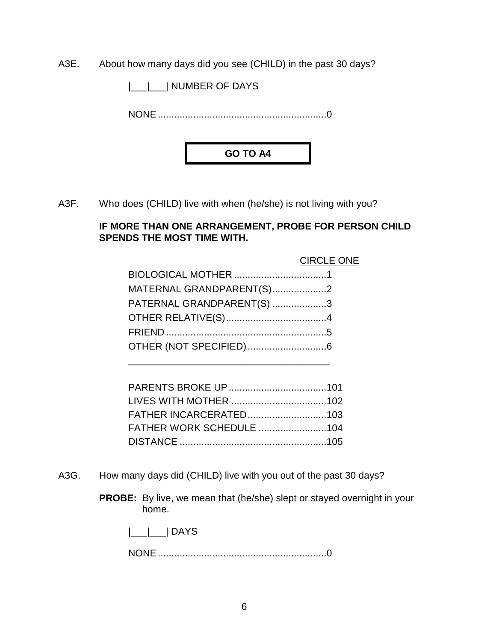A3E. About how many days did you see (CHILD) in the past 30 days?

|\_\_\_|\_\_\_| NUMBER OF DAYS

NONE..............................................................0



A3F. Who does (CHILD) live with when (he/she) is not living with you?

#### **IF MORE THAN ONE ARRANGEMENT, PROBE FOR PERSON CHILD SPENDS THE MOST TIME WITH.**

|                           | <b>CIRCLE ONE</b> |
|---------------------------|-------------------|
|                           |                   |
| MATERNAL GRANDPARENT(S)2  |                   |
| PATERNAL GRANDPARENT(S) 3 |                   |
|                           |                   |
|                           |                   |
|                           |                   |
|                           |                   |

| <b>FATHER WORK SCHEDULE 104</b> |  |
|---------------------------------|--|
|                                 |  |

- A3G. How many days did (CHILD) live with you out of the past 30 days?
	- **PROBE:** By live, we mean that (he/she) slept or stayed overnight in your home.

|\_\_\_|\_\_\_| DAYS

NONE..............................................................0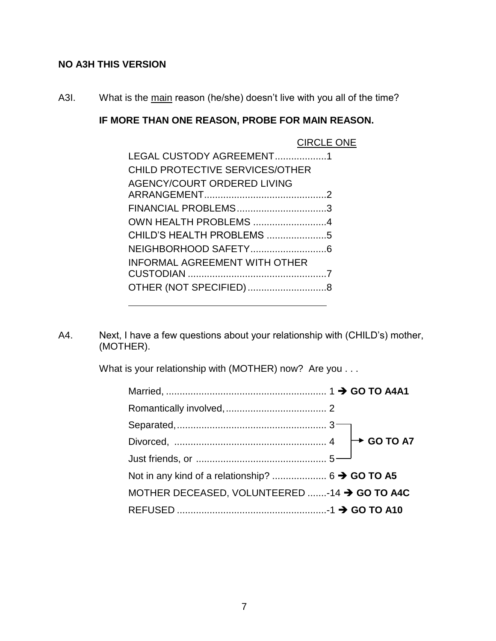#### **NO A3H THIS VERSION**

A3I. What is the main reason (he/she) doesn't live with you all of the time?

#### **IF MORE THAN ONE REASON, PROBE FOR MAIN REASON.**

|                                      | <b>CIRCLE ONE</b> |
|--------------------------------------|-------------------|
| LEGAL CUSTODY AGREEMENT1             |                   |
| CHILD PROTECTIVE SERVICES/OTHER      |                   |
| AGENCY/COURT ORDERED LIVING          |                   |
|                                      |                   |
| FINANCIAL PROBLEMS3                  |                   |
| OWN HEALTH PROBLEMS 4                |                   |
| CHILD'S HEALTH PROBLEMS 5            |                   |
|                                      |                   |
| <b>INFORMAL AGREEMENT WITH OTHER</b> |                   |
|                                      |                   |
|                                      |                   |
|                                      |                   |

A4. Next, I have a few questions about your relationship with (CHILD's) mother, (MOTHER).

What is your relationship with (MOTHER) now? Are you . . .

| MOTHER DECEASED, VOLUNTEERED -14 > GO TO A4C |  |
|----------------------------------------------|--|
|                                              |  |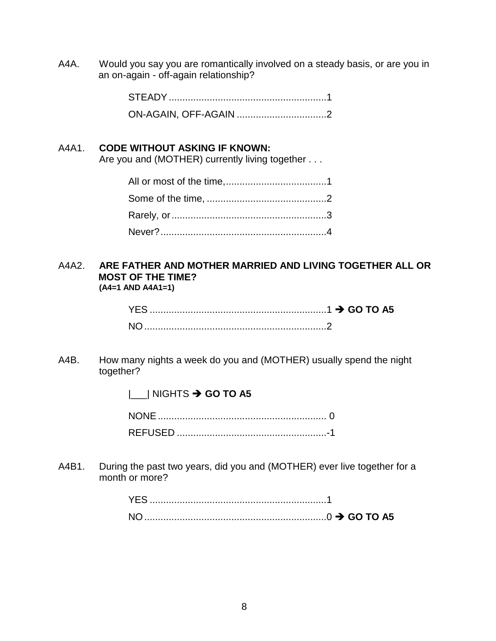A4A. Would you say you are romantically involved on a steady basis, or are you in an on-again - off-again relationship?

#### A4A1. **CODE WITHOUT ASKING IF KNOWN:**

Are you and (MOTHER) currently living together . . .

#### A4A2. **ARE FATHER AND MOTHER MARRIED AND LIVING TOGETHER ALL OR MOST OF THE TIME? (A4=1 AND A4A1=1)**

A4B. How many nights a week do you and (MOTHER) usually spend the night together?

**|** NIGHTS → GO TO A5

A4B1. During the past two years, did you and (MOTHER) ever live together for a month or more?

| $\ldots$ GO TO A5 |  |
|-------------------|--|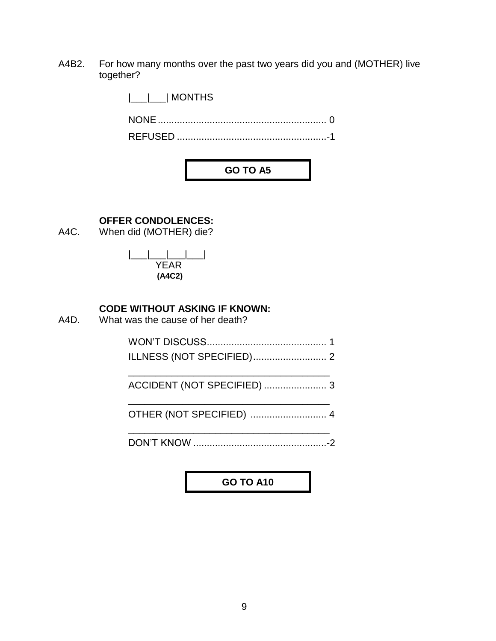A4B2. For how many months over the past two years did you and (MOTHER) live together?

> |\_\_\_|\_\_\_| MONTHS NONE.............................................................. 0 REFUSED .......................................................-1

> > **GO TO A5**

#### **OFFER CONDOLENCES:**

A4C. When did (MOTHER) die?

|\_\_\_|\_\_\_|\_\_\_|\_\_\_| YEAR **(A4C2)**

#### **CODE WITHOUT ASKING IF KNOWN:**

A4D. What was the cause of her death?

WON'T DISCUSS............................................ 1 ILLNESS (NOT SPECIFIED)........................... 2

\_\_\_\_\_\_\_\_\_\_\_\_\_\_\_\_\_\_\_\_\_\_\_\_\_\_\_\_\_\_\_\_\_\_\_\_\_ ACCIDENT (NOT SPECIFIED) ....................... 3 \_\_\_\_\_\_\_\_\_\_\_\_\_\_\_\_\_\_\_\_\_\_\_\_\_\_\_\_\_\_\_\_\_\_\_\_\_

OTHER (NOT SPECIFIED) ............................ 4

\_\_\_\_\_\_\_\_\_\_\_\_\_\_\_\_\_\_\_\_\_\_\_\_\_\_\_\_\_\_\_\_\_\_\_\_\_ DON'T KNOW .................................................-2

**GO TO A10**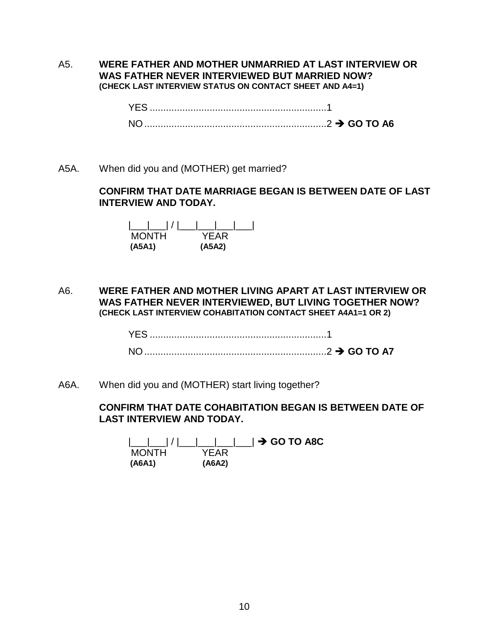#### A5. **WERE FATHER AND MOTHER UNMARRIED AT LAST INTERVIEW OR WAS FATHER NEVER INTERVIEWED BUT MARRIED NOW? (CHECK LAST INTERVIEW STATUS ON CONTACT SHEET AND A4=1)**

YES .................................................................1 NO...................................................................2 **GO TO A6**

A5A. When did you and (MOTHER) get married?

#### **CONFIRM THAT DATE MARRIAGE BEGAN IS BETWEEN DATE OF LAST INTERVIEW AND TODAY.**

| <b>MONTH</b> | YFAR   |
|--------------|--------|
| (A5A1)       | (A5A2) |

A6. **WERE FATHER AND MOTHER LIVING APART AT LAST INTERVIEW OR WAS FATHER NEVER INTERVIEWED, BUT LIVING TOGETHER NOW? (CHECK LAST INTERVIEW COHABITATION CONTACT SHEET A4A1=1 OR 2)**

> YES .................................................................1 NO...................................................................2 **GO TO A7**

A6A. When did you and (MOTHER) start living together?

#### **CONFIRM THAT DATE COHABITATION BEGAN IS BETWEEN DATE OF LAST INTERVIEW AND TODAY.**

\_|\_\_\_| / |\_\_\_|\_\_\_|\_\_\_|\_\_\_| **→ GO TO A8C**<br>ONTH YFAR **MONTH (A6A1) (A6A2)**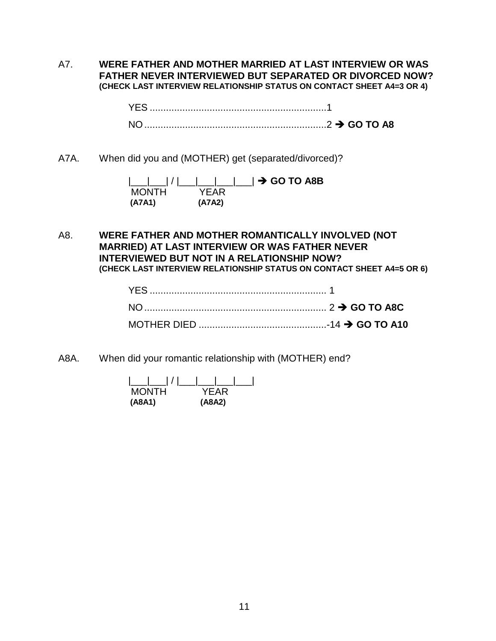A7. **WERE FATHER AND MOTHER MARRIED AT LAST INTERVIEW OR WAS FATHER NEVER INTERVIEWED BUT SEPARATED OR DIVORCED NOW? (CHECK LAST INTERVIEW RELATIONSHIP STATUS ON CONTACT SHEET A4=3 OR 4)**

> YES .................................................................1 NO...................................................................2 **GO TO A8**

A7A. When did you and (MOTHER) get (separated/divorced)?

|              |        | /          <b>→ GO TO A8B</b> |
|--------------|--------|-------------------------------|
| <b>MONTH</b> | YFAR   |                               |
| (A7A1)       | (A7A2) |                               |

A8. **WERE FATHER AND MOTHER ROMANTICALLY INVOLVED (NOT MARRIED) AT LAST INTERVIEW OR WAS FATHER NEVER INTERVIEWED BUT NOT IN A RELATIONSHIP NOW? (CHECK LAST INTERVIEW RELATIONSHIP STATUS ON CONTACT SHEET A4=5 OR 6)**

A8A. When did your romantic relationship with (MOTHER) end?

| <b>MONTH</b> | YFAR   |
|--------------|--------|
| (A8A1)       | (A8A2) |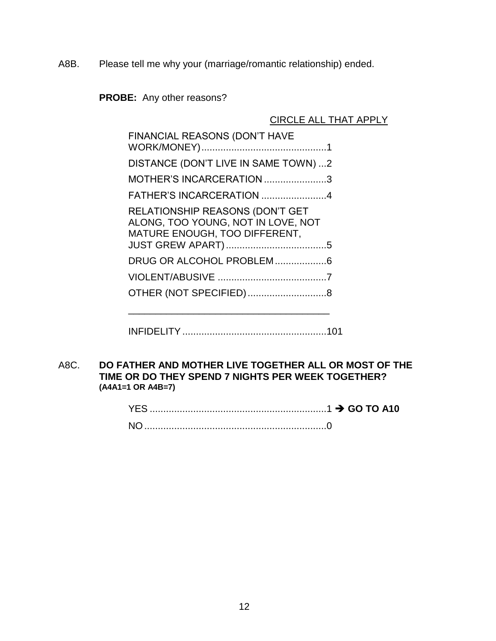A8B. Please tell me why your (marriage/romantic relationship) ended.

**PROBE:** Any other reasons?

CIRCLE ALL THAT APPLY

| FINANCIAL REASONS (DON'T HAVE                                                                                 |
|---------------------------------------------------------------------------------------------------------------|
| DISTANCE (DON'T LIVE IN SAME TOWN) 2                                                                          |
| MOTHER'S INCARCERATION 3                                                                                      |
| FATHER'S INCARCERATION 4                                                                                      |
| <b>RELATIONSHIP REASONS (DON'T GET</b><br>ALONG, TOO YOUNG, NOT IN LOVE, NOT<br>MATURE ENOUGH, TOO DIFFERENT, |
|                                                                                                               |
|                                                                                                               |
|                                                                                                               |

- INFIDELITY.....................................................101
- A8C. **DO FATHER AND MOTHER LIVE TOGETHER ALL OR MOST OF THE TIME OR DO THEY SPEND 7 NIGHTS PER WEEK TOGETHER? (A4A1=1 OR A4B=7)**

| NO. |  |
|-----|--|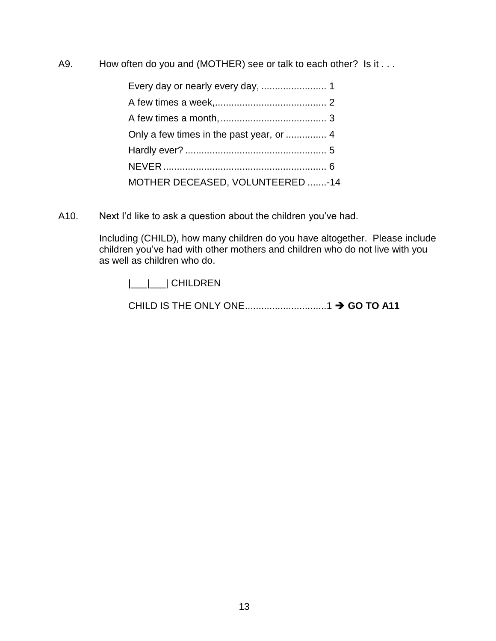A9. How often do you and (MOTHER) see or talk to each other? Is it . . .

| MOTHER DECEASED, VOLUNTEERED -14 |  |
|----------------------------------|--|

A10. Next I'd like to ask a question about the children you've had.

Including (CHILD), how many children do you have altogether. Please include children you've had with other mothers and children who do not live with you as well as children who do.

|\_\_\_|\_\_\_| CHILDREN

CHILD IS THE ONLY ONE..............................1 **GO TO A11**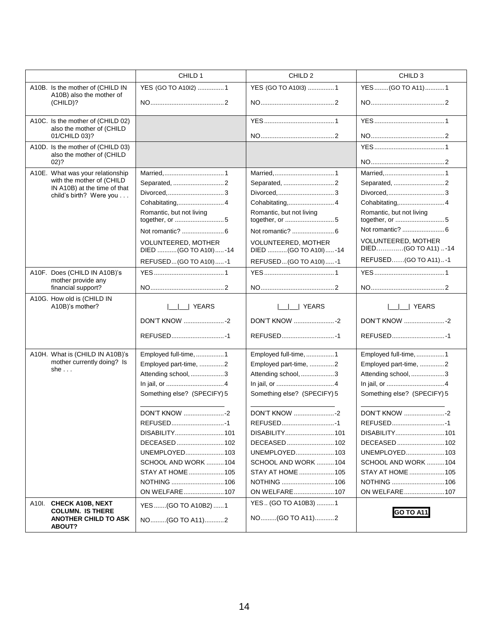|                                                                                  | CHILD 1                                      | CHILD <sub>2</sub>                           | CHILD <sub>3</sub>                         |
|----------------------------------------------------------------------------------|----------------------------------------------|----------------------------------------------|--------------------------------------------|
| A10B. Is the mother of (CHILD IN                                                 | YES (GO TO A10l2) 1                          | YES (GO TO A1013) 1                          | YES (GO TO A11) 1                          |
| A10B) also the mother of<br>(CHILD)?                                             |                                              |                                              |                                            |
| A10C. Is the mother of (CHILD 02)                                                |                                              |                                              |                                            |
| also the mother of (CHILD<br>01/CHILD 03)?                                       |                                              |                                              |                                            |
| A10D. Is the mother of (CHILD 03)                                                |                                              |                                              |                                            |
| also the mother of (CHILD<br>$02)$ ?                                             |                                              |                                              |                                            |
| A10E. What was your relationship                                                 |                                              |                                              |                                            |
| with the mother of (CHILD<br>IN A10B) at the time of that                        | Separated, 2                                 | Separated, 2                                 | Separated, 2                               |
| child's birth? Were you                                                          |                                              |                                              |                                            |
|                                                                                  | Cohabitating,4                               | Cohabitating,4                               | Cohabitating,4                             |
|                                                                                  | Romantic, but not living                     | Romantic, but not living                     | Romantic, but not living                   |
|                                                                                  |                                              |                                              |                                            |
|                                                                                  | VOLUNTEERED, MOTHER<br>DIED (GO TO A10I) -14 | VOLUNTEERED, MOTHER<br>DIED (GO TO A10I) -14 | VOLUNTEERED, MOTHER<br>DIED(GO TO A11) -14 |
|                                                                                  | REFUSED (GO TO A10I)-1                       | REFUSED (GO TO A10I)-1                       | REFUSED(GO TO A11)-1                       |
| A10F. Does (CHILD IN A10B)'s<br>mother provide any                               |                                              |                                              |                                            |
| financial support?                                                               |                                              |                                              |                                            |
| A10G. How old is (CHILD IN<br>A10B)'s mother?                                    | I I YEARS                                    | YEARS                                        | ∣ YEARS                                    |
|                                                                                  | <b>DON'T KNOW </b> -2                        | <b>DON'T KNOW </b> -2                        |                                            |
|                                                                                  | REFUSED1                                     |                                              |                                            |
| A10H. What is (CHILD IN A10B)'s                                                  | Employed full-time, 1                        | Employed full-time, 1                        | Employed full-time, 1                      |
| mother currently doing? Is<br>she $\ldots$                                       | Employed part-time, 2                        | Employed part-time, 2                        | Employed part-time, 2                      |
|                                                                                  | Attending school, 3                          | Attending school, 3                          | Attending school, 3                        |
|                                                                                  |                                              |                                              |                                            |
|                                                                                  | Something else? (SPECIFY) 5                  | Something else? (SPECIFY) 5                  | Something else? (SPECIFY) 5                |
|                                                                                  | DON'T KNOW 2                                 | DON'T KNOW 2                                 |                                            |
|                                                                                  | REFUSED1                                     | REFUSED1                                     | REFUSED1                                   |
|                                                                                  | DISABILITY101                                | DISABILITY101                                | DISABILITY101                              |
|                                                                                  | DECEASED102                                  |                                              |                                            |
|                                                                                  | UNEMPLOYED103                                | UNEMPLOYED103                                | UNEMPLOYED103                              |
|                                                                                  | SCHOOL AND WORK 104                          | SCHOOL AND WORK 104                          | SCHOOL AND WORK 104                        |
|                                                                                  | STAY AT HOME  105                            | STAY AT HOME 105                             | STAY AT HOME 105                           |
|                                                                                  | NOTHING  106                                 | NOTHING 106                                  | NOTHING 106                                |
|                                                                                  | ON WELFARE107                                | ON WELFARE107                                | ON WELFARE107                              |
| A10I. CHECK A10B, NEXT<br><b>COLUMN. IS THERE</b><br><b>ANOTHER CHILD TO ASK</b> | YES(GO TO A10B2)1                            | YES (GO TO A10B3) 1                          | <b>GO TO A11</b>                           |
|                                                                                  | NO(GO TO A11)2                               | NO(GO TO A11)2                               |                                            |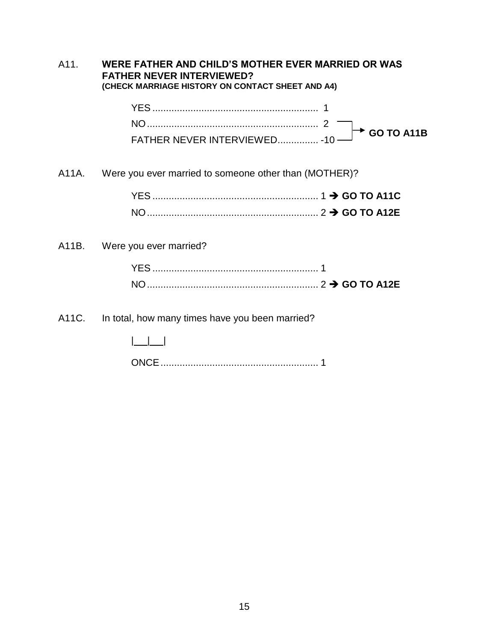| A11.  | WERE FATHER AND CHILD'S MOTHER EVER MARRIED OR WAS<br><b>FATHER NEVER INTERVIEWED?</b><br>(CHECK MARRIAGE HISTORY ON CONTACT SHEET AND A4) |                          |
|-------|--------------------------------------------------------------------------------------------------------------------------------------------|--------------------------|
|       | FATHER NEVER INTERVIEWED - 10 -                                                                                                            | $\rightarrow$ GO TO A11B |
| A11A. | Were you ever married to someone other than (MOTHER)?                                                                                      |                          |
|       |                                                                                                                                            |                          |
|       | A11B. Were you ever married?                                                                                                               |                          |
|       |                                                                                                                                            |                          |
|       |                                                                                                                                            |                          |
| A11C. | In total, how many times have you been married?                                                                                            |                          |
|       |                                                                                                                                            |                          |
|       |                                                                                                                                            |                          |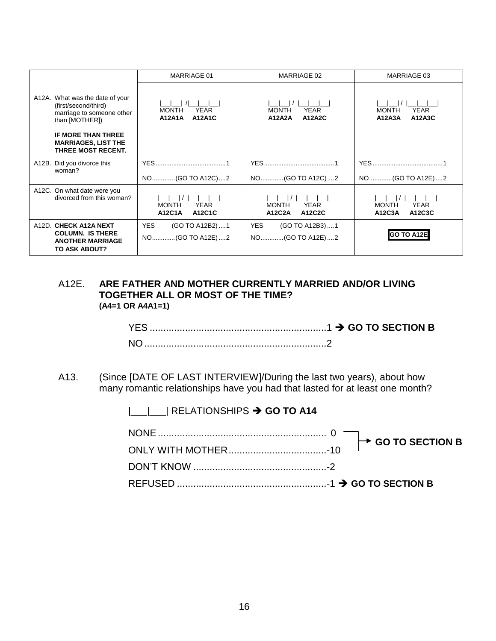|                                                                                                        | MARRIAGE 01                                                   | MARRIAGE 02                                            | MARRIAGE 03                                     |
|--------------------------------------------------------------------------------------------------------|---------------------------------------------------------------|--------------------------------------------------------|-------------------------------------------------|
| A12A. What was the date of your<br>(first/second/third)<br>marriage to someone other<br>than [MOTHER]) | <b>YEAR</b><br><b>MONTH</b><br><b>A12A1A</b><br><b>A12A1C</b> | <b>MONTH</b><br><b>YEAR</b><br>A12A2A<br><b>A12A2C</b> | <b>MONTH</b><br><b>YEAR</b><br>A12A3C<br>A12A3A |
| <b>IF MORE THAN THREE</b><br><b>MARRIAGES, LIST THE</b><br><b>THREE MOST RECENT.</b>                   |                                                               |                                                        |                                                 |
| A12B. Did you divorce this<br>woman?                                                                   |                                                               |                                                        |                                                 |
|                                                                                                        | NO(GO TO A12C)2                                               | NO(GO TO A12C)2                                        | NO(GO TO A12E)2                                 |
| A12C. On what date were you<br>divorced from this woman?                                               | <b>MONTH</b><br><b>YEAR</b><br>A12C1A<br>A12C1C               | <b>YEAR</b><br><b>MONTH</b><br>A12C2A<br>A12C2C        | <b>MONTH</b><br><b>YEAR</b><br>A12C3A<br>A12C3C |
| A12D. CHECK A12A NEXT                                                                                  | <b>YES</b><br>(GO TO A12B2) 1                                 | <b>YES</b><br>(GO TO A12B3)1                           |                                                 |
| <b>COLUMN. IS THERE</b><br><b>ANOTHER MARRIAGE</b><br>TO ASK ABOUT?                                    | NO(GO TO A12E)2                                               | NO(GO TO A12E)2                                        | <b>GO TO A12E</b>                               |

#### A12E. **ARE FATHER AND MOTHER CURRENTLY MARRIED AND/OR LIVING TOGETHER ALL OR MOST OF THE TIME? (A4=1 OR A4A1=1)**

A13. (Since [DATE OF LAST INTERVIEW]/During the last two years), about how many romantic relationships have you had that lasted for at least one month?

|\_\_\_|\_\_\_| RELATIONSHIPS  $\rightarrow$  **GO TO A14**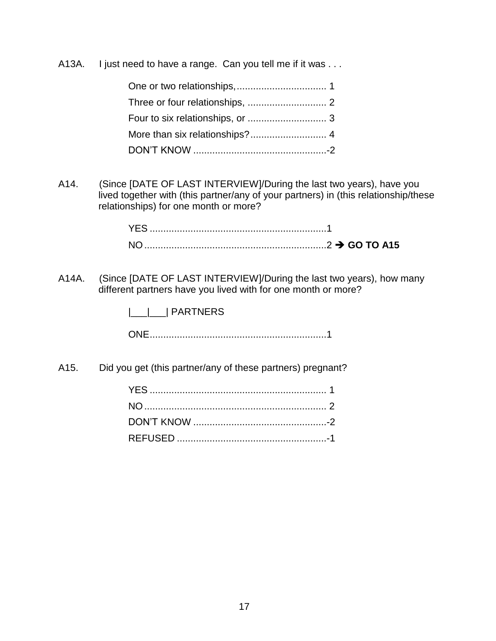A13A. I just need to have a range. Can you tell me if it was ...

A14. (Since [DATE OF LAST INTERVIEW]/During the last two years), have you lived together with (this partner/any of your partners) in (this relationship/these relationships) for one month or more?

| N <sub>O</sub> |  |
|----------------|--|

A14A. (Since [DATE OF LAST INTERVIEW]/During the last two years), how many different partners have you lived with for one month or more?

|\_\_\_|\_\_\_| PARTNERS

ONE.................................................................1

A15. Did you get (this partner/any of these partners) pregnant?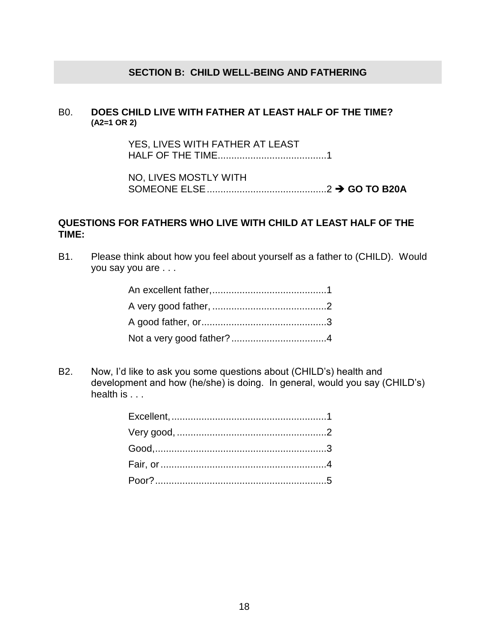#### **SECTION B: CHILD WELL-BEING AND FATHERING**

#### B0. **DOES CHILD LIVE WITH FATHER AT LEAST HALF OF THE TIME? (A2=1 OR 2)**

YES, LIVES WITH FATHER AT LEAST HALF OF THE TIME........................................1

NO, LIVES MOSTLY WITH SOMEONE ELSE............................................2 **GO TO B20A**

#### **QUESTIONS FOR FATHERS WHO LIVE WITH CHILD AT LEAST HALF OF THE TIME:**

B1. Please think about how you feel about yourself as a father to (CHILD). Would you say you are . . .

B2. Now, I'd like to ask you some questions about (CHILD's) health and development and how (he/she) is doing. In general, would you say (CHILD's) health is . . .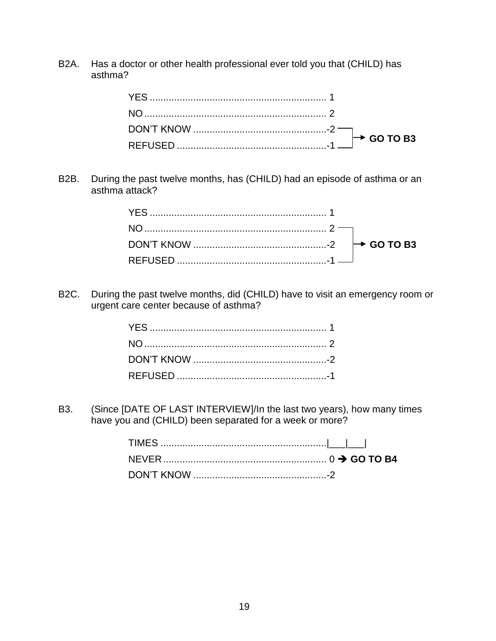B2A. Has a doctor or other health professional ever told you that (CHILD) has asthma?

B2B. During the past twelve months, has (CHILD) had an episode of asthma or an asthma attack?

B2C. During the past twelve months, did (CHILD) have to visit an emergency room or urgent care center because of asthma?

B3. (Since [DATE OF LAST INTERVIEW]/In the last two years), how many times have you and (CHILD) been separated for a week or more?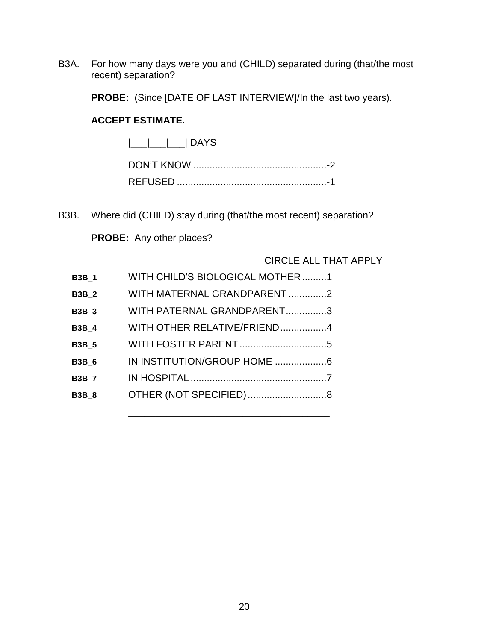B3A. For how many days were you and (CHILD) separated during (that/the most recent) separation?

**PROBE:** (Since [DATE OF LAST INTERVIEW]/In the last two years).

#### **ACCEPT ESTIMATE.**

|\_\_\_|\_\_\_|\_\_\_| DAYS

B3B. Where did (CHILD) stay during (that/the most recent) separation?

**PROBE:** Any other places?

#### CIRCLE ALL THAT APPLY

| <b>B3B 1</b> | WITH CHILD'S BIOLOGICAL MOTHER1 |
|--------------|---------------------------------|
| <b>B3B 2</b> | WITH MATERNAL GRANDPARENT 2     |
| <b>B3B 3</b> | WITH PATERNAL GRANDPARENT3      |
| <b>B3B 4</b> | WITH OTHER RELATIVE/FRIEND4     |
| <b>B3B 5</b> |                                 |
| <b>B3B 6</b> |                                 |
| <b>B3B7</b>  |                                 |
| <b>B3B 8</b> |                                 |

\_\_\_\_\_\_\_\_\_\_\_\_\_\_\_\_\_\_\_\_\_\_\_\_\_\_\_\_\_\_\_\_\_\_\_\_\_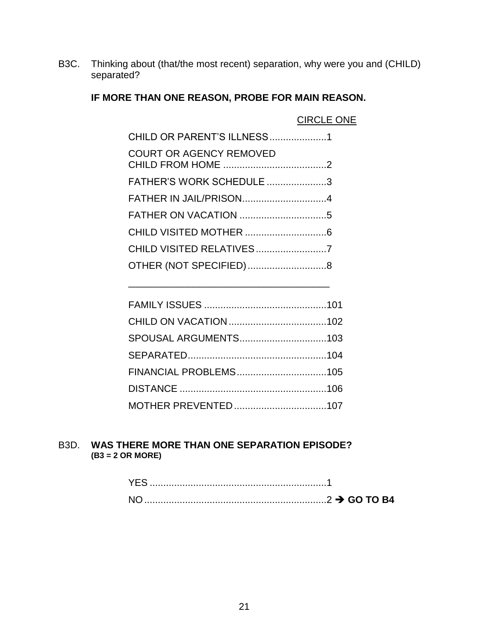B3C. Thinking about (that/the most recent) separation, why were you and (CHILD) separated?

## **IF MORE THAN ONE REASON, PROBE FOR MAIN REASON.**

| CHILD OR PARENT'S ILLNESS1     |  |
|--------------------------------|--|
| <b>COURT OR AGENCY REMOVED</b> |  |
| FATHER'S WORK SCHEDULE 3       |  |
| FATHER IN JAIL/PRISON4         |  |
|                                |  |
|                                |  |
| CHILD VISITED RELATIVES7       |  |
| OTHER (NOT SPECIFIED)8         |  |

\_\_\_\_\_\_\_\_\_\_\_\_\_\_\_\_\_\_\_\_\_\_\_\_\_\_\_\_\_\_\_\_\_\_\_\_\_

#### B3D. **WAS THERE MORE THAN ONE SEPARATION EPISODE? (B3 = 2 OR MORE)**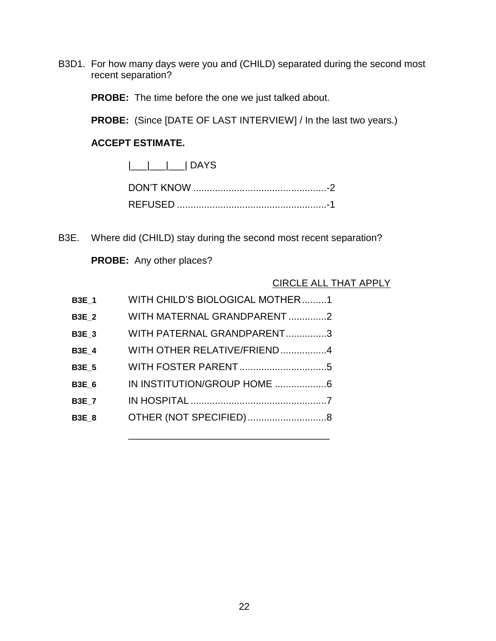B3D1. For how many days were you and (CHILD) separated during the second most recent separation?

**PROBE:** The time before the one we just talked about.

**PROBE:** (Since [DATE OF LAST INTERVIEW] / In the last two years.)

#### **ACCEPT ESTIMATE.**

 $|\_\_|$  DAYS

B3E. Where did (CHILD) stay during the second most recent separation?

**PROBE:** Any other places?

#### CIRCLE ALL THAT APPLY

| <b>B3E 1</b> | WITH CHILD'S BIOLOGICAL MOTHER1 |
|--------------|---------------------------------|
| <b>B3E 2</b> | WITH MATERNAL GRANDPARENT 2     |
| <b>B3E 3</b> | WITH PATERNAL GRANDPARENT3      |
| <b>B3E 4</b> | WITH OTHER RELATIVE/FRIEND4     |
| <b>B3E 5</b> |                                 |
| <b>B3E 6</b> | IN INSTITUTION/GROUP HOME 6     |
| <b>B3E 7</b> |                                 |
| <b>B3E 8</b> | OTHER (NOT SPECIFIED)8          |
|              |                                 |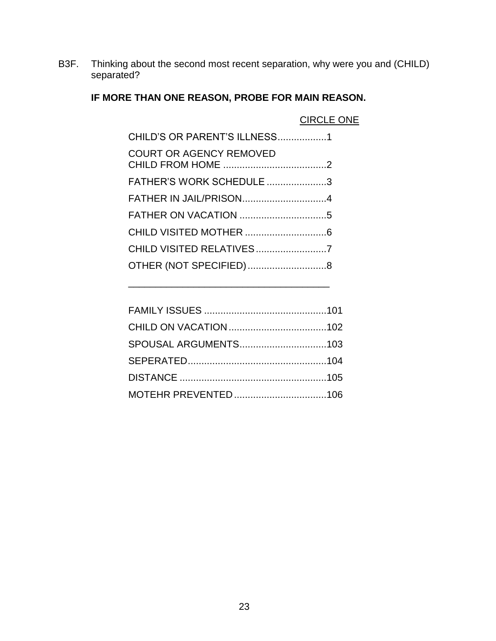B3F. Thinking about the second most recent separation, why were you and (CHILD) separated?

#### **IF MORE THAN ONE REASON, PROBE FOR MAIN REASON.**

|                                | <b>CIRCLE ONE</b> |
|--------------------------------|-------------------|
| CHILD'S OR PARENT'S ILLNESS1   |                   |
| <b>COURT OR AGENCY REMOVED</b> |                   |
| FATHER'S WORK SCHEDULE 3       |                   |
| FATHER IN JAIL/PRISON4         |                   |
|                                |                   |
|                                |                   |
| CHILD VISITED RELATIVES7       |                   |
| OTHER (NOT SPECIFIED)8         |                   |
|                                |                   |

\_\_\_\_\_\_\_\_\_\_\_\_\_\_\_\_\_\_\_\_\_\_\_\_\_\_\_\_\_\_\_\_\_\_\_\_\_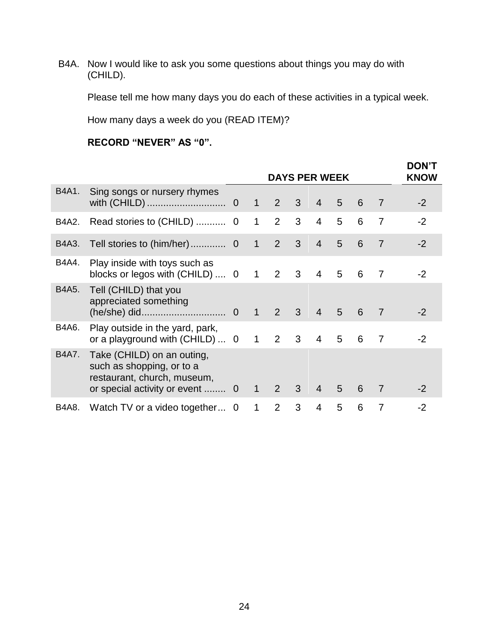B4A. Now I would like to ask you some questions about things you may do with (CHILD).

Please tell me how many days you do each of these activities in a typical week.

How many days a week do you (READ ITEM)?

#### **RECORD "NEVER" AS "0".**

|       |                                                                                                                        |             |              |                | <b>DAYS PER WEEK</b> |                |                |   |                | <b>DON'T</b><br><b>KNOW</b> |
|-------|------------------------------------------------------------------------------------------------------------------------|-------------|--------------|----------------|----------------------|----------------|----------------|---|----------------|-----------------------------|
| B4A1. | Sing songs or nursery rhymes                                                                                           |             | $\mathbf{1}$ | $\overline{2}$ | $\mathbf{3}$         | $\overline{4}$ | 5              | 6 | 7              | $-2$                        |
| B4A2. |                                                                                                                        |             | $\mathbf{1}$ | $\overline{2}$ | 3                    | $\overline{4}$ | 5              | 6 | $\overline{7}$ | $-2$                        |
| B4A3. | Tell stories to (him/her)                                                                                              | $\mathbf 0$ | $\mathbf{1}$ | $\overline{2}$ | 3                    | $\overline{4}$ | 5              | 6 | $\overline{7}$ | $-2$                        |
| B4A4. | Play inside with toys such as<br>blocks or legos with (CHILD)  0                                                       |             | $\mathbf{1}$ | $2 \quad 3$    |                      | $\overline{4}$ | 5              | 6 | 7              | $-2$                        |
| B4A5. | Tell (CHILD) that you<br>appreciated something                                                                         |             | $\mathbf{1}$ | 2              | $\mathbf{3}$         | $\overline{4}$ | $\overline{5}$ | 6 | $\overline{7}$ | -2                          |
| B4A6. | Play outside in the yard, park,<br>or a playground with $(CHILD) \dots 0 1$                                            |             |              | 2              | 3                    | $\overline{4}$ | 5              | 6 | 7              | $-2$                        |
| B4A7. | Take (CHILD) on an outing,<br>such as shopping, or to a<br>restaurant, church, museum,<br>or special activity or event | $\mathbf 0$ | $\mathbf{1}$ | $\overline{2}$ | 3                    | $\overline{4}$ | 5              | 6 | 7              | -2                          |
| B4A8. | Watch TV or a video together 0                                                                                         |             | 1            | $\overline{2}$ | 3                    | 4              | 5              | 6 | 7              | -2                          |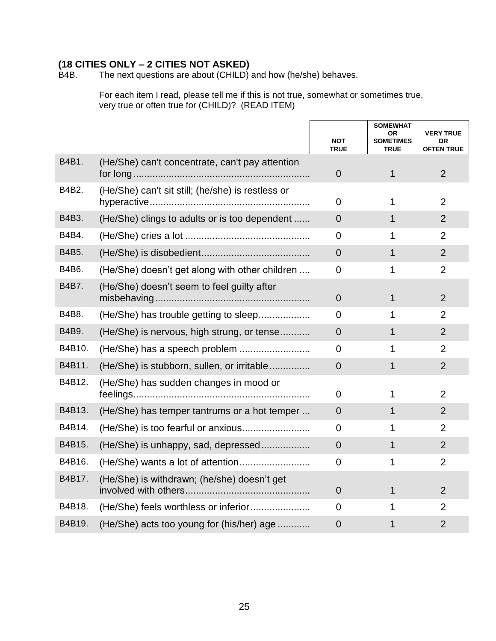## **(18 CITIES ONLY – 2 CITIES NOT ASKED)**

The next questions are about  $(CHILD)$  and how (he/she) behaves.

For each item I read, please tell me if this is not true, somewhat or sometimes true, very true or often true for (CHILD)? (READ ITEM)

|        |                                                   | <b>NOT</b><br><b>TRUE</b> | <b>SOMEWHAT</b><br>OR<br><b>SOMETIMES</b><br><b>TRUE</b> | <b>VERY TRUE</b><br><b>OR</b><br><b>OFTEN TRUE</b> |
|--------|---------------------------------------------------|---------------------------|----------------------------------------------------------|----------------------------------------------------|
| B4B1.  | (He/She) can't concentrate, can't pay attention   | $\mathbf 0$               | $\mathbf{1}$                                             | $\overline{2}$                                     |
| B4B2.  | (He/She) can't sit still; (he/she) is restless or | $\overline{0}$            | 1                                                        | $\overline{2}$                                     |
| B4B3.  | (He/She) clings to adults or is too dependent     | $\overline{0}$            | $\mathbf{1}$                                             | $\overline{2}$                                     |
| B4B4.  |                                                   | $\overline{0}$            | 1                                                        | $\overline{2}$                                     |
| B4B5.  |                                                   | $\overline{0}$            | $\mathbf{1}$                                             | $\overline{2}$                                     |
| B4B6.  | (He/She) doesn't get along with other children    | $\overline{0}$            | 1                                                        | $\overline{2}$                                     |
| B4B7.  | (He/She) doesn't seem to feel guilty after        | $\overline{0}$            | $\mathbf{1}$                                             | $\overline{2}$                                     |
| B4B8.  | (He/She) has trouble getting to sleep             | $\Omega$                  | 1                                                        | $\overline{2}$                                     |
| B4B9.  | (He/She) is nervous, high strung, or tense        | $\overline{0}$            | $\mathbf{1}$                                             | $\overline{2}$                                     |
| B4B10. |                                                   | $\Omega$                  | 1                                                        | $\overline{2}$                                     |
| B4B11. | (He/She) is stubborn, sullen, or irritable        | $\overline{0}$            | 1                                                        | $\overline{2}$                                     |
| B4B12. | (He/She) has sudden changes in mood or            | 0                         | 1                                                        | $\overline{2}$                                     |
| B4B13. | (He/She) has temper tantrums or a hot temper      | $\Omega$                  | 1                                                        | $\overline{2}$                                     |
| B4B14. |                                                   | $\Omega$                  | 1                                                        | $\overline{2}$                                     |
| B4B15. | (He/She) is unhappy, sad, depressed               | $\overline{0}$            | $\mathbf{1}$                                             | $\overline{2}$                                     |
| B4B16. |                                                   | 0                         | 1                                                        | $\overline{2}$                                     |
| B4B17. | (He/She) is withdrawn; (he/she) doesn't get       | $\overline{0}$            | 1                                                        | $\overline{2}$                                     |
| B4B18. | (He/She) feels worthless or inferior              | $\overline{0}$            | 1                                                        | $\overline{2}$                                     |
| B4B19. | (He/She) acts too young for (his/her) age         | $\overline{0}$            | 1                                                        | $\overline{2}$                                     |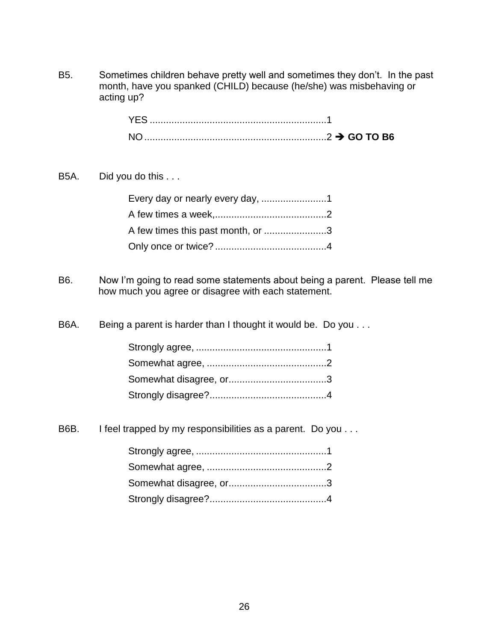B5. Sometimes children behave pretty well and sometimes they don't. In the past month, have you spanked (CHILD) because (he/she) was misbehaving or acting up?

B5A. Did you do this . . .

| A few times this past month, or 3 |  |
|-----------------------------------|--|
|                                   |  |

B6. Now I'm going to read some statements about being a parent. Please tell me how much you agree or disagree with each statement.

B6A. Being a parent is harder than I thought it would be. Do you . . .

B6B. I feel trapped by my responsibilities as a parent. Do you . . .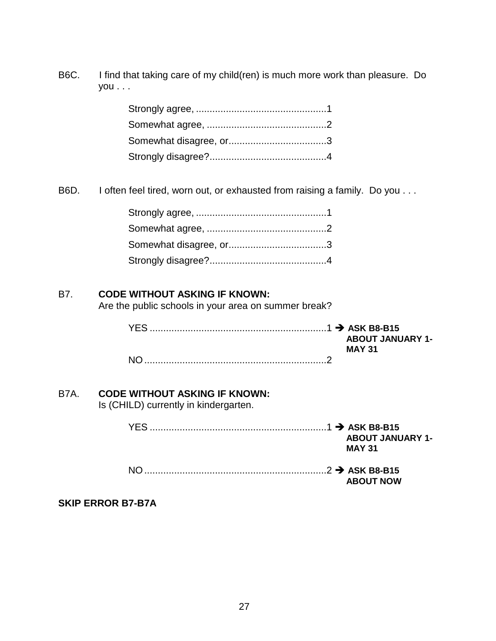B6C. I find that taking care of my child(ren) is much more work than pleasure. Do you . . .

B6D. I often feel tired, worn out, or exhausted from raising a family. Do you . . .

#### B7. **CODE WITHOUT ASKING IF KNOWN:**

Are the public schools in your area on summer break?

|  | <b>ABOUT JANUARY 1-</b> |
|--|-------------------------|
|  | <b>MAY 31</b>           |
|  |                         |

#### B7A. **CODE WITHOUT ASKING IF KNOWN:**

Is (CHILD) currently in kindergarten.

| YFS | <b>ABOUT JANUARY 1-</b> |
|-----|-------------------------|
|     | <b>MAY 31</b>           |
|     | <b>ABOUT NOW</b>        |

#### **SKIP ERROR B7-B7A**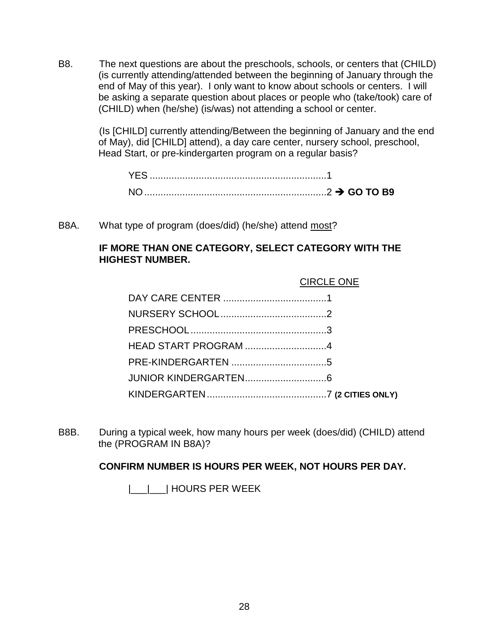B8. The next questions are about the preschools, schools, or centers that (CHILD) (is currently attending/attended between the beginning of January through the end of May of this year). I only want to know about schools or centers. I will be asking a separate question about places or people who (take/took) care of (CHILD) when (he/she) (is/was) not attending a school or center.

> (Is [CHILD] currently attending/Between the beginning of January and the end of May), did [CHILD] attend), a day care center, nursery school, preschool, Head Start, or pre-kindergarten program on a regular basis?

| <b>YES</b>     |  |
|----------------|--|
| N <sub>O</sub> |  |

B8A. What type of program (does/did) (he/she) attend most?

#### **IF MORE THAN ONE CATEGORY, SELECT CATEGORY WITH THE HIGHEST NUMBER.**

B8B. During a typical week, how many hours per week (does/did) (CHILD) attend the (PROGRAM IN B8A)?

#### **CONFIRM NUMBER IS HOURS PER WEEK, NOT HOURS PER DAY.**

|\_\_\_|\_\_\_| HOURS PER WEEK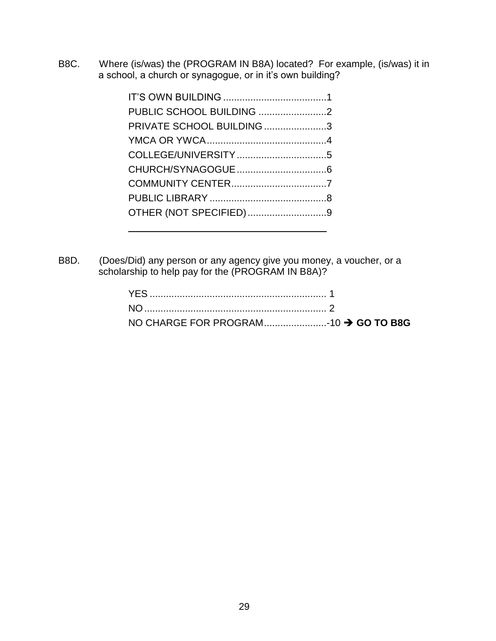B8C. Where (is/was) the (PROGRAM IN B8A) located? For example, (is/was) it in a school, a church or synagogue, or in it's own building?

| PRIVATE SCHOOL BUILDING 3 |  |
|---------------------------|--|
|                           |  |
|                           |  |
|                           |  |
|                           |  |
|                           |  |
| OTHER (NOT SPECIFIED)9    |  |
|                           |  |

B8D. (Does/Did) any person or any agency give you money, a voucher, or a scholarship to help pay for the (PROGRAM IN B8A)?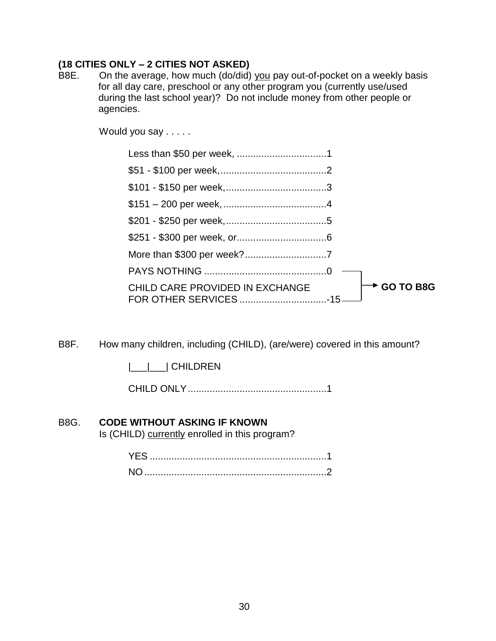#### **(18 CITIES ONLY – 2 CITIES NOT ASKED)**

B8E. On the average, how much (do/did) you pay out-of-pocket on a weekly basis for all day care, preschool or any other program you (currently use/used during the last school year)? Do not include money from other people or agencies.

Would you say . . . . .

| $\rightarrow$ GO TO B8G<br>CHILD CARE PROVIDED IN EXCHANGE |
|------------------------------------------------------------|

B8F. How many children, including (CHILD), (are/were) covered in this amount?

|\_\_\_|\_\_\_| CHILDREN

CHILD ONLY...................................................1

#### B8G. **CODE WITHOUT ASKING IF KNOWN**

Is (CHILD) currently enrolled in this program?

| NC. |  |
|-----|--|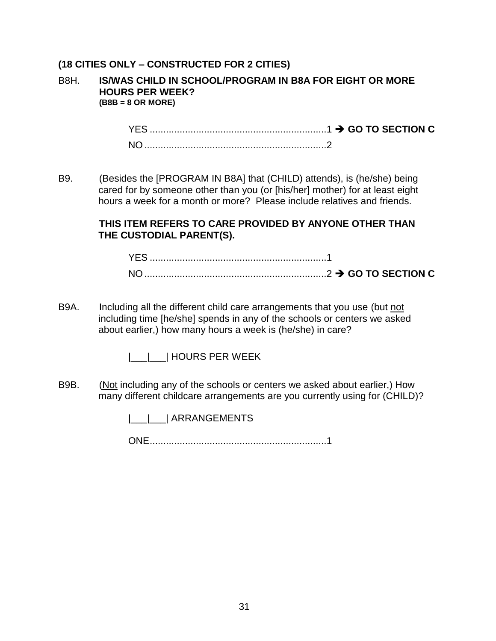#### **(18 CITIES ONLY – CONSTRUCTED FOR 2 CITIES)**

#### B8H. **IS/WAS CHILD IN SCHOOL/PROGRAM IN B8A FOR EIGHT OR MORE HOURS PER WEEK? (B8B = 8 OR MORE)**

YES .................................................................1 **GO TO SECTION C** NO...................................................................2

B9. (Besides the [PROGRAM IN B8A] that (CHILD) attends), is (he/she) being cared for by someone other than you (or [his/her] mother) for at least eight hours a week for a month or more? Please include relatives and friends.

#### **THIS ITEM REFERS TO CARE PROVIDED BY ANYONE OTHER THAN THE CUSTODIAL PARENT(S).**

| N <sub>O</sub> |  |
|----------------|--|

B9A. Including all the different child care arrangements that you use (but not including time [he/she] spends in any of the schools or centers we asked about earlier,) how many hours a week is (he/she) in care?

|\_\_\_|\_\_\_| HOURS PER WEEK

B9B. (Not including any of the schools or centers we asked about earlier,) How many different childcare arrangements are you currently using for (CHILD)?

|\_\_\_|\_\_\_| ARRANGEMENTS

ONE.................................................................1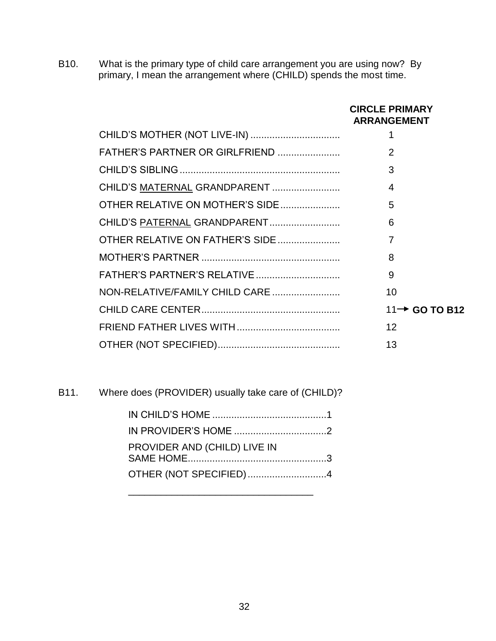B10. What is the primary type of child care arrangement you are using now? By primary, I mean the arrangement where (CHILD) spends the most time.

|                                 | <b>CIRCLE PRIMARY</b><br><b>ARRANGEMENT</b> |
|---------------------------------|---------------------------------------------|
|                                 |                                             |
| FATHER'S PARTNER OR GIRLFRIEND  | 2                                           |
|                                 | 3                                           |
|                                 | 4                                           |
| OTHER RELATIVE ON MOTHER'S SIDE | 5                                           |
|                                 | 6                                           |
| OTHER RELATIVE ON FATHER'S SIDE | 7                                           |
|                                 | 8                                           |
|                                 | 9                                           |
| NON-RELATIVE/FAMILY CHILD CARE  | 10                                          |
|                                 | 11 → GO TO B12                              |
|                                 | 12                                          |
|                                 | 13                                          |

B11. Where does (PROVIDER) usually take care of (CHILD)?

| PROVIDER AND (CHILD) LIVE IN |  |
|------------------------------|--|
| OTHER (NOT SPECIFIED)4       |  |

\_\_\_\_\_\_\_\_\_\_\_\_\_\_\_\_\_\_\_\_\_\_\_\_\_\_\_\_\_\_\_\_\_\_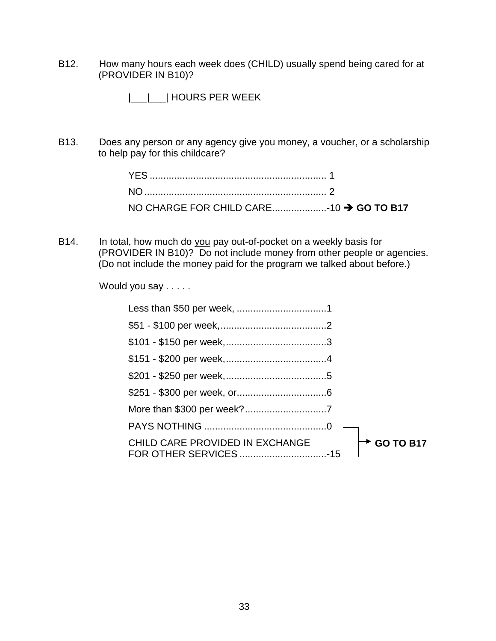B12. How many hours each week does (CHILD) usually spend being cared for at (PROVIDER IN B10)?

|\_\_\_|\_\_\_| HOURS PER WEEK

B13. Does any person or any agency give you money, a voucher, or a scholarship to help pay for this childcare?

B14. In total, how much do you pay out-of-pocket on a weekly basis for (PROVIDER IN B10)? Do not include money from other people or agencies. (Do not include the money paid for the program we talked about before.)

Would you say . . . . .

| $\rightarrow$ GO TO B17<br>CHILD CARE PROVIDED IN EXCHANGE |
|------------------------------------------------------------|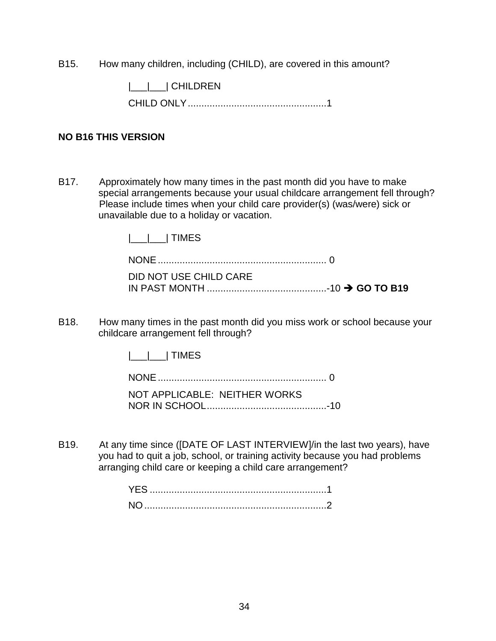B15. How many children, including (CHILD), are covered in this amount?

|\_\_\_|\_\_\_| CHILDREN

CHILD ONLY...................................................1

#### **NO B16 THIS VERSION**

B17. Approximately how many times in the past month did you have to make special arrangements because your usual childcare arrangement fell through? Please include times when your child care provider(s) (was/were) sick or unavailable due to a holiday or vacation.

|\_\_\_|\_\_\_| TIMES

NONE.............................................................. 0

DID NOT USE CHILD CARE IN PAST MONTH ............................................-10 **GO TO B19**

B18. How many times in the past month did you miss work or school because your childcare arrangement fell through?

|\_\_\_|\_\_\_| TIMES

NONE.............................................................. 0 NOT APPLICABLE: NEITHER WORKS NOR IN SCHOOL............................................-10

B19. At any time since ([DATE OF LAST INTERVIEW]/in the last two years), have you had to quit a job, school, or training activity because you had problems arranging child care or keeping a child care arrangement?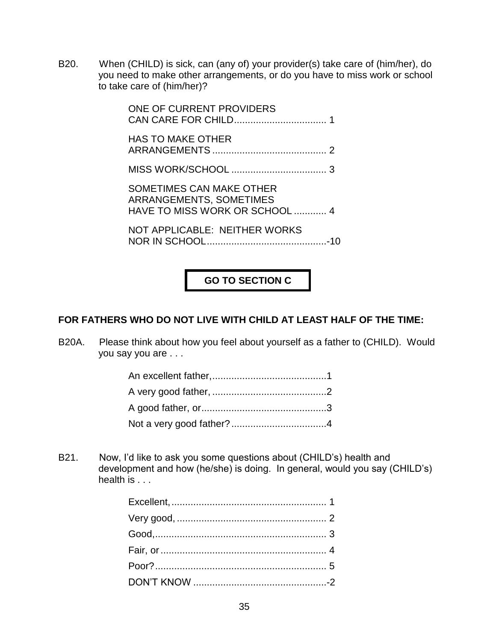B20. When (CHILD) is sick, can (any of) your provider(s) take care of (him/her), do you need to make other arrangements, or do you have to miss work or school to take care of (him/her)?

> ONE OF CURRENT PROVIDERS CAN CARE FOR CHILD.................................. 1 HAS TO MAKE OTHER ARRANGEMENTS .......................................... 2 MISS WORK/SCHOOL ................................... 3 SOMETIMES CAN MAKE OTHER ARRANGEMENTS, SOMETIMES HAVE TO MISS WORK OR SCHOOL ............ 4 NOT APPLICABLE: NEITHER WORKS

> NOR IN SCHOOL............................................-10

**GO TO SECTION C**

# **FOR FATHERS WHO DO NOT LIVE WITH CHILD AT LEAST HALF OF THE TIME:**

B20A. Please think about how you feel about yourself as a father to (CHILD). Would you say you are . . .

B21. Now, I'd like to ask you some questions about (CHILD's) health and development and how (he/she) is doing. In general, would you say (CHILD's) health is . . .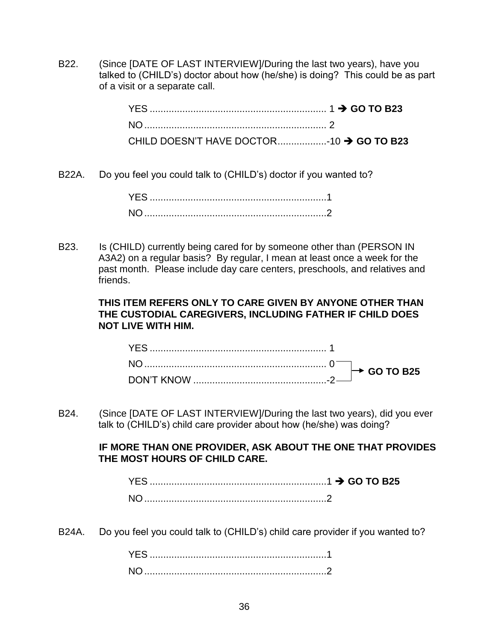B22. (Since [DATE OF LAST INTERVIEW]/During the last two years), have you talked to (CHILD's) doctor about how (he/she) is doing? This could be as part of a visit or a separate call.

| CHILD DOESN'T HAVE DOCTOR10 → GO TO B23 |  |
|-----------------------------------------|--|

B22A. Do you feel you could talk to (CHILD's) doctor if you wanted to?

| NO. |  |
|-----|--|

B23. Is (CHILD) currently being cared for by someone other than (PERSON IN A3A2) on a regular basis? By regular, I mean at least once a week for the past month. Please include day care centers, preschools, and relatives and friends.

## **THIS ITEM REFERS ONLY TO CARE GIVEN BY ANYONE OTHER THAN THE CUSTODIAL CAREGIVERS, INCLUDING FATHER IF CHILD DOES NOT LIVE WITH HIM.**

B24. (Since [DATE OF LAST INTERVIEW]/During the last two years), did you ever talk to (CHILD's) child care provider about how (he/she) was doing?

# **IF MORE THAN ONE PROVIDER, ASK ABOUT THE ONE THAT PROVIDES THE MOST HOURS OF CHILD CARE.**

| NC. |  |
|-----|--|

B24A. Do you feel you could talk to (CHILD's) child care provider if you wanted to?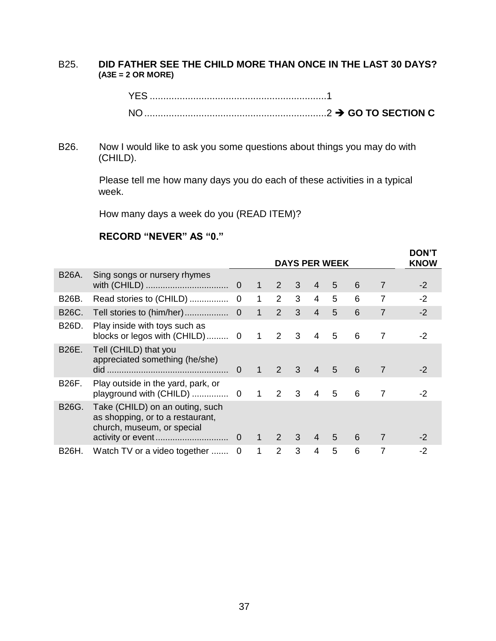## B25. **DID FATHER SEE THE CHILD MORE THAN ONCE IN THE LAST 30 DAYS? (A3E = 2 OR MORE)**

B26. Now I would like to ask you some questions about things you may do with (CHILD).

> Please tell me how many days you do each of these activities in a typical week.

How many days a week do you (READ ITEM)?

### **RECORD "NEVER" AS "0."**

|       |                                                                                                   | <b>DAYS PER WEEK</b> |                |               |                | <b>DON'T</b><br><b>KNOW</b> |   |   |                |      |
|-------|---------------------------------------------------------------------------------------------------|----------------------|----------------|---------------|----------------|-----------------------------|---|---|----------------|------|
| B26A. | Sing songs or nursery rhymes                                                                      |                      | $\bigoplus$    | 2             | $\mathbf{3}$   | $\overline{4}$              | 5 | 6 | 7              | $-2$ |
| B26B. |                                                                                                   |                      | $\mathbf 1$    | 2             | 3              | $\overline{4}$              | 5 | 6 | $\overline{7}$ | $-2$ |
| B26C. |                                                                                                   |                      | $\overline{1}$ | $2^{\circ}$   | 3 <sup>1</sup> | $\overline{4}$              | 5 | 6 | $\overline{7}$ | $-2$ |
| B26D. | Play inside with toys such as                                                                     |                      | $\mathbf 1$    | $2 \quad 3$   |                | 4                           | 5 | 6 | 7              | $-2$ |
| B26E. | Tell (CHILD) that you<br>appreciated something (he/she)                                           | $\Omega$             | $\mathbf{1}$   | $\mathcal{P}$ | $\mathcal{S}$  | $\overline{4}$              | 5 | 6 | 7              | -2   |
| B26F. | Play outside in the yard, park, or                                                                |                      |                | 2             | 3              | $\overline{4}$              | 5 | 6 | 7              | -2   |
| B26G. | Take (CHILD) on an outing, such<br>as shopping, or to a restaurant,<br>church, museum, or special |                      |                | $1 \quad 2$   | 3 <sup>7</sup> | $\overline{4}$              | 5 | 6 | 7              | -2   |
| B26H. | Watch TV or a video together  0                                                                   |                      | 1              | $\mathcal{P}$ | 3              | 4                           | 5 | 6 | 7              | -2   |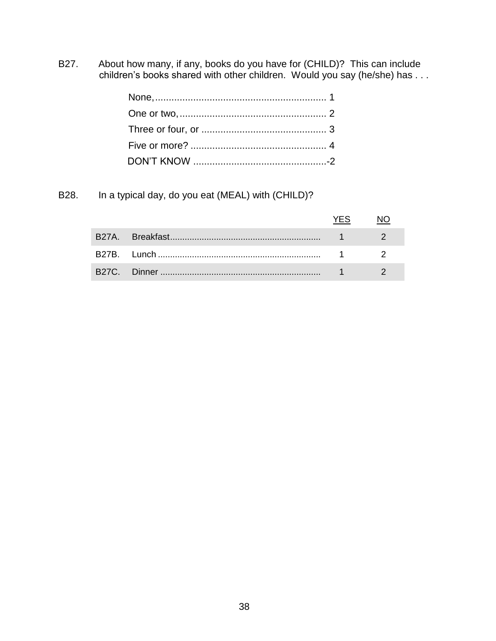B27. About how many, if any, books do you have for (CHILD)? This can include children's books shared with other children. Would you say (he/she) has . . .

B28. In a typical day, do you eat (MEAL) with (CHILD)?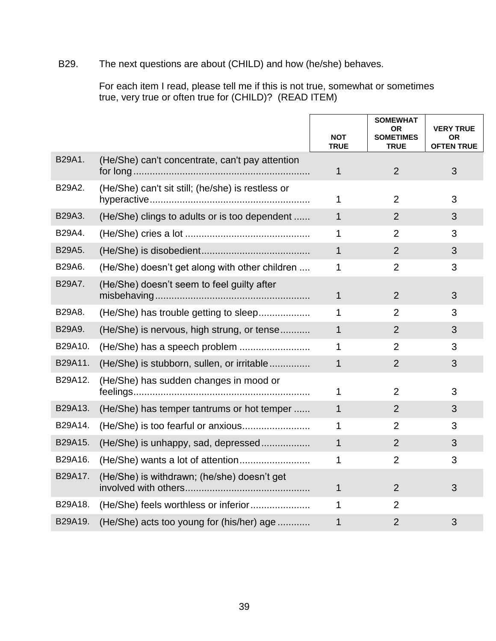# B29. The next questions are about (CHILD) and how (he/she) behaves.

For each item I read, please tell me if this is not true, somewhat or sometimes true, very true or often true for (CHILD)? (READ ITEM)

|         |                                                   | <b>NOT</b><br><b>TRUE</b> | <b>SOMEWHAT</b><br><b>OR</b><br><b>SOMETIMES</b><br><b>TRUE</b> | <b>VERY TRUE</b><br>ΟR<br><b>OFTEN TRUE</b> |
|---------|---------------------------------------------------|---------------------------|-----------------------------------------------------------------|---------------------------------------------|
| B29A1.  | (He/She) can't concentrate, can't pay attention   | $\mathbf{1}$              | 2                                                               | 3                                           |
| B29A2.  | (He/She) can't sit still; (he/she) is restless or | 1                         | $\overline{2}$                                                  | 3                                           |
| B29A3.  | (He/She) clings to adults or is too dependent     | $\mathbf{1}$              | 2                                                               | 3                                           |
| B29A4.  |                                                   | 1                         | 2                                                               | 3                                           |
| B29A5.  |                                                   | $\mathbf{1}$              | 2                                                               | 3                                           |
| B29A6.  | (He/She) doesn't get along with other children    | 1                         | $\overline{2}$                                                  | 3                                           |
| B29A7.  | (He/She) doesn't seem to feel guilty after        | $\mathbf{1}$              | 2                                                               | 3                                           |
| B29A8.  | (He/She) has trouble getting to sleep             | 1                         | $\overline{2}$                                                  | 3                                           |
| B29A9.  | (He/She) is nervous, high strung, or tense        | 1                         | 2                                                               | 3                                           |
| B29A10. |                                                   | 1                         | $\overline{2}$                                                  | 3                                           |
| B29A11. | (He/She) is stubborn, sullen, or irritable        | $\mathbf{1}$              | $\overline{2}$                                                  | 3                                           |
| B29A12. | (He/She) has sudden changes in mood or            | 1                         | 2                                                               | 3                                           |
| B29A13. | (He/She) has temper tantrums or hot temper        | 1                         | $\overline{2}$                                                  | 3                                           |
| B29A14. |                                                   | 1                         | $\overline{2}$                                                  | 3                                           |
| B29A15. | (He/She) is unhappy, sad, depressed               | $\mathbf{1}$              | $\overline{2}$                                                  | 3                                           |
| B29A16. |                                                   | 1                         | $\overline{2}$                                                  | 3                                           |
| B29A17. | (He/She) is withdrawn; (he/she) doesn't get       | 1                         | 2                                                               | 3                                           |
| B29A18. |                                                   | 1                         | $\overline{2}$                                                  |                                             |
| B29A19. | (He/She) acts too young for (his/her) age         | 1                         | $\overline{2}$                                                  | 3                                           |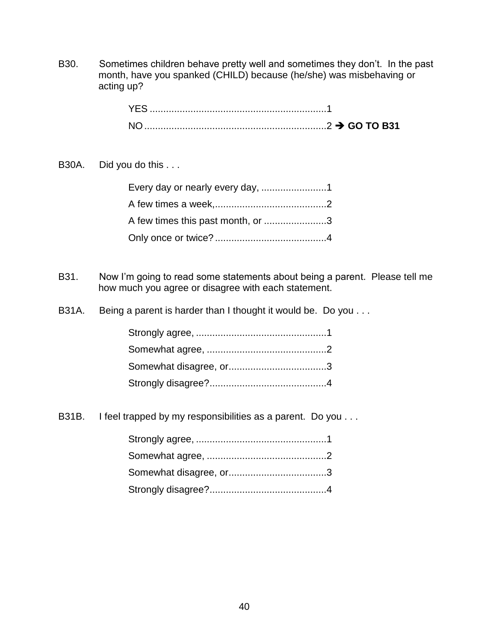B30. Sometimes children behave pretty well and sometimes they don't. In the past month, have you spanked (CHILD) because (he/she) was misbehaving or acting up?

| ————————————————————————2 → GO TO B31 |
|---------------------------------------|

B30A. Did you do this . . .

| A few times this past month, or 3 |  |
|-----------------------------------|--|
|                                   |  |

- B31. Now I'm going to read some statements about being a parent. Please tell me how much you agree or disagree with each statement.
- B31A. Being a parent is harder than I thought it would be. Do you . . .

B31B. I feel trapped by my responsibilities as a parent. Do you . . .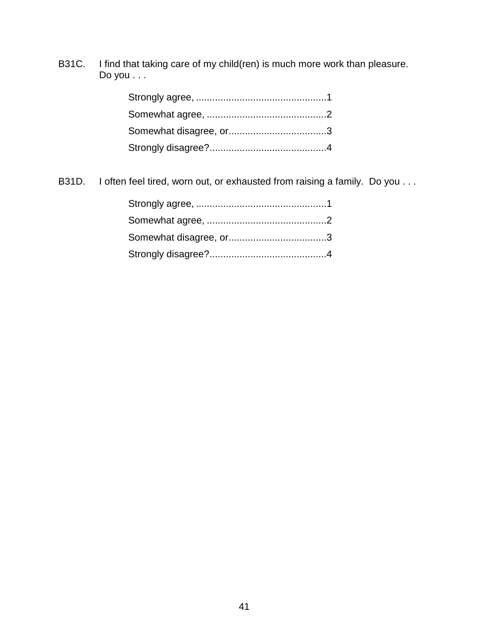B31C. I find that taking care of my child(ren) is much more work than pleasure. Do you . . .

B31D. I often feel tired, worn out, or exhausted from raising a family. Do you . . .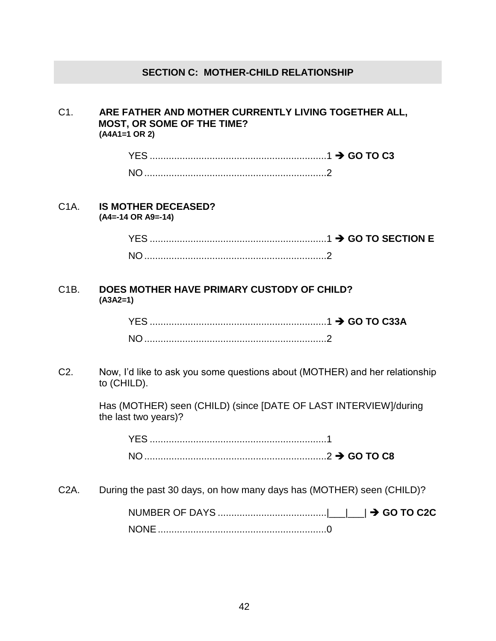# **SECTION C: MOTHER-CHILD RELATIONSHIP**

### C1. **ARE FATHER AND MOTHER CURRENTLY LIVING TOGETHER ALL, MOST, OR SOME OF THE TIME? (A4A1=1 OR 2)**

| <b>YES</b> |  |
|------------|--|
|            |  |

#### C1A. **IS MOTHER DECEASED? (A4=-14 OR A9=-14)**

YES .................................................................1 **GO TO SECTION E** NO...................................................................2

### C1B. **DOES MOTHER HAVE PRIMARY CUSTODY OF CHILD? (A3A2=1)**

C2. Now, I'd like to ask you some questions about (MOTHER) and her relationship to (CHILD).

> Has (MOTHER) seen (CHILD) (since [DATE OF LAST INTERVIEW]/during the last two years)?

YES .................................................................1 NO...................................................................2 **GO TO C8**

C2A. During the past 30 days, on how many days has (MOTHER) seen (CHILD)?

NUMBER OF DAYS ........................................|\_\_\_|\_\_\_| **GO TO C2C** NONE..............................................................0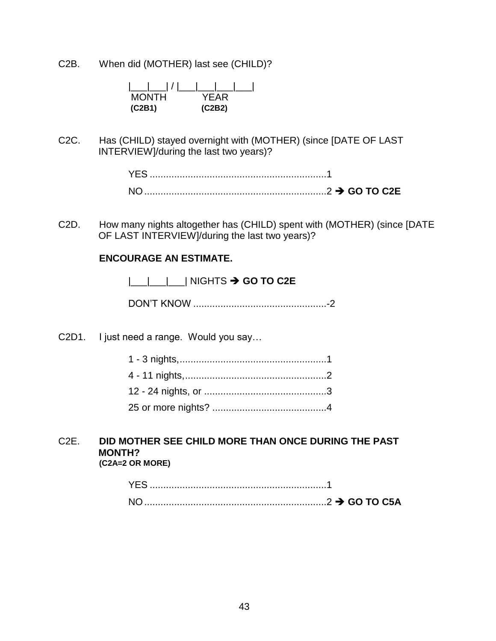C2B. When did (MOTHER) last see (CHILD)?

| <b>MONTH</b> | YFAR   |
|--------------|--------|
| (C2B1)       | (C2B2) |

C2C. Has (CHILD) stayed overnight with (MOTHER) (since [DATE OF LAST INTERVIEW]/during the last two years)?

| $N \cap$ |  |
|----------|--|

C2D. How many nights altogether has (CHILD) spent with (MOTHER) (since [DATE OF LAST INTERVIEW]/during the last two years)?

### **ENCOURAGE AN ESTIMATE.**

|\_\_\_|\_\_\_|\_\_\_| NIGHTS **GO TO C2E**

DON'T KNOW .................................................-2

C2D1. I just need a range. Would you say…

### C2E. **DID MOTHER SEE CHILD MORE THAN ONCE DURING THE PAST MONTH? (C2A=2 OR MORE)**

| <b>NO</b> |  |
|-----------|--|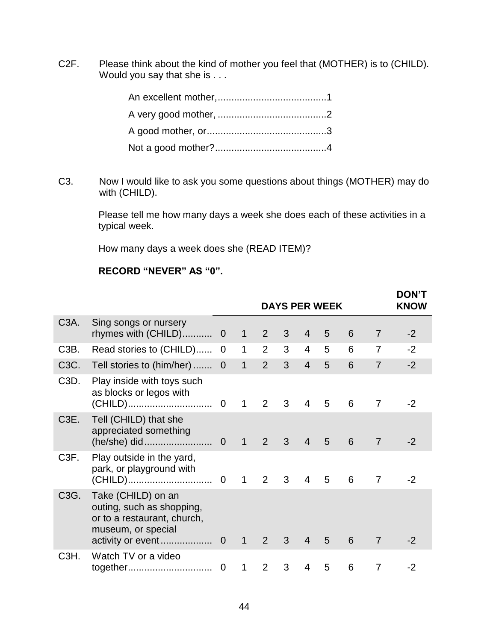C2F. Please think about the kind of mother you feel that (MOTHER) is to (CHILD). Would you say that she is . . .

C3. Now I would like to ask you some questions about things (MOTHER) may do with (CHILD).

> Please tell me how many days a week she does each of these activities in a typical week.

> > **DON'T**

How many days a week does she (READ ITEM)?

# **RECORD "NEVER" AS "0".**

|                   |                                                                                                                           |                |                |                |   |                | <b>DAYS PER WEEK</b> |   |                | <b>DUN I</b><br><b>KNOW</b> |
|-------------------|---------------------------------------------------------------------------------------------------------------------------|----------------|----------------|----------------|---|----------------|----------------------|---|----------------|-----------------------------|
| C <sub>3</sub> A. | Sing songs or nursery<br>rhymes with (CHILD)                                                                              | $\mathbf 0$    | $\mathbf 1$    | $\overline{2}$ | 3 | 4              | 5                    | 6 | 7              | $-2$                        |
| C <sub>3</sub> B. | Read stories to (CHILD)                                                                                                   | 0              | $\mathbf 1$    | $\overline{2}$ | 3 | $\overline{4}$ | 5                    | 6 | 7              | $-2$                        |
| C3C.              | Tell stories to (him/her)                                                                                                 | $\overline{0}$ | $\overline{1}$ | $\overline{2}$ | 3 | $\overline{4}$ | 5                    | 6 | $\overline{7}$ | $-2$                        |
| C <sub>3</sub> D. | Play inside with toys such<br>as blocks or legos with                                                                     |                | $\overline{1}$ | $\overline{2}$ | 3 | 4              | 5                    | 6 | 7              | $-2$                        |
| C <sub>3</sub> E. | Tell (CHILD) that she<br>appreciated something                                                                            |                | $\bigoplus$    | $\overline{2}$ | 3 | $\overline{4}$ | $5\overline{)}$      | 6 | $\overline{7}$ | $-2$                        |
| C <sub>3</sub> F. | Play outside in the yard,<br>park, or playground with                                                                     |                | $\mathbf 1$    | $\overline{2}$ | 3 | $\overline{4}$ | 5                    | 6 | $\overline{7}$ | $-2$                        |
| C3G.              | Take (CHILD) on an<br>outing, such as shopping,<br>or to a restaurant, church,<br>museum, or special<br>activity or event | $\overline{0}$ | $\mathbf{1}$   | 2              | 3 | $\overline{4}$ | 5                    | 6 | $\overline{7}$ | $-2$                        |
| C <sub>3</sub> H. | Watch TV or a video<br>together                                                                                           | $\mathbf 0$    | $\mathbf 1$    | 2              | 3 | 4              | 5                    | 6 | 7              | -2                          |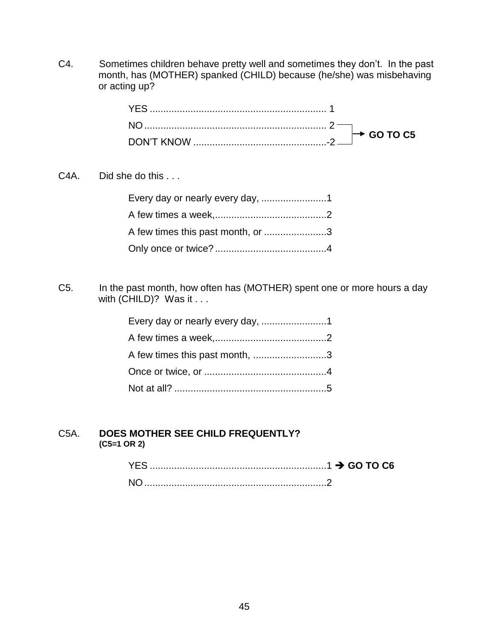C4. Sometimes children behave pretty well and sometimes they don't. In the past month, has (MOTHER) spanked (CHILD) because (he/she) was misbehaving or acting up?

C<sub>4</sub>A. Did she do this . . .

| A few times this past month, or 3 |  |
|-----------------------------------|--|
|                                   |  |

C5. In the past month, how often has (MOTHER) spent one or more hours a day with (CHILD)? Was it . . .

| A few times this past month, 3 |  |
|--------------------------------|--|
|                                |  |
|                                |  |

# C5A. **DOES MOTHER SEE CHILD FREQUENTLY? (C5=1 OR 2)**

| NO. |  |
|-----|--|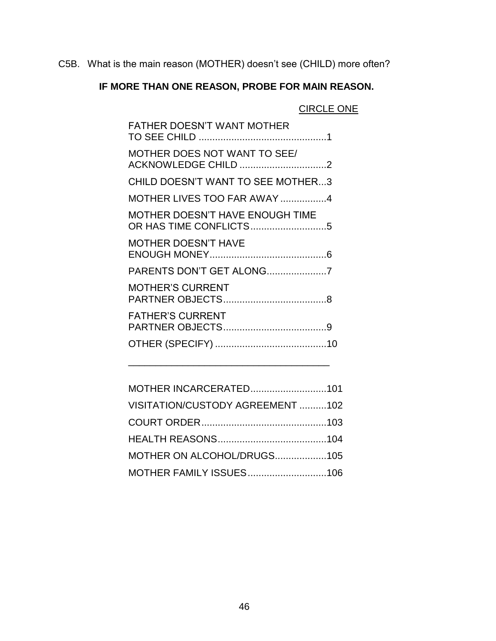C5B. What is the main reason (MOTHER) doesn't see (CHILD) more often?

# **IF MORE THAN ONE REASON, PROBE FOR MAIN REASON.**

# CIRCLE ONE

| <b>FATHER DOESN'T WANT MOTHER</b>                   |
|-----------------------------------------------------|
| MOTHER DOES NOT WANT TO SEE/<br>ACKNOWLEDGE CHILD 2 |
| CHILD DOESN'T WANT TO SEE MOTHER3                   |
| MOTHER LIVES TOO FAR AWAY 4                         |
| MOTHER DOESN'T HAVE ENOUGH TIME                     |
| <b>MOTHER DOESN'T HAVE</b>                          |
| PARENTS DON'T GET ALONG7                            |
| <b>MOTHER'S CURRENT</b>                             |
| <b>FATHER'S CURRENT</b>                             |
|                                                     |
|                                                     |

| MOTHER INCARCERATED101           |  |
|----------------------------------|--|
| VISITATION/CUSTODY AGREEMENT 102 |  |
|                                  |  |
|                                  |  |
| MOTHER ON ALCOHOL/DRUGS105       |  |
| MOTHER FAMILY ISSUES106          |  |

\_\_\_\_\_\_\_\_\_\_\_\_\_\_\_\_\_\_\_\_\_\_\_\_\_\_\_\_\_\_\_\_\_\_\_\_\_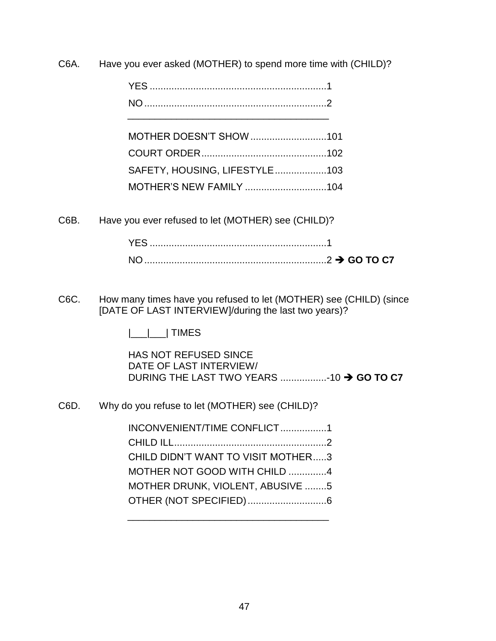C6A. Have you ever asked (MOTHER) to spend more time with (CHILD)?

| MOTHER DOESN'T SHOW 101       |  |
|-------------------------------|--|
|                               |  |
| SAFETY, HOUSING, LIFESTYLE103 |  |
| MOTHER'S NEW FAMILY 104       |  |

C6B. Have you ever refused to let (MOTHER) see (CHILD)?

| YES. |                     |
|------|---------------------|
| NO.  | $\sum_{1}$ GO TO C7 |

C6C. How many times have you refused to let (MOTHER) see (CHILD) (since [DATE OF LAST INTERVIEW]/during the last two years)?

|\_\_\_|\_\_\_| TIMES

HAS NOT REFUSED SINCE DATE OF LAST INTERVIEW/ DURING THE LAST TWO YEARS .................-10 **GO TO C7**

C6D. Why do you refuse to let (MOTHER) see (CHILD)?

| INCONVENIENT/TIME CONFLICT1        |  |
|------------------------------------|--|
|                                    |  |
| CHILD DIDN'T WANT TO VISIT MOTHER3 |  |
| MOTHER NOT GOOD WITH CHILD 4       |  |
| MOTHER DRUNK, VIOLENT, ABUSIVE 5   |  |
| OTHER (NOT SPECIFIED)6             |  |
|                                    |  |

\_\_\_\_\_\_\_\_\_\_\_\_\_\_\_\_\_\_\_\_\_\_\_\_\_\_\_\_\_\_\_\_\_\_\_\_\_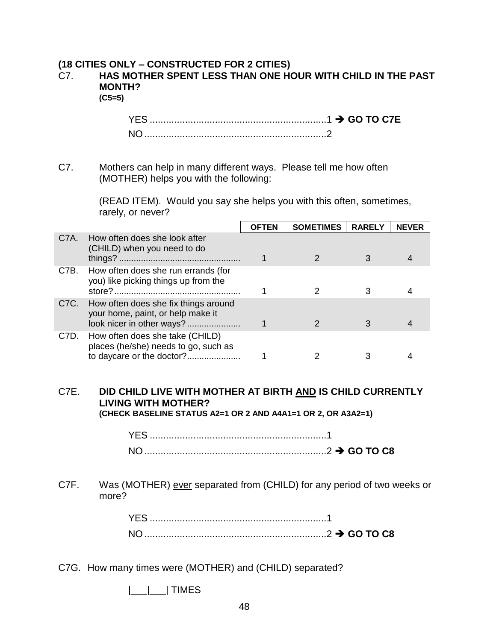# **(18 CITIES ONLY – CONSTRUCTED FOR 2 CITIES)**

### C7. **HAS MOTHER SPENT LESS THAN ONE HOUR WITH CHILD IN THE PAST MONTH? (C5=5)**

YES .................................................................1 **GO TO C7E** NO...................................................................2

C7. Mothers can help in many different ways. Please tell me how often (MOTHER) helps you with the following:

> (READ ITEM). Would you say she helps you with this often, sometimes, rarely, or never?

|                   |                                                                                                        | <b>OFTEN</b> | <b>SOMETIMES</b> | <b>RARELY</b> | <b>NEVER</b> |
|-------------------|--------------------------------------------------------------------------------------------------------|--------------|------------------|---------------|--------------|
| C <sub>7</sub> A. | How often does she look after<br>(CHILD) when you need to do                                           |              |                  |               |              |
| C7B.              | How often does she run errands (for<br>you) like picking things up from the                            |              |                  |               |              |
| C <sub>7</sub> C. | How often does she fix things around<br>your home, paint, or help make it<br>look nicer in other ways? |              |                  |               |              |
| C7D.              | How often does she take (CHILD)<br>places (he/she) needs to go, such as<br>to daycare or the doctor?   |              |                  |               |              |

# C7E. **DID CHILD LIVE WITH MOTHER AT BIRTH AND IS CHILD CURRENTLY LIVING WITH MOTHER?**

**(CHECK BASELINE STATUS A2=1 OR 2 AND A4A1=1 OR 2, OR A3A2=1)**

### C7F. Was (MOTHER) ever separated from (CHILD) for any period of two weeks or more?

| $\ldots$ GO TO C8 |  |
|-------------------|--|

C7G. How many times were (MOTHER) and (CHILD) separated?

 $|\_\_|$  TIMES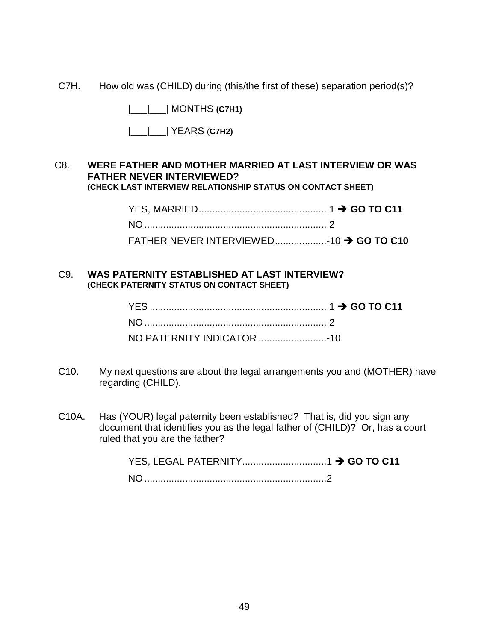C7H. How old was (CHILD) during (this/the first of these) separation period(s)?

|\_\_\_|\_\_\_| MONTHS **(C7H1)**

|\_\_\_|\_\_\_| YEARS (**C7H2)**

### C8. **WERE FATHER AND MOTHER MARRIED AT LAST INTERVIEW OR WAS FATHER NEVER INTERVIEWED? (CHECK LAST INTERVIEW RELATIONSHIP STATUS ON CONTACT SHEET)**

| FATHER NEVER INTERVIEWED10 → GO TO C10 |  |
|----------------------------------------|--|

### C9. **WAS PATERNITY ESTABLISHED AT LAST INTERVIEW? (CHECK PATERNITY STATUS ON CONTACT SHEET)**

- C10. My next questions are about the legal arrangements you and (MOTHER) have regarding (CHILD).
- C10A. Has (YOUR) legal paternity been established? That is, did you sign any document that identifies you as the legal father of (CHILD)? Or, has a court ruled that you are the father?

YES, LEGAL PATERNITY...............................1 **GO TO C11** NO...................................................................2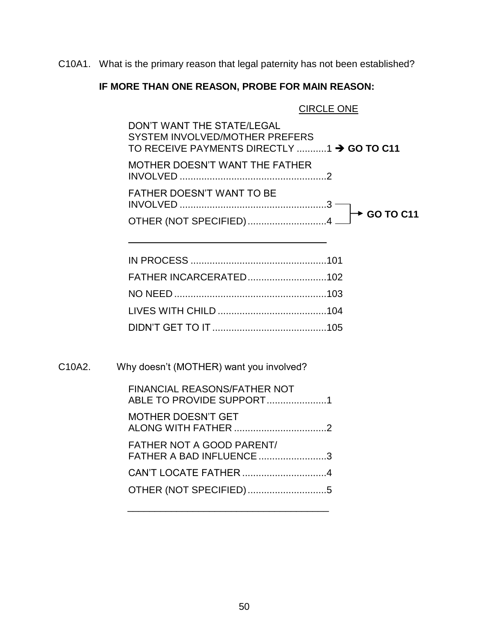C10A1. What is the primary reason that legal paternity has not been established?

# **IF MORE THAN ONE REASON, PROBE FOR MAIN REASON:**

#### CIRCLE ONE

DON'T WANT THE STATE/LEGAL SYSTEM INVOLVED/MOTHER PREFERS TO RECEIVE PAYMENTS DIRECTLY ...........1 > GO TO C11 MOTHER DOESN'T WANT THE FATHER INVOLVED ......................................................2 FATHER DOESN'T WANT TO BE INVOLVED ......................................................3 OTHER (NOT SPECIFIED).............................4  $\rightarrow$  GO TO C11

| C10A2. | Why doesn't (MOTHER) want you involved?                             |  |
|--------|---------------------------------------------------------------------|--|
|        | <b>FINANCIAL REASONS/FATHER NOT</b><br>ABLE TO PROVIDE SUPPORT1     |  |
|        | <b>MOTHER DOESN'T GET</b>                                           |  |
|        | <b>FATHER NOT A GOOD PARENT/</b><br><b>FATHER A BAD INFLUENCE 3</b> |  |
|        |                                                                     |  |
|        | OTHER (NOT SPECIFIED) 5                                             |  |
|        |                                                                     |  |

\_\_\_\_\_\_\_\_\_\_\_\_\_\_\_\_\_\_\_\_\_\_\_\_\_\_\_\_\_\_\_\_\_\_\_\_\_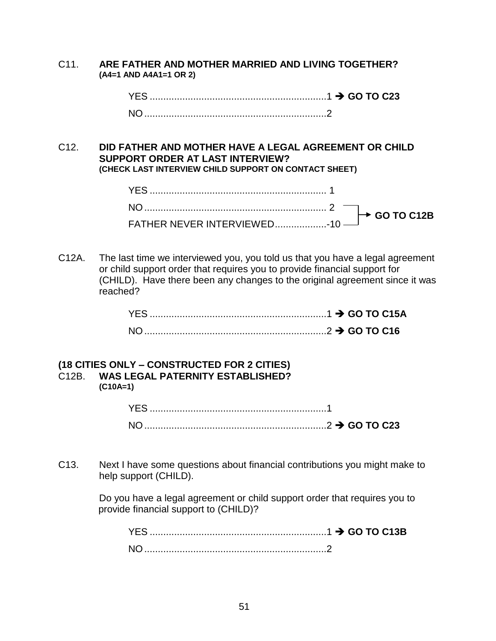C11. **ARE FATHER AND MOTHER MARRIED AND LIVING TOGETHER? (A4=1 AND A4A1=1 OR 2)**

| <b>NO</b> |  |
|-----------|--|

C12. **DID FATHER AND MOTHER HAVE A LEGAL AGREEMENT OR CHILD SUPPORT ORDER AT LAST INTERVIEW? (CHECK LAST INTERVIEW CHILD SUPPORT ON CONTACT SHEET)**

C12A. The last time we interviewed you, you told us that you have a legal agreement or child support order that requires you to provide financial support for (CHILD). Have there been any changes to the original agreement since it was reached?

| $NO1$ . |  |
|---------|--|

### **(18 CITIES ONLY – CONSTRUCTED FOR 2 CITIES)** C12B. **WAS LEGAL PATERNITY ESTABLISHED? (C10A=1)**

| $\ldots$ GO TO C23 |  |
|--------------------|--|

C13. Next I have some questions about financial contributions you might make to help support (CHILD).

> Do you have a legal agreement or child support order that requires you to provide financial support to (CHILD)?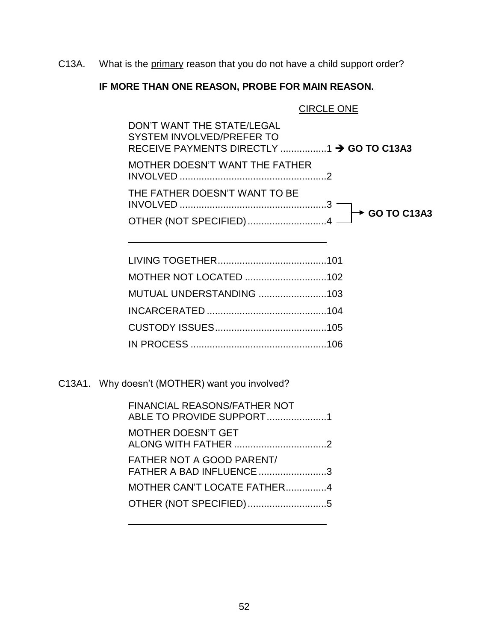C13A. What is the primary reason that you do not have a child support order?

# **IF MORE THAN ONE REASON, PROBE FOR MAIN REASON.**

# CIRCLE ONE

| DON'T WANT THE STATE/LEGAL<br>SYSTEM INVOLVED/PREFER TO |  |
|---------------------------------------------------------|--|
| MOTHER DOESN'T WANT THE FATHER                          |  |
| THE FATHER DOESN'T WANT TO BE                           |  |
|                                                         |  |

| MUTUAL UNDERSTANDING 103 |  |
|--------------------------|--|
|                          |  |
|                          |  |
|                          |  |

C13A1. Why doesn't (MOTHER) want you involved?

| <b>FINANCIAL REASONS/FATHER NOT</b><br>ABLE TO PROVIDE SUPPORT1 |  |
|-----------------------------------------------------------------|--|
| <b>MOTHER DOESN'T GET</b>                                       |  |
| <b>FATHER NOT A GOOD PARENT/</b><br>FATHER A BAD INFLUENCE 3    |  |
| MOTHER CAN'T LOCATE FATHER4                                     |  |
| OTHER (NOT SPECIFIED)5                                          |  |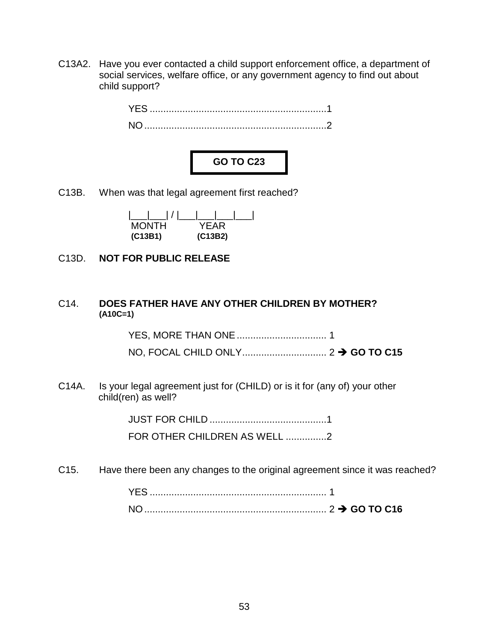C13A2. Have you ever contacted a child support enforcement office, a department of social services, welfare office, or any government agency to find out about child support?





C13B. When was that legal agreement first reached?

| MONTH   | YEAR    |
|---------|---------|
| (C13B1) | (C13B2) |

C13D. **NOT FOR PUBLIC RELEASE**

### C14. **DOES FATHER HAVE ANY OTHER CHILDREN BY MOTHER? (A10C=1)**

YES, MORE THAN ONE................................. 1

NO, FOCAL CHILD ONLY............................... 2 **GO TO C15**

C14A. Is your legal agreement just for (CHILD) or is it for (any of) your other child(ren) as well?

> JUST FOR CHILD ...........................................1 FOR OTHER CHILDREN AS WELL ...............2

C15. Have there been any changes to the original agreement since it was reached?

| N <sub>O</sub> |  |
|----------------|--|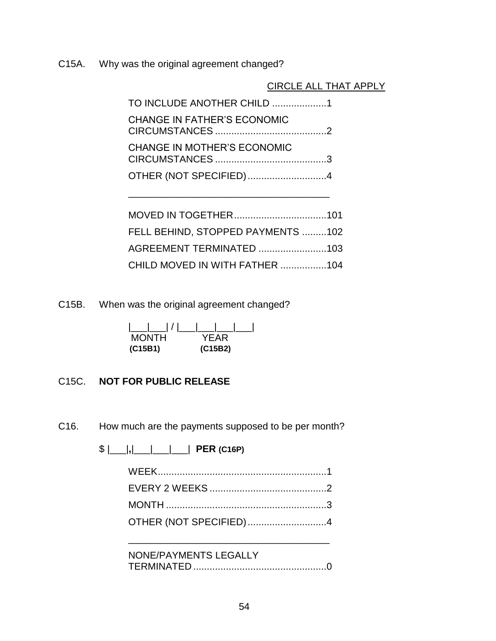C15A. Why was the original agreement changed?

CIRCLE ALL THAT APPLY

| TO INCLUDE ANOTHER CHILD 1         |  |
|------------------------------------|--|
| <b>CHANGE IN FATHER'S ECONOMIC</b> |  |
| <b>CHANGE IN MOTHER'S ECONOMIC</b> |  |
| OTHER (NOT SPECIFIED)4             |  |
|                                    |  |

| FELL BEHIND, STOPPED PAYMENTS 102 |  |
|-----------------------------------|--|
| AGREEMENT TERMINATED 103          |  |
| CHILD MOVED IN WITH FATHER 104    |  |

C15B. When was the original agreement changed?

| <b>MONTH</b> | YFAR    |
|--------------|---------|
| (C15B1)      | (C15B2) |

# C15C. **NOT FOR PUBLIC RELEASE**

C16. How much are the payments supposed to be per month?

| NONE/PAYMENTS LEGALLY |  |
|-----------------------|--|
|                       |  |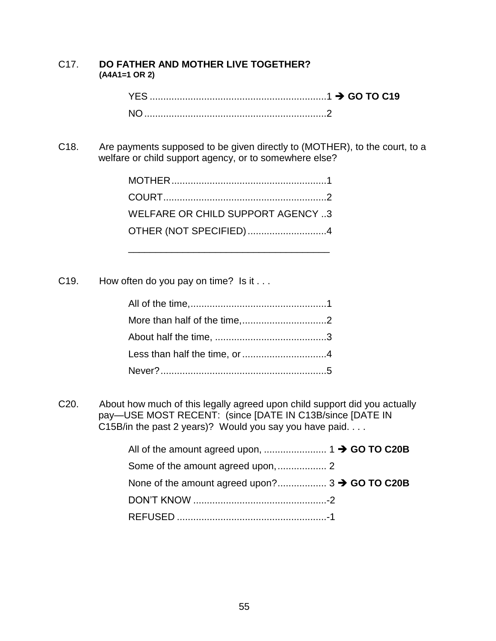### C17. **DO FATHER AND MOTHER LIVE TOGETHER? (A4A1=1 OR 2)**

C18. Are payments supposed to be given directly to (MOTHER), to the court, to a welfare or child support agency, or to somewhere else?

| WELFARE OR CHILD SUPPORT AGENCY 3 |  |
|-----------------------------------|--|
| OTHER (NOT SPECIFIED)4            |  |
|                                   |  |

C19. How often do you pay on time? Is it . . .

C20. About how much of this legally agreed upon child support did you actually pay—USE MOST RECENT: (since [DATE IN C13B/since [DATE IN C15B/in the past 2 years)? Would you say you have paid. . . .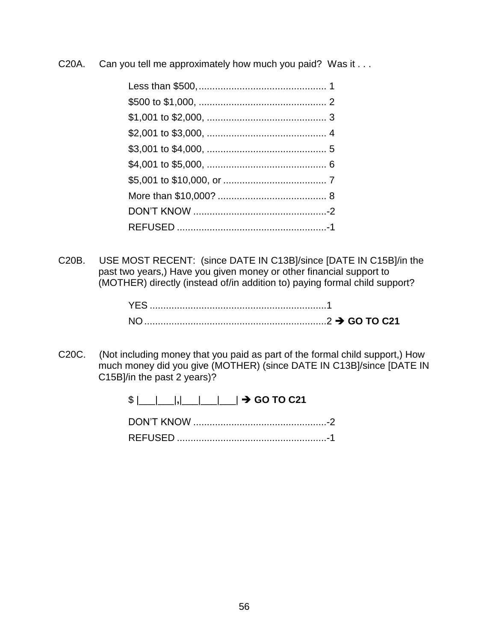C20A. Can you tell me approximately how much you paid? Was it . . .

C20B. USE MOST RECENT: (since DATE IN C13B]/since [DATE IN C15B]/in the past two years,) Have you given money or other financial support to (MOTHER) directly (instead of/in addition to) paying formal child support?

| YES |  |
|-----|--|
|     |  |

C20C. (Not including money that you paid as part of the formal child support,) How much money did you give (MOTHER) (since DATE IN C13B]/since [DATE IN C15B]/in the past 2 years)?

| <b>REFUSED</b> |  |
|----------------|--|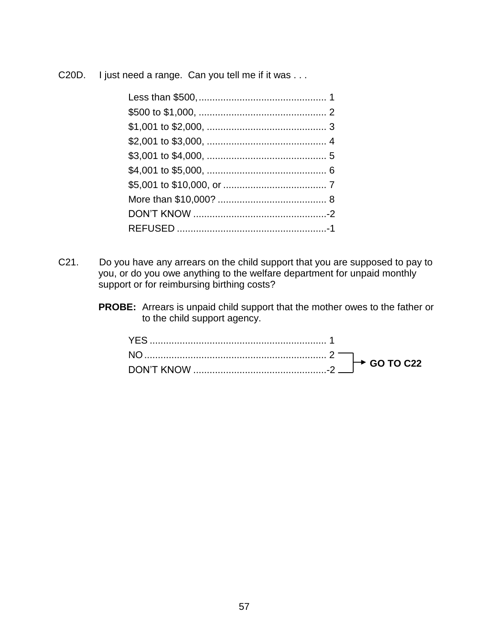C20D. I just need a range. Can you tell me if it was . . .

- C21. Do you have any arrears on the child support that you are supposed to pay to you, or do you owe anything to the welfare department for unpaid monthly support or for reimbursing birthing costs?
	- **PROBE:** Arrears is unpaid child support that the mother owes to the father or to the child support agency.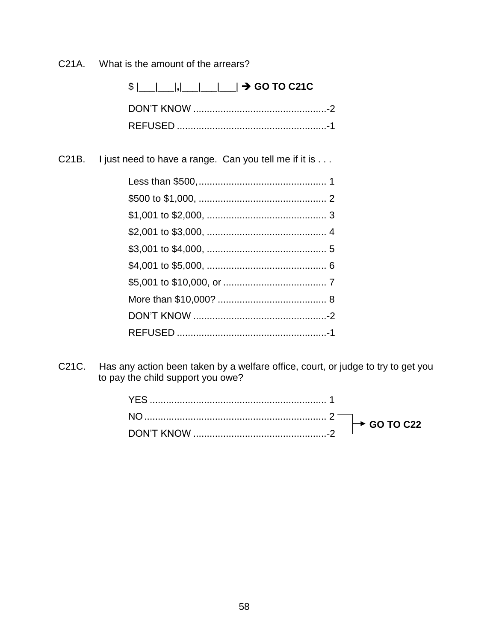What is the amount of the arrears? C<sub>21</sub>A.

> \$ |\_\_|\_\_|, |\_\_\_|\_\_\_|\_\_\_| → GO TO C21C

C21B. I just need to have a range. Can you tell me if it is . . .

Has any action been taken by a welfare office, court, or judge to try to get you C21C. to pay the child support you owe?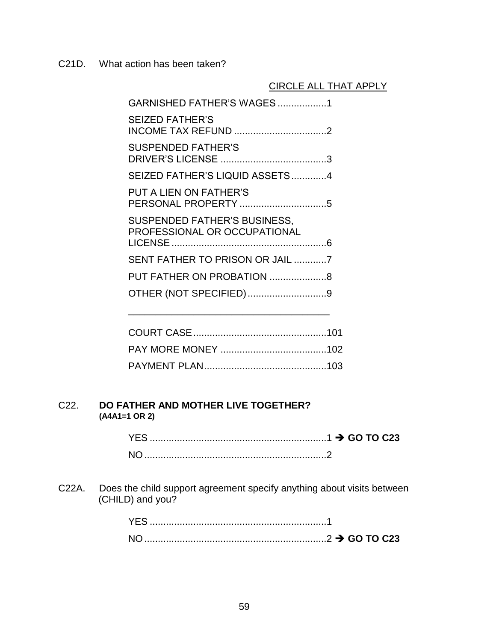C21D. What action has been taken?

# CIRCLE ALL THAT APPLY

| GARNISHED FATHER'S WAGES1                                           |  |
|---------------------------------------------------------------------|--|
| <b>SEIZED FATHER'S</b><br><b>INCOME TAX REFUND 2</b>                |  |
| <b>SUSPENDED FATHER'S</b>                                           |  |
| SEIZED FATHER'S LIQUID ASSETS4                                      |  |
| PUT A LIEN ON FATHER'S                                              |  |
| <b>SUSPENDED FATHER'S BUSINESS,</b><br>PROFESSIONAL OR OCCUPATIONAL |  |
| SENT FATHER TO PRISON OR JAIL 7                                     |  |
|                                                                     |  |
| OTHER (NOT SPECIFIED)9                                              |  |
|                                                                     |  |

\_\_\_\_\_\_\_\_\_\_\_\_\_\_\_\_\_\_\_\_\_\_\_\_\_\_\_\_\_\_\_\_\_\_\_\_\_

### C22. **DO FATHER AND MOTHER LIVE TOGETHER? (A4A1=1 OR 2)**

| YES.           |  |
|----------------|--|
| N <sub>O</sub> |  |

C22A. Does the child support agreement specify anything about visits between (CHILD) and you?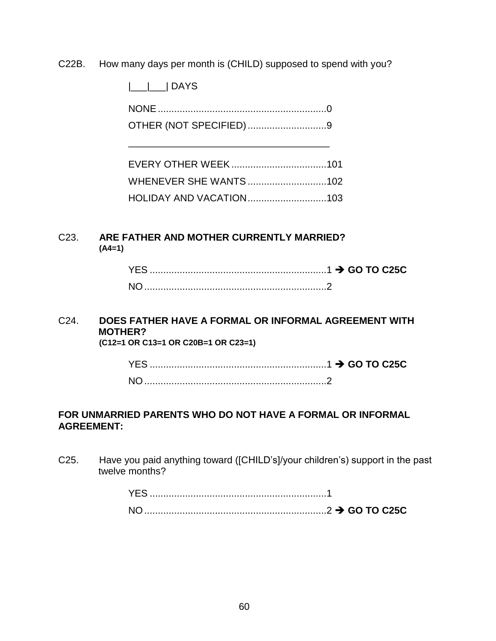C22B. How many days per month is (CHILD) supposed to spend with you?

|\_\_\_|\_\_\_| DAYS

NONE..............................................................0 OTHER (NOT SPECIFIED).............................9

\_\_\_\_\_\_\_\_\_\_\_\_\_\_\_\_\_\_\_\_\_\_\_\_\_\_\_\_\_\_\_\_\_\_\_\_\_

| WHENEVER SHE WANTS 102         |  |
|--------------------------------|--|
| <b>HOLIDAY AND VACATION103</b> |  |

## C23. **ARE FATHER AND MOTHER CURRENTLY MARRIED? (A4=1)**

| <b>YES</b>     |  |
|----------------|--|
| N <sub>O</sub> |  |

### C24. **DOES FATHER HAVE A FORMAL OR INFORMAL AGREEMENT WITH MOTHER? (C12=1 OR C13=1 OR C20B=1 OR C23=1)**

| YES. |  |
|------|--|
|      |  |

# **FOR UNMARRIED PARENTS WHO DO NOT HAVE A FORMAL OR INFORMAL AGREEMENT:**

C25. Have you paid anything toward ([CHILD's]/your children's) support in the past twelve months?

| <b>YES</b>     |  |
|----------------|--|
| N <sub>O</sub> |  |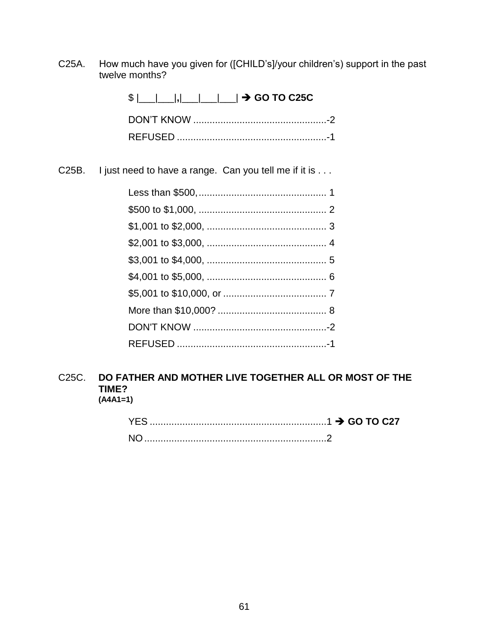C25A. How much have you given for ([CHILD's]/your children's) support in the past twelve months?

| $\frac{1}{2}$ $\frac{1}{2}$ $\frac{1}{2}$ $\frac{1}{2}$ $\frac{1}{2}$ $\frac{1}{2}$ GO TO C25C |  |
|------------------------------------------------------------------------------------------------|--|
|                                                                                                |  |
|                                                                                                |  |

C25B. I just need to have a range. Can you tell me if it is . . .

#### C<sub>25</sub>C. DO FATHER AND MOTHER LIVE TOGETHER ALL OR MOST OF THE TIME?  $(A4A1=1)$

| YF S |  |
|------|--|
|      |  |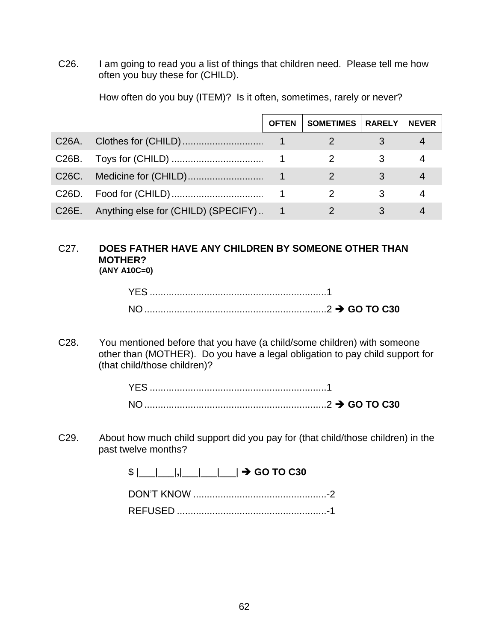C26. I am going to read you a list of things that children need. Please tell me how often you buy these for (CHILD).

|                    |                                        | <b>OFTEN</b> | SOMETIMES   RARELY | <b>NEVER</b> |
|--------------------|----------------------------------------|--------------|--------------------|--------------|
| C26A.              |                                        |              |                    |              |
| C26B.              |                                        |              |                    |              |
| C <sub>26</sub> C. |                                        |              |                    |              |
| C26D.              |                                        |              |                    |              |
| C26E.              | Anything else for (CHILD) (SPECIFY). 1 |              |                    |              |

How often do you buy (ITEM)? Is it often, sometimes, rarely or never?

### C27. **DOES FATHER HAVE ANY CHILDREN BY SOMEONE OTHER THAN MOTHER? (ANY A10C=0)**

C28. You mentioned before that you have (a child/some children) with someone other than (MOTHER). Do you have a legal obligation to pay child support for (that child/those children)?

| <b>YES</b>     |  |  |
|----------------|--|--|
| N <sub>0</sub> |  |  |

C29. About how much child support did you pay for (that child/those children) in the past twelve months?

 $$ |$  | | | | | | | | | | |  $\rightarrow$  GO TO C30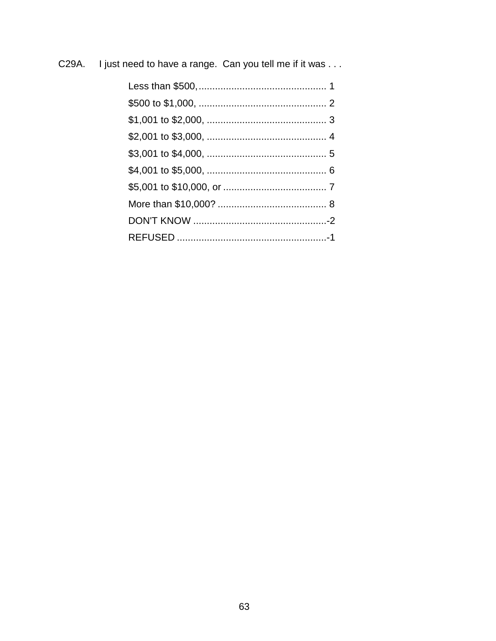I just need to have a range. Can you tell me if it was . . . C29A.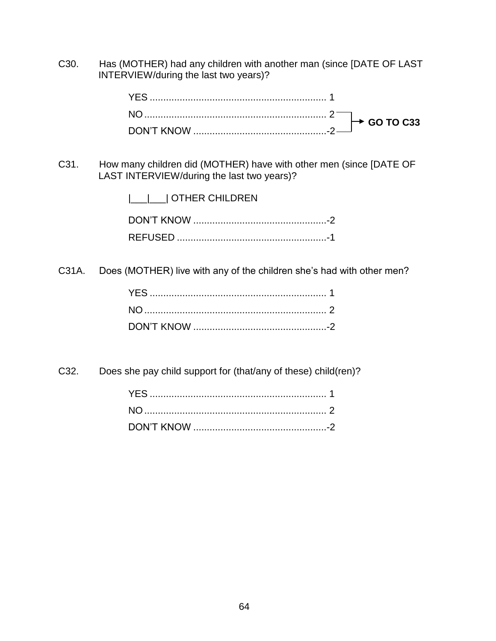C30. Has (MOTHER) had any children with another man (since [DATE OF LAST INTERVIEW/during the last two years)?

C31. How many children did (MOTHER) have with other men (since [DATE OF LAST INTERVIEW/during the last two years)?

| __ __  OTHER CHILDREN |
|-----------------------|
|                       |
|                       |

C31A. Does (MOTHER) live with any of the children she's had with other men?

C32. Does she pay child support for (that/any of these) child(ren)?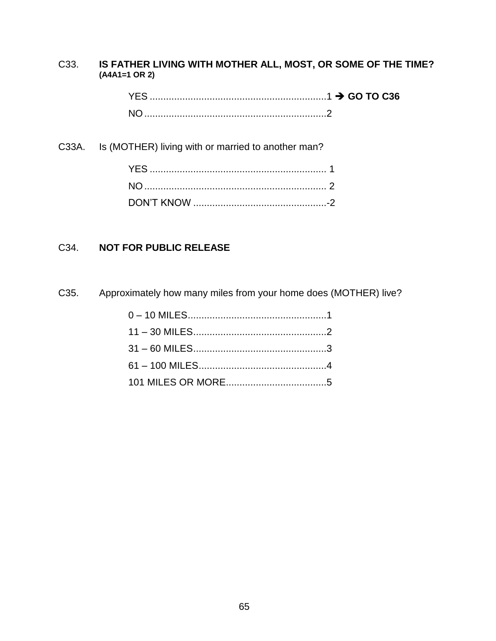# C33. **IS FATHER LIVING WITH MOTHER ALL, MOST, OR SOME OF THE TIME? (A4A1=1 OR 2)**

YES .................................................................1 **GO TO C36** NO...................................................................2

C33A. Is (MOTHER) living with or married to another man?

# C34. **NOT FOR PUBLIC RELEASE**

C35. Approximately how many miles from your home does (MOTHER) live?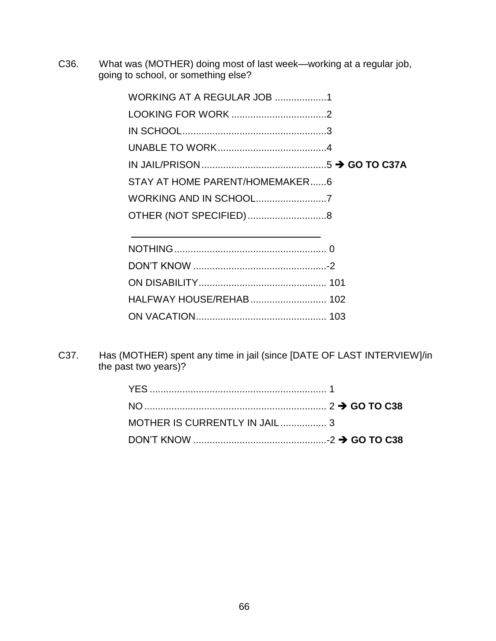C36. What was (MOTHER) doing most of last week—working at a regular job, going to school, or something else?

| <b>WORKING AT A REGULAR JOB 1</b> |  |
|-----------------------------------|--|
|                                   |  |
|                                   |  |
|                                   |  |
|                                   |  |
| STAY AT HOME PARENT/HOMEMAKER6    |  |
|                                   |  |
|                                   |  |
|                                   |  |
|                                   |  |
|                                   |  |
|                                   |  |
|                                   |  |
|                                   |  |

C37. Has (MOTHER) spent any time in jail (since [DATE OF LAST INTERVIEW]/in the past two years)?

ON VACATION................................................ 103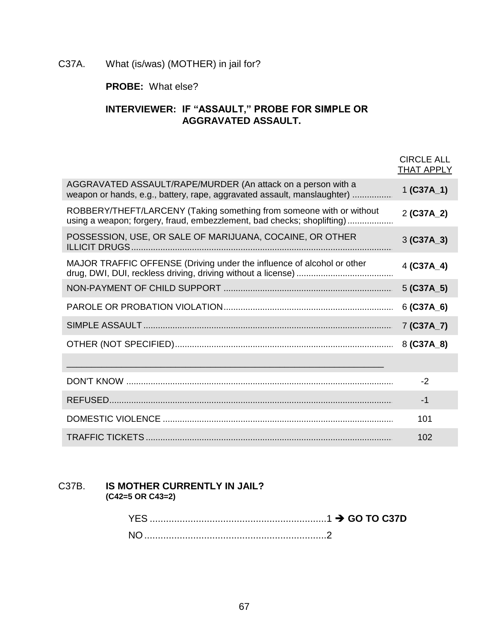# C37A. What (is/was) (MOTHER) in jail for?

# **PROBE:** What else?

# **INTERVIEWER: IF "ASSAULT," PROBE FOR SIMPLE OR AGGRAVATED ASSAULT.**

|                                                                                                                                                | <b>CIRCLE ALL</b><br><b>THAT APPLY</b> |
|------------------------------------------------------------------------------------------------------------------------------------------------|----------------------------------------|
| AGGRAVATED ASSAULT/RAPE/MURDER (An attack on a person with a<br>weapon or hands, e.g., battery, rape, aggravated assault, manslaughter)        | $1 (C37A_1)$                           |
| ROBBERY/THEFT/LARCENY (Taking something from someone with or without<br>using a weapon; forgery, fraud, embezzlement, bad checks; shoplifting) | 2 (C37A_2)                             |
| POSSESSION, USE, OR SALE OF MARIJUANA, COCAINE, OR OTHER                                                                                       | $3 (C37A_3)$                           |
| MAJOR TRAFFIC OFFENSE (Driving under the influence of alcohol or other                                                                         | $4 (C37A_4)$                           |
|                                                                                                                                                | $5$ (C37A $\_5$ )                      |
|                                                                                                                                                | $6$ (C37A $_6$ )                       |
|                                                                                                                                                | 7 (C37A_7)                             |
|                                                                                                                                                | 8 (C37A_8)                             |
|                                                                                                                                                |                                        |
|                                                                                                                                                | $-2$                                   |
|                                                                                                                                                | -1                                     |
|                                                                                                                                                | 101                                    |
|                                                                                                                                                | 102                                    |

### C37B. **IS MOTHER CURRENTLY IN JAIL? (C42=5 OR C43=2)**

| YES.           |  |
|----------------|--|
| N <sub>O</sub> |  |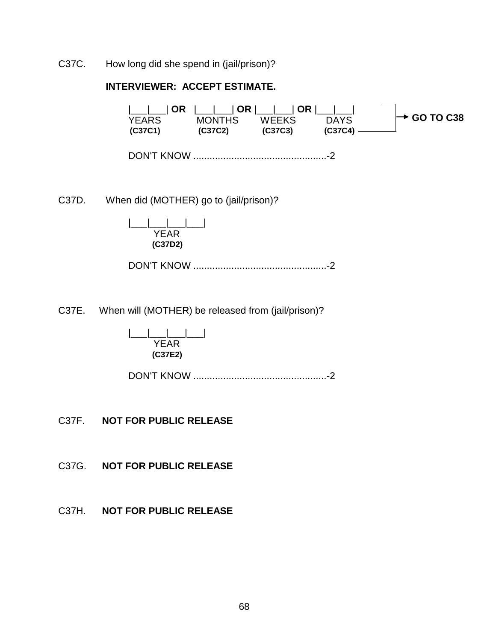C37C. How long did she spend in (jail/prison)?

### **INTERVIEWER: ACCEPT ESTIMATE.**

|\_\_\_|\_\_\_| **OR** |\_\_\_|\_\_\_| **OR** |\_\_\_|\_\_\_| **OR** |\_\_\_|\_\_\_| YEARS MONTHS WEEKS DAYS<br>(C37C1) (C37C2) (C37C3) (C37C4) –  **(C37C1) (C37C2) (C37C3) (C37C4)** DON'T KNOW .................................................-2 **GO TO C38**

C37D. When did (MOTHER) go to (jail/prison)?

|\_\_\_|\_\_\_|\_\_\_|\_\_\_| YEAR  **(C37D2)** 

DON'T KNOW .................................................-2

C37E. When will (MOTHER) be released from (jail/prison)?

|\_\_\_|\_\_\_|\_\_\_|\_\_\_| YEAR  **(C37E2)** 

DON'T KNOW .................................................-2

C37F. **NOT FOR PUBLIC RELEASE**

C37G. **NOT FOR PUBLIC RELEASE**

C37H. **NOT FOR PUBLIC RELEASE**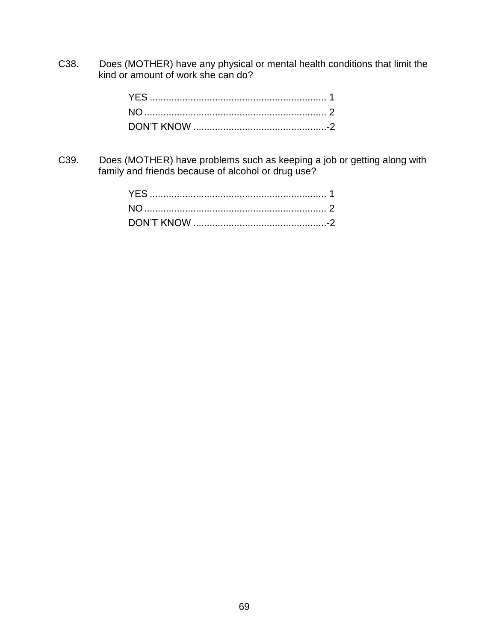C38. Does (MOTHER) have any physical or mental health conditions that limit the kind or amount of work she can do?

C39. Does (MOTHER) have problems such as keeping a job or getting along with family and friends because of alcohol or drug use?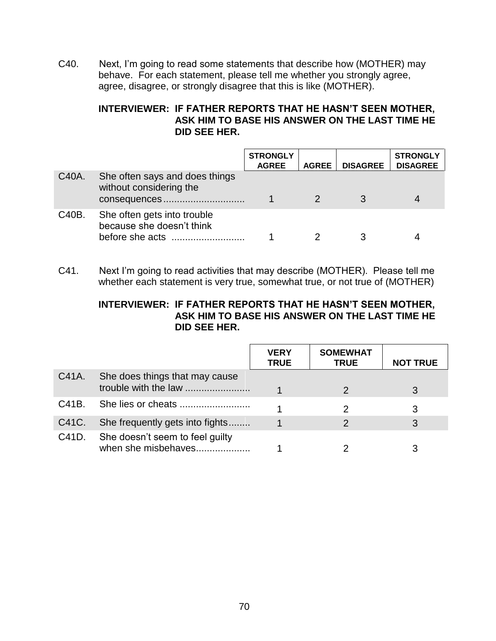C40. Next, I'm going to read some statements that describe how (MOTHER) may behave. For each statement, please tell me whether you strongly agree, agree, disagree, or strongly disagree that this is like (MOTHER).

# **INTERVIEWER: IF FATHER REPORTS THAT HE HASN'T SEEN MOTHER, ASK HIM TO BASE HIS ANSWER ON THE LAST TIME HE DID SEE HER.**

|       |                                                                             | <b>STRONGLY</b><br><b>AGREE</b> | <b>AGREE</b> | <b>DISAGREE</b> | <b>STRONGLY</b><br><b>DISAGREE</b> |
|-------|-----------------------------------------------------------------------------|---------------------------------|--------------|-----------------|------------------------------------|
| C40A. | She often says and does things<br>without considering the<br>consequences   |                                 |              |                 |                                    |
| C40B. | She often gets into trouble<br>because she doesn't think<br>before she acts |                                 |              |                 |                                    |

C41. Next I'm going to read activities that may describe (MOTHER). Please tell me whether each statement is very true, somewhat true, or not true of (MOTHER)

### **INTERVIEWER: IF FATHER REPORTS THAT HE HASN'T SEEN MOTHER, ASK HIM TO BASE HIS ANSWER ON THE LAST TIME HE DID SEE HER.**

|       |                                                        | <b>VERY</b><br><b>TRUE</b> | <b>SOMEWHAT</b><br><b>TRUE</b> | <b>NOT TRUE</b> |
|-------|--------------------------------------------------------|----------------------------|--------------------------------|-----------------|
| C41A. | She does things that may cause<br>trouble with the law |                            |                                | 3               |
| C41B. |                                                        |                            |                                | 3               |
| C41C. | She frequently gets into fights                        |                            |                                | 3               |
| C41D. | She doesn't seem to feel guilty<br>when she misbehaves |                            |                                |                 |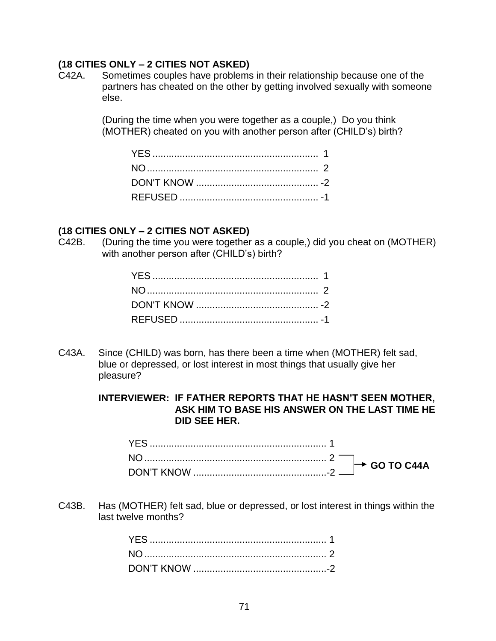### **(18 CITIES ONLY – 2 CITIES NOT ASKED)**

C42A. Sometimes couples have problems in their relationship because one of the partners has cheated on the other by getting involved sexually with someone else.

> (During the time when you were together as a couple,) Do you think (MOTHER) cheated on you with another person after (CHILD's) birth?

### **(18 CITIES ONLY – 2 CITIES NOT ASKED)**

C42B. (During the time you were together as a couple,) did you cheat on (MOTHER) with another person after (CHILD's) birth?

C43A. Since (CHILD) was born, has there been a time when (MOTHER) felt sad, blue or depressed, or lost interest in most things that usually give her pleasure?

> **INTERVIEWER: IF FATHER REPORTS THAT HE HASN'T SEEN MOTHER, ASK HIM TO BASE HIS ANSWER ON THE LAST TIME HE DID SEE HER.**

C43B. Has (MOTHER) felt sad, blue or depressed, or lost interest in things within the last twelve months?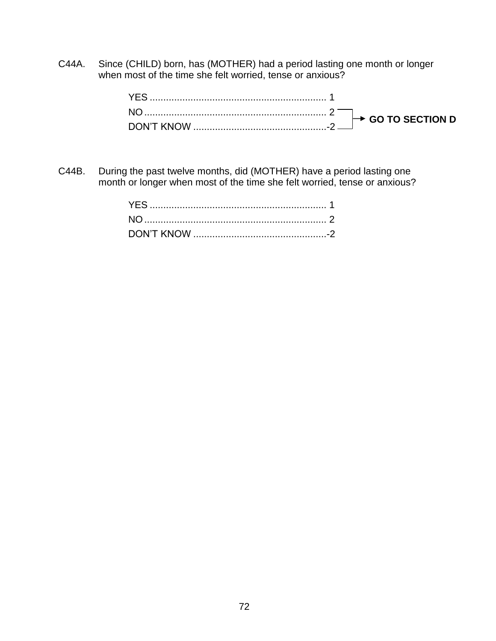C44A. Since (CHILD) born, has (MOTHER) had a period lasting one month or longer when most of the time she felt worried, tense or anxious?

C44B. During the past twelve months, did (MOTHER) have a period lasting one month or longer when most of the time she felt worried, tense or anxious?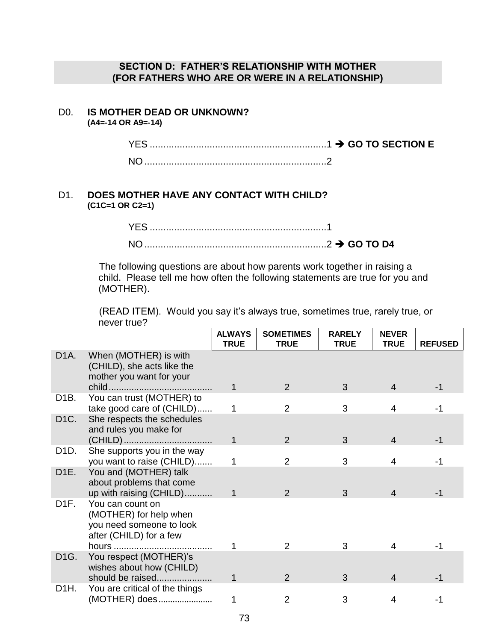### **SECTION D: FATHER'S RELATIONSHIP WITH MOTHER (FOR FATHERS WHO ARE OR WERE IN A RELATIONSHIP)**

# D0. **IS MOTHER DEAD OR UNKNOWN?**

**(A4=-14 OR A9=-14)**

YES .................................................................1 **GO TO SECTION E** NO...................................................................2

### D1. **DOES MOTHER HAVE ANY CONTACT WITH CHILD? (C1C=1 OR C2=1)**

| NC |  |
|----|--|

The following questions are about how parents work together in raising a child. Please tell me how often the following statements are true for you and (MOTHER).

(READ ITEM). Would you say it's always true, sometimes true, rarely true, or never true?

|                   |                                                                                                   | <b>ALWAYS</b><br><b>TRUE</b> | <b>SOMETIMES</b><br><b>TRUE</b> | <b>RARELY</b><br><b>TRUE</b> | <b>NEVER</b><br><b>TRUE</b> | <b>REFUSED</b> |
|-------------------|---------------------------------------------------------------------------------------------------|------------------------------|---------------------------------|------------------------------|-----------------------------|----------------|
| D <sub>1</sub> A. | When (MOTHER) is with<br>(CHILD), she acts like the<br>mother you want for your                   |                              |                                 |                              |                             |                |
|                   |                                                                                                   | 1                            | 2                               | 3                            | 4                           | -1             |
| D <sub>1</sub> B. | You can trust (MOTHER) to<br>take good care of (CHILD)                                            | 1                            | $\overline{2}$                  | 3                            | $\overline{4}$              | -1             |
| D <sub>1</sub> C. | She respects the schedules<br>and rules you make for                                              |                              |                                 |                              |                             |                |
|                   |                                                                                                   | 1                            | 2                               | 3                            | $\overline{4}$              | $-1$           |
| D1D.              | She supports you in the way<br>you want to raise (CHILD)                                          | 1                            | $\overline{2}$                  | 3                            | $\overline{4}$              | -1             |
| D <sub>1</sub> E. | You and (MOTHER) talk<br>about problems that come<br>up with raising (CHILD)                      | 1                            | $\mathcal{P}$                   | 3                            | 4                           | -1             |
| D <sub>1</sub> F. | You can count on<br>(MOTHER) for help when<br>you need someone to look<br>after (CHILD) for a few |                              |                                 |                              |                             |                |
|                   |                                                                                                   |                              | 2                               | 3                            | 4                           |                |
| D <sub>1</sub> G. | You respect (MOTHER)'s<br>wishes about how (CHILD)                                                |                              |                                 |                              |                             |                |
|                   | should be raised                                                                                  | 1                            | $\mathcal{P}$                   | 3                            | 4                           | -1             |
| D <sub>1</sub> H. | You are critical of the things<br>(MOTHER) does                                                   |                              | $\overline{2}$                  | 3                            | 4                           | -1             |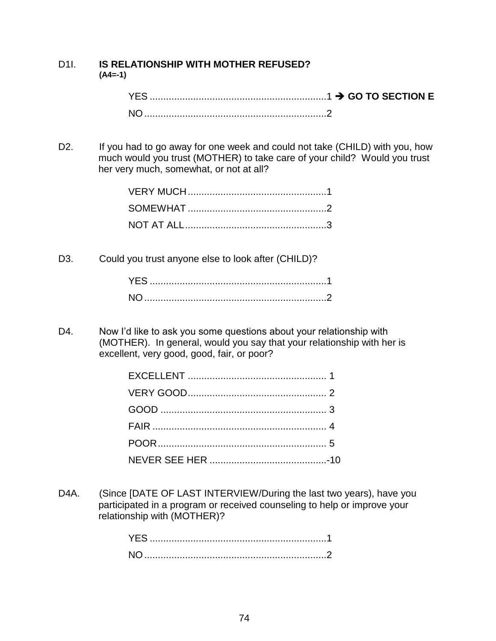### D1I. **IS RELATIONSHIP WITH MOTHER REFUSED? (A4=-1)**

D2. If you had to go away for one week and could not take (CHILD) with you, how much would you trust (MOTHER) to take care of your child? Would you trust her very much, somewhat, or not at all?

D3. Could you trust anyone else to look after (CHILD)?

D4. Now I'd like to ask you some questions about your relationship with (MOTHER). In general, would you say that your relationship with her is excellent, very good, good, fair, or poor?

D4A. (Since [DATE OF LAST INTERVIEW/During the last two years), have you participated in a program or received counseling to help or improve your relationship with (MOTHER)?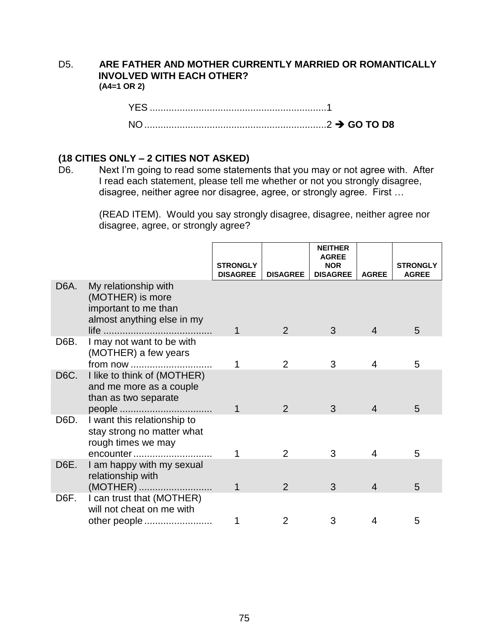### D5. **ARE FATHER AND MOTHER CURRENTLY MARRIED OR ROMANTICALLY INVOLVED WITH EACH OTHER? (A4=1 OR 2)**

| <b>YES</b>     |                                      |
|----------------|--------------------------------------|
| N <sub>O</sub> | ————————————————————————2 → GO TO D8 |

### **(18 CITIES ONLY – 2 CITIES NOT ASKED)**

D6. Next I'm going to read some statements that you may or not agree with. After I read each statement, please tell me whether or not you strongly disagree, disagree, neither agree nor disagree, agree, or strongly agree. First …

> (READ ITEM). Would you say strongly disagree, disagree, neither agree nor disagree, agree, or strongly agree?

|                   |                                                                                                | <b>STRONGLY</b><br><b>DISAGREE</b> | <b>DISAGREE</b> | <b>NEITHER</b><br><b>AGREE</b><br><b>NOR</b><br><b>DISAGREE</b> | <b>AGREE</b> | <b>STRONGLY</b><br><b>AGREE</b> |
|-------------------|------------------------------------------------------------------------------------------------|------------------------------------|-----------------|-----------------------------------------------------------------|--------------|---------------------------------|
| D <sub>6</sub> A. | My relationship with<br>(MOTHER) is more<br>important to me than<br>almost anything else in my |                                    | $\mathcal{P}$   | 3                                                               | 4            | 5                               |
| D6B.              | I may not want to be with<br>(MOTHER) a few years                                              |                                    | 2               | 3                                                               | 4            | 5                               |
| D <sub>6</sub> C. | I like to think of (MOTHER)<br>and me more as a couple<br>than as two separate                 | 1                                  | 2               | 3                                                               | 4            | 5                               |
| D6D.              | I want this relationship to<br>stay strong no matter what<br>rough times we may<br>encounter   |                                    | 2               | 3                                                               | 4            | 5                               |
| D6E.              | I am happy with my sexual<br>relationship with<br>(MOTHER)                                     |                                    | 2               | 3                                                               | 4            | 5                               |
| D6F.              | I can trust that (MOTHER)<br>will not cheat on me with<br>other people                         |                                    | 2               | 3                                                               |              | 5                               |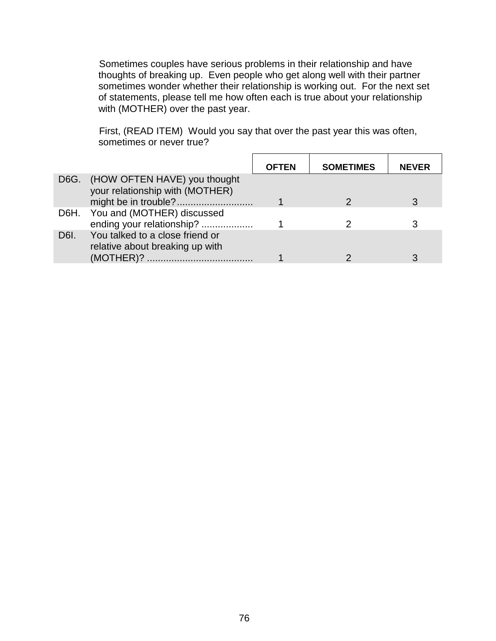Sometimes couples have serious problems in their relationship and have thoughts of breaking up. Even people who get along well with their partner sometimes wonder whether their relationship is working out. For the next set of statements, please tell me how often each is true about your relationship with (MOTHER) over the past year.

First, (READ ITEM) Would you say that over the past year this was often, sometimes or never true?

|      |                                                                      | <b>OFTEN</b> | <b>SOMETIMES</b> | <b>NEVER</b> |
|------|----------------------------------------------------------------------|--------------|------------------|--------------|
|      | D6G. (HOW OFTEN HAVE) you thought<br>your relationship with (MOTHER) |              |                  |              |
|      |                                                                      |              |                  |              |
|      | D6H. You and (MOTHER) discussed                                      |              |                  |              |
|      | ending your relationship?                                            |              |                  |              |
| D6I. | You talked to a close friend or<br>relative about breaking up with   |              |                  |              |
|      | (MOTHER)?                                                            |              |                  |              |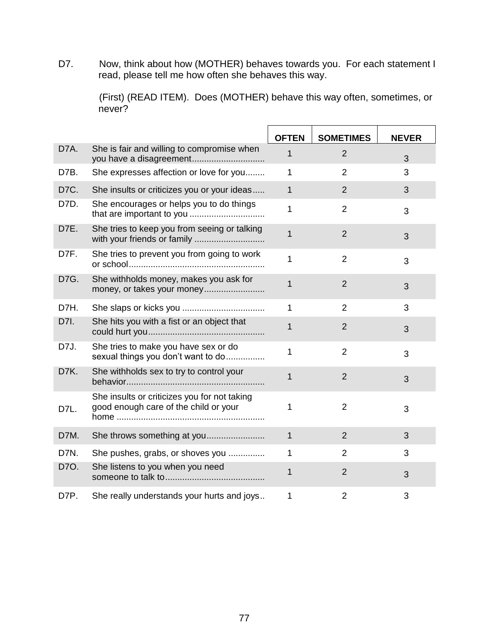D7. Now, think about how (MOTHER) behaves towards you. For each statement I read, please tell me how often she behaves this way.

> (First) (READ ITEM). Does (MOTHER) behave this way often, sometimes, or never?

|      |                                                                                       | <b>OFTEN</b> | <b>SOMETIMES</b> | <b>NEVER</b> |
|------|---------------------------------------------------------------------------------------|--------------|------------------|--------------|
| D7A. | She is fair and willing to compromise when<br>you have a disagreement                 | 1            | 2                | 3            |
| D7B. | She expresses affection or love for you                                               | 1            | $\overline{2}$   | 3            |
| D7C. | She insults or criticizes you or your ideas                                           | $\mathbf{1}$ | $\overline{2}$   | 3            |
| D7D. | She encourages or helps you to do things                                              | 1            | $\overline{2}$   | 3            |
| D7E. | She tries to keep you from seeing or talking<br>with your friends or family           | 1            | $\overline{2}$   | 3            |
| D7F. | She tries to prevent you from going to work                                           | 1            | $\overline{2}$   | 3            |
| D7G. | She withholds money, makes you ask for<br>money, or takes your money                  | 1            | $\overline{2}$   | 3            |
| D7H. |                                                                                       | 1            | $\overline{2}$   | 3            |
| D7I. | She hits you with a fist or an object that                                            | 1            | $\overline{2}$   | 3            |
| D7J. | She tries to make you have sex or do<br>sexual things you don't want to do            | 1            | $\overline{2}$   | 3            |
| D7K. | She withholds sex to try to control your                                              | 1            | $\overline{2}$   | 3            |
| D7L. | She insults or criticizes you for not taking<br>good enough care of the child or your | 1            | 2                | 3            |
| D7M. |                                                                                       | $\mathbf{1}$ | $\overline{2}$   | 3            |
| D7N. | She pushes, grabs, or shoves you                                                      | 1            | $\overline{2}$   | 3            |
| D70. | She listens to you when you need                                                      | 1            | $\overline{2}$   | 3            |
| D7P. | She really understands your hurts and joys                                            | 1            | $\overline{2}$   | 3            |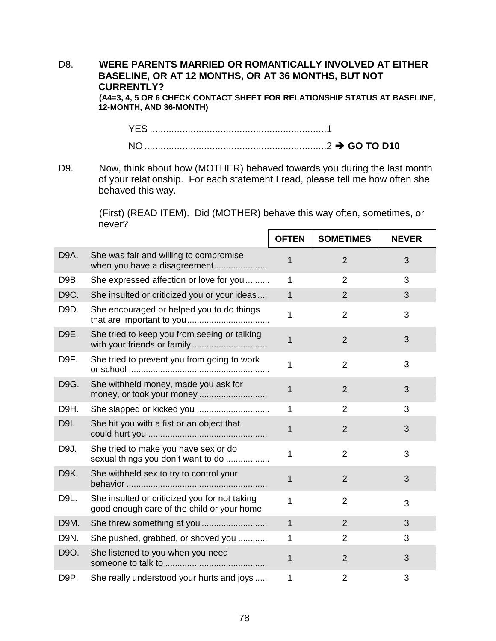# D8. **WERE PARENTS MARRIED OR ROMANTICALLY INVOLVED AT EITHER BASELINE, OR AT 12 MONTHS, OR AT 36 MONTHS, BUT NOT CURRENTLY?**

**(A4=3, 4, 5 OR 6 CHECK CONTACT SHEET FOR RELATIONSHIP STATUS AT BASELINE, 12-MONTH, AND 36-MONTH)**

YES .................................................................1 NO...................................................................2 **GO TO D10**

D9. Now, think about how (MOTHER) behaved towards you during the last month of your relationship. For each statement I read, please tell me how often she behaved this way.

> (First) (READ ITEM). Did (MOTHER) behave this way often, sometimes, or never?

|      |                                                                                             | <b>OFTEN</b> | <b>SOMETIMES</b> | <b>NEVER</b> |
|------|---------------------------------------------------------------------------------------------|--------------|------------------|--------------|
| D9A. | She was fair and willing to compromise<br>when you have a disagreement                      | 1            | $\overline{2}$   | 3            |
| D9B. | She expressed affection or love for you                                                     | 1            | $\overline{2}$   | 3            |
| D9C. | She insulted or criticized you or your ideas                                                | 1            | $\overline{2}$   | 3            |
| D9D. | She encouraged or helped you to do things                                                   | 1            | $\overline{2}$   | 3            |
| D9E. | She tried to keep you from seeing or talking                                                | 1            | $\overline{2}$   | 3            |
| D9F. | She tried to prevent you from going to work                                                 | 1            | $\overline{2}$   | 3            |
| D9G. | She withheld money, made you ask for                                                        | 1            | $\overline{2}$   | 3            |
| D9H. |                                                                                             | 1            | $\overline{2}$   | 3            |
| D9I. | She hit you with a fist or an object that                                                   | 1            | $\overline{2}$   | 3            |
| D9J. | She tried to make you have sex or do<br>sexual things you don't want to do                  | 1            | $\overline{2}$   | 3            |
| D9K. | She withheld sex to try to control your                                                     | 1            | $\overline{2}$   | 3            |
| D9L. | She insulted or criticized you for not taking<br>good enough care of the child or your home | 1            | $\overline{2}$   | 3            |
| D9M. |                                                                                             | $\mathbf{1}$ | $\overline{2}$   | 3            |
| D9N. | She pushed, grabbed, or shoved you                                                          | 1            | $\overline{2}$   | 3            |
| D9O. | She listened to you when you need                                                           | 1            | $\overline{2}$   | 3            |
| D9P. | She really understood your hurts and joys                                                   | 1            | $\overline{2}$   | 3            |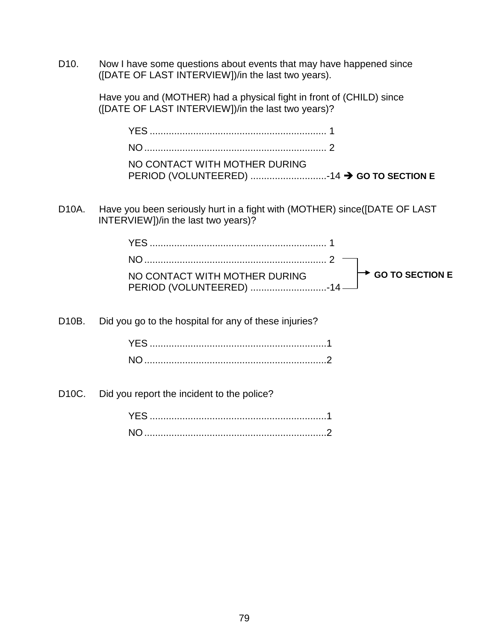D10. Now I have some questions about events that may have happened since ([DATE OF LAST INTERVIEW])/in the last two years).

> Have you and (MOTHER) had a physical fight in front of (CHILD) since ([DATE OF LAST INTERVIEW])/in the last two years)?

| NO CONTACT WITH MOTHER DURING |  |
|-------------------------------|--|
|                               |  |

D10A. Have you been seriously hurt in a fight with (MOTHER) since([DATE OF LAST INTERVIEW])/in the last two years)?

| NO CONTACT WITH MOTHER DURING | $\mapsto$ GO TO SECTION E |
|-------------------------------|---------------------------|
|                               |                           |

D10B. Did you go to the hospital for any of these injuries?

D10C. Did you report the incident to the police?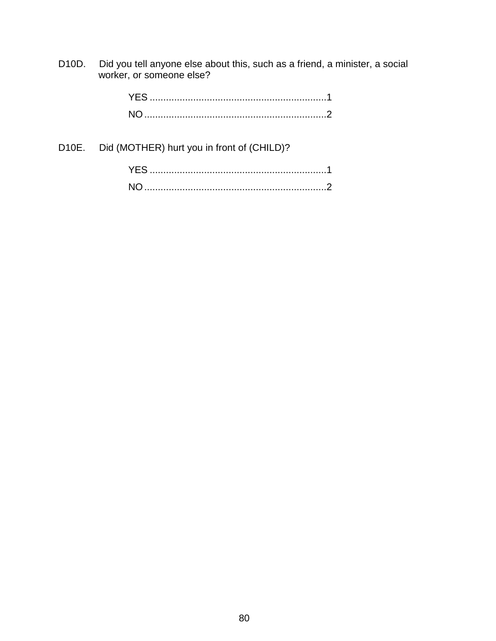D10D. Did you tell anyone else about this, such as a friend, a minister, a social worker, or someone else?

D10E. Did (MOTHER) hurt you in front of (CHILD)?

| YES.      |  |
|-----------|--|
| <b>NO</b> |  |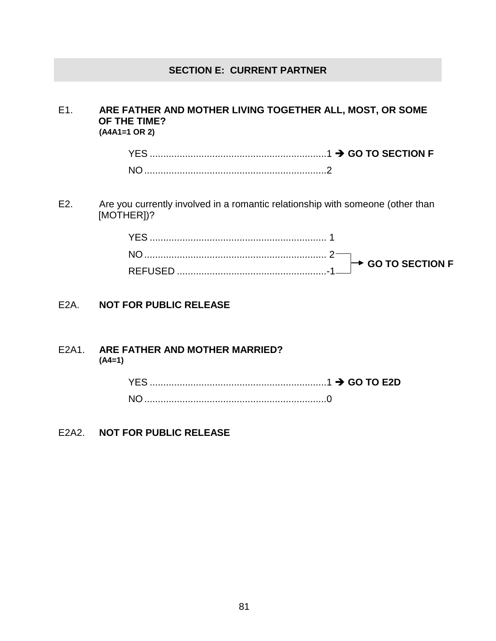### **SECTION E: CURRENT PARTNER**

### E1. **ARE FATHER AND MOTHER LIVING TOGETHER ALL, MOST, OR SOME OF THE TIME? (A4A1=1 OR 2)**

YES .................................................................1 **GO TO SECTION F** NO...................................................................2

E2. Are you currently involved in a romantic relationship with someone (other than [MOTHER])?

### E2A. **NOT FOR PUBLIC RELEASE**

#### E2A1. **ARE FATHER AND MOTHER MARRIED? (A4=1)**

### E2A2. **NOT FOR PUBLIC RELEASE**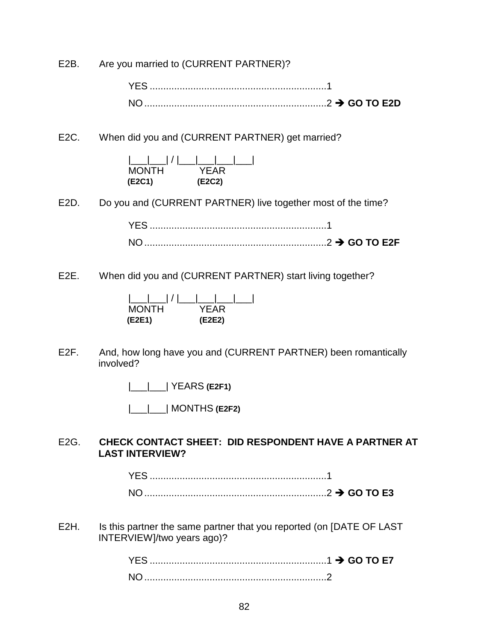E2B. Are you married to (CURRENT PARTNER)?

YES .................................................................1 NO...................................................................2 **GO TO E2D**

E2C. When did you and (CURRENT PARTNER) get married?

|\_\_\_|\_\_\_| / |\_\_\_|\_\_\_|\_\_\_|\_\_\_| MONTH YEAR **(E2C1) (E2C2)**

E2D. Do you and (CURRENT PARTNER) live together most of the time?

YES .................................................................1 NO...................................................................2 **GO TO E2F**

E2E. When did you and (CURRENT PARTNER) start living together?



E2F. And, how long have you and (CURRENT PARTNER) been romantically involved?

|\_\_\_|\_\_\_| YEARS **(E2F1)**

|\_\_\_|\_\_\_| MONTHS **(E2F2)**

### E2G. **CHECK CONTACT SHEET: DID RESPONDENT HAVE A PARTNER AT LAST INTERVIEW?**

| NO. | $\ldots$ GO TO E3 |
|-----|-------------------|

E2H. Is this partner the same partner that you reported (on [DATE OF LAST INTERVIEW]/two years ago)?

| <b>YES</b> |  |
|------------|--|
| <b>NO</b>  |  |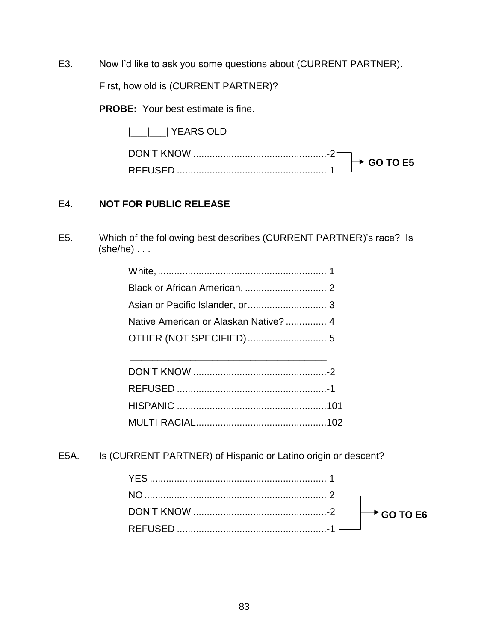E3. Now I'd like to ask you some questions about (CURRENT PARTNER).

First, how old is (CURRENT PARTNER)?

**PROBE:** Your best estimate is fine.

|\_\_\_|\_\_\_| YEARS OLD

| <b>TION'T KNOW</b> | GO TO E5 |
|--------------------|----------|
| <b>REFUSED</b>     |          |

### E4. **NOT FOR PUBLIC RELEASE**

E5. Which of the following best describes (CURRENT PARTNER)'s race? Is (she/he) . . .

| Asian or Pacific Islander, or 3       |  |
|---------------------------------------|--|
| Native American or Alaskan Native?  4 |  |
|                                       |  |
|                                       |  |

E5A. Is (CURRENT PARTNER) of Hispanic or Latino origin or descent?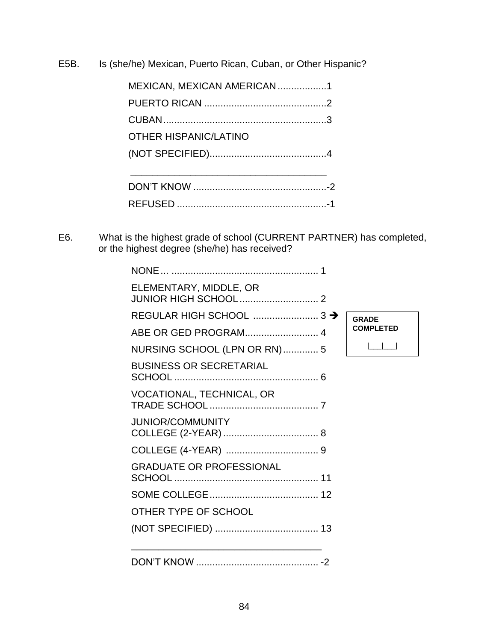E5B. Is (she/he) Mexican, Puerto Rican, Cuban, or Other Hispanic?

| MEXICAN, MEXICAN AMERICAN 1  |  |
|------------------------------|--|
|                              |  |
|                              |  |
| <b>OTHER HISPANIC/LATINO</b> |  |
|                              |  |
|                              |  |
|                              |  |
|                              |  |

E6. What is the highest grade of school (CURRENT PARTNER) has completed, or the highest degree (she/he) has received?

| ELEMENTARY, MIDDLE, OR          |                  |
|---------------------------------|------------------|
|                                 | <b>GRADE</b>     |
| ABE OR GED PROGRAM 4            | <b>COMPLETED</b> |
| NURSING SCHOOL (LPN OR RN)  5   |                  |
| <b>BUSINESS OR SECRETARIAL</b>  |                  |
| VOCATIONAL, TECHNICAL, OR       |                  |
| <b>JUNIOR/COMMUNITY</b>         |                  |
|                                 |                  |
| <b>GRADUATE OR PROFESSIONAL</b> |                  |
|                                 |                  |
| OTHER TYPE OF SCHOOL            |                  |
|                                 |                  |
|                                 |                  |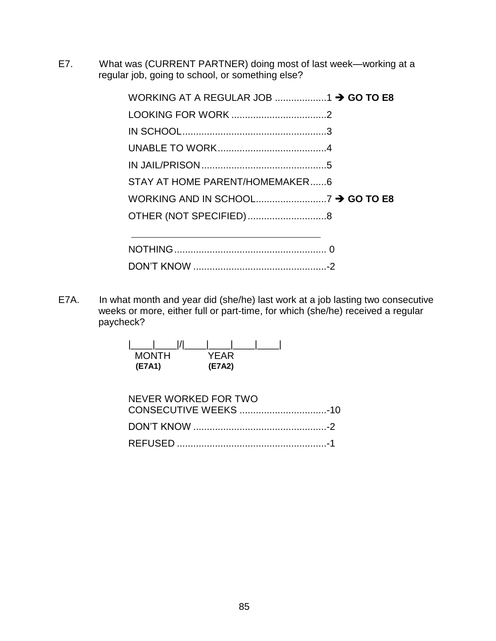E7. What was (CURRENT PARTNER) doing most of last week—working at a regular job, going to school, or something else?

| STAY AT HOME PARENT/HOMEMAKER6                                                                                          |  |
|-------------------------------------------------------------------------------------------------------------------------|--|
|                                                                                                                         |  |
|                                                                                                                         |  |
| the control of the control of the control of the control of the control of the control of the control of the control of |  |
|                                                                                                                         |  |
|                                                                                                                         |  |

E7A. In what month and year did (she/he) last work at a job lasting two consecutive weeks or more, either full or part-time, for which (she/he) received a regular paycheck?

| <b>MONTH</b> | YFAR   |
|--------------|--------|
| (E7A1)       | (E7A2) |

| NEVER WORKED FOR TWO |  |
|----------------------|--|
|                      |  |
|                      |  |
|                      |  |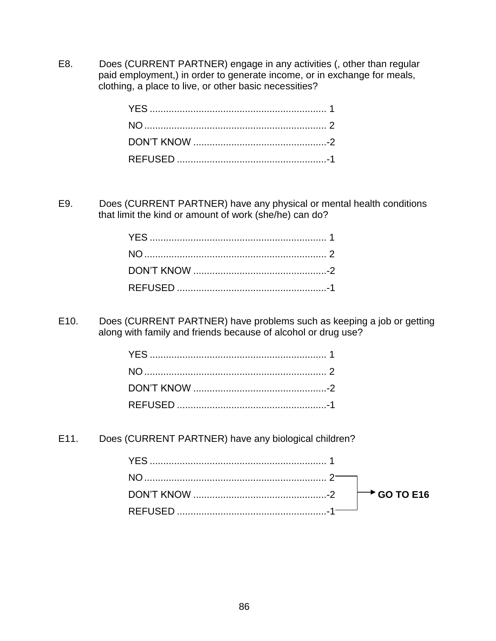E8. Does (CURRENT PARTNER) engage in any activities (, other than regular paid employment,) in order to generate income, or in exchange for meals, clothing, a place to live, or other basic necessities?

E9. Does (CURRENT PARTNER) have any physical or mental health conditions that limit the kind or amount of work (she/he) can do?

E10. Does (CURRENT PARTNER) have problems such as keeping a job or getting along with family and friends because of alcohol or drug use?

E11. Does (CURRENT PARTNER) have any biological children?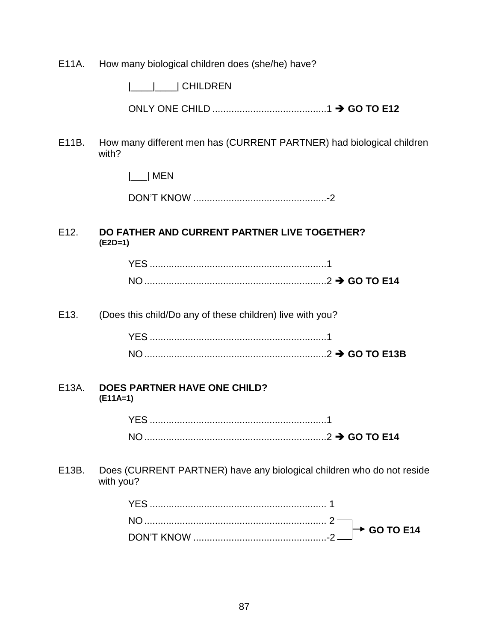E11A. How many biological children does (she/he) have?

|\_\_\_\_|\_\_\_\_| CHILDREN

ONLY ONE CHILD ..........................................1 **GO TO E12**

E11B. How many different men has (CURRENT PARTNER) had biological children with?

|\_\_\_| MEN

DON'T KNOW .................................................-2

### E12. **DO FATHER AND CURRENT PARTNER LIVE TOGETHER? (E2D=1)**

| YF.            |  |
|----------------|--|
| N <sub>O</sub> |  |

E13. (Does this child/Do any of these children) live with you?

| YES            |  |
|----------------|--|
| N <sub>0</sub> |  |

#### E13A. **DOES PARTNER HAVE ONE CHILD? (E11A=1)**

YES .................................................................1 NO...................................................................2 **GO TO E14**

E13B. Does (CURRENT PARTNER) have any biological children who do not reside with you?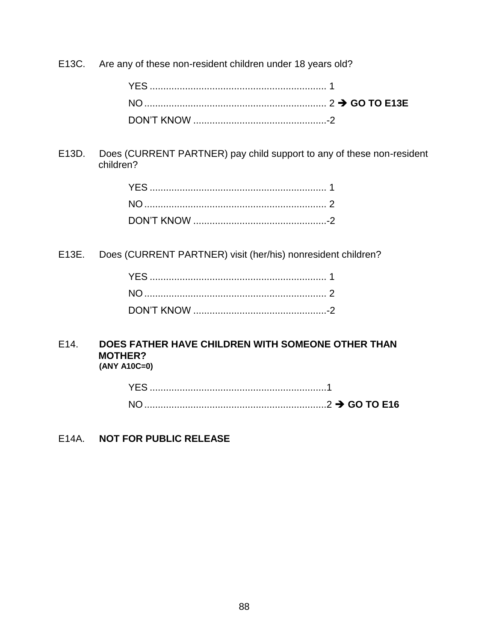E13C. Are any of these non-resident children under 18 years old?

E13D. Does (CURRENT PARTNER) pay child support to any of these non-resident children?

E13E. Does (CURRENT PARTNER) visit (her/his) nonresident children?

### E14. **DOES FATHER HAVE CHILDREN WITH SOMEONE OTHER THAN MOTHER? (ANY A10C=0)**

| <b>YES</b> |  |
|------------|--|
| <b>NO</b>  |  |

# E14A. **NOT FOR PUBLIC RELEASE**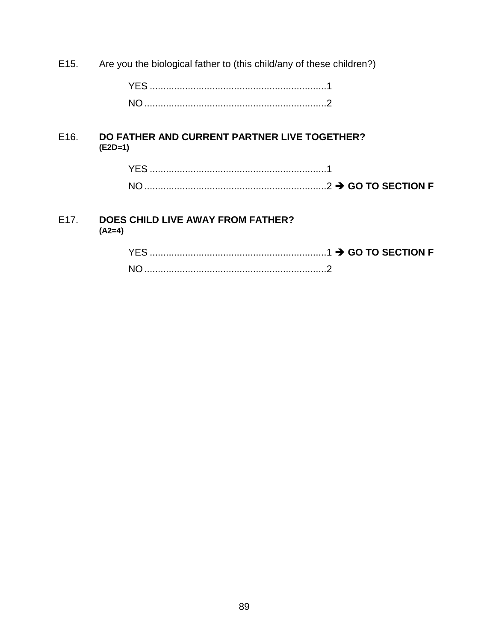E15. Are you the biological father to (this child/any of these children?)

YES .................................................................1 NO...................................................................2

### E16. **DO FATHER AND CURRENT PARTNER LIVE TOGETHER? (E2D=1)**

| <b>YES</b>     |  |
|----------------|--|
| N <sub>O</sub> |  |

### E17. **DOES CHILD LIVE AWAY FROM FATHER? (A2=4)**

| <b>YES</b>     |  |
|----------------|--|
| N <sub>O</sub> |  |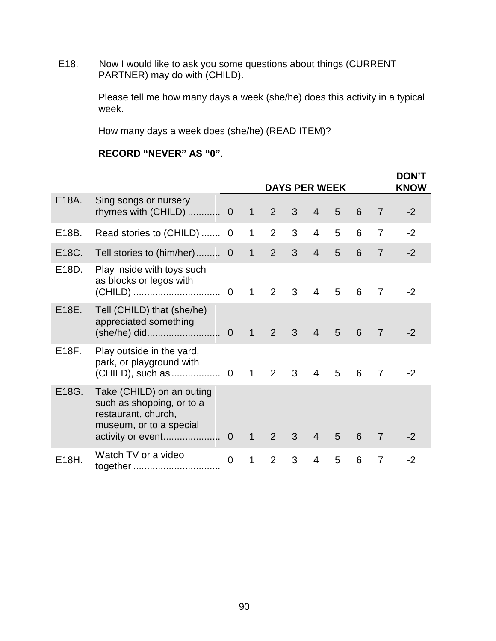E18. Now I would like to ask you some questions about things (CURRENT PARTNER) may do with (CHILD).

> Please tell me how many days a week (she/he) does this activity in a typical week.

How many days a week does (she/he) (READ ITEM)?

# **RECORD "NEVER" AS "0".**

|       |                                                                                                          |                |              |                | <b>DAYS PER WEEK</b> |                |   |   |                | <b>DON'T</b><br><b>KNOW</b> |
|-------|----------------------------------------------------------------------------------------------------------|----------------|--------------|----------------|----------------------|----------------|---|---|----------------|-----------------------------|
| E18A. | Sing songs or nursery<br>rhymes with (CHILD)  0                                                          |                | $\mathbf{1}$ | 2              | 3                    | $\overline{4}$ | 5 | 6 | $\overline{7}$ | $-2$                        |
| E18B. | Read stories to (CHILD)  0                                                                               |                | $\mathbf{1}$ | 2              | 3                    | $\overline{4}$ | 5 | 6 | $\overline{7}$ | $-2$                        |
| E18C. | Tell stories to (him/her) 0                                                                              |                | $\mathbf{1}$ | 2              | 3                    | $\overline{4}$ | 5 | 6 | $\overline{7}$ | $-2$                        |
| E18D. | Play inside with toys such<br>as blocks or legos with                                                    |                | $\mathbf{1}$ | 2 <sup>7</sup> | 3                    | $\overline{4}$ | 5 | 6 | $\overline{7}$ | $-2$                        |
| E18E. | Tell (CHILD) that (she/he)<br>appreciated something                                                      |                | $\mathbf{1}$ | $2^{\circ}$    | $\mathbf{3}$         | $\overline{4}$ | 5 | 6 | $\overline{7}$ | $-2$                        |
| E18F. | Play outside in the yard,<br>park, or playground with                                                    |                | $\mathbf{1}$ | 2              | 3                    | $\overline{4}$ | 5 | 6 | $\overline{7}$ | $-2$                        |
| E18G. | Take (CHILD) on an outing<br>such as shopping, or to a<br>restaurant, church,<br>museum, or to a special |                | $\mathbf{1}$ | 2              | 3                    | $\overline{4}$ | 5 | 6 | 7              | -2                          |
| E18H. | Watch TV or a video<br>together                                                                          | $\overline{0}$ | $\mathbf{1}$ | 2              | 3                    | $\overline{4}$ | 5 | 6 | 7              | -2                          |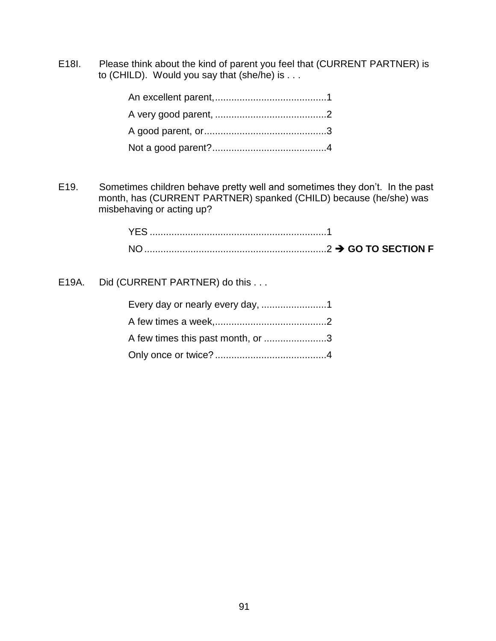E18I. Please think about the kind of parent you feel that (CURRENT PARTNER) is to (CHILD). Would you say that (she/he) is . . .

E19. Sometimes children behave pretty well and sometimes they don't. In the past month, has (CURRENT PARTNER) spanked (CHILD) because (he/she) was misbehaving or acting up?

| <b>NO</b> |  |
|-----------|--|

E19A. Did (CURRENT PARTNER) do this . . .

| A few times this past month, or 3 |  |
|-----------------------------------|--|
|                                   |  |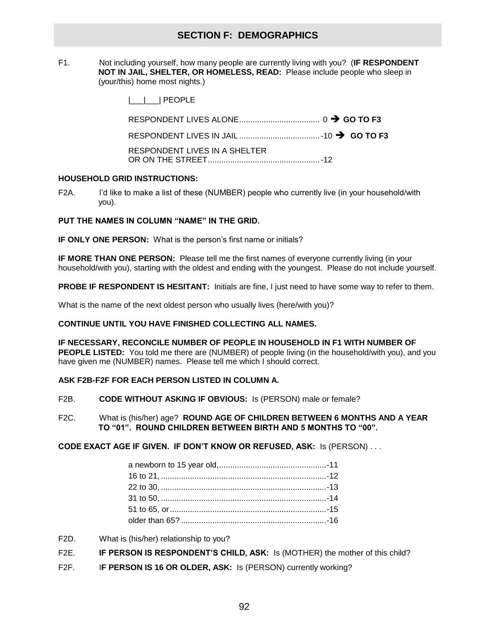### **SECTION F: DEMOGRAPHICS**

F1. Not including yourself, how many people are currently living with you? (**IF RESPONDENT NOT IN JAIL, SHELTER, OR HOMELESS, READ:** Please include people who sleep in (your/this) home most nights.)

|\_\_\_|\_\_\_| PEOPLE

| RESPONDENT LIVES IN JAIL $\ldots$ $\ldots$ $\ldots$ $\ldots$ $\ldots$ $\ldots$ $\ldots$ $\rightarrow$ GO TO F3 |  |
|----------------------------------------------------------------------------------------------------------------|--|
| RESPONDENT LIVES IN A SHELTER                                                                                  |  |

#### **HOUSEHOLD GRID INSTRUCTIONS:**

F2A. I'd like to make a list of these (NUMBER) people who currently live (in your household/with you).

#### **PUT THE NAMES IN COLUMN "NAME" IN THE GRID.**

**IF ONLY ONE PERSON:** What is the person's first name or initials?

**IF MORE THAN ONE PERSON:** Please tell me the first names of everyone currently living (in your household/with you), starting with the oldest and ending with the youngest. Please do not include yourself.

**PROBE IF RESPONDENT IS HESITANT:** Initials are fine, I just need to have some way to refer to them.

What is the name of the next oldest person who usually lives (here/with you)?

#### **CONTINUE UNTIL YOU HAVE FINISHED COLLECTING ALL NAMES.**

**IF NECESSARY, RECONCILE NUMBER OF PEOPLE IN HOUSEHOLD IN F1 WITH NUMBER OF PEOPLE LISTED:** You told me there are (NUMBER) of people living (in the household/with you), and you have given me (NUMBER) names. Please tell me which I should correct.

#### **ASK F2B-F2F FOR EACH PERSON LISTED IN COLUMN A.**

- F2B. **CODE WITHOUT ASKING IF OBVIOUS:** Is (PERSON) male or female?
- F2C. What is (his/her) age? **ROUND AGE OF CHILDREN BETWEEN 6 MONTHS AND A YEAR TO "01". ROUND CHILDREN BETWEEN BIRTH AND 5 MONTHS TO "00".**

**CODE EXACT AGE IF GIVEN. IF DON'T KNOW OR REFUSED, ASK:** Is (PERSON) . . .

- F2D. What is (his/her) relationship to you?
- F2E. **IF PERSON IS RESPONDENT'S CHILD, ASK:** Is (MOTHER) the mother of this child?
- F2F. I**F PERSON IS 16 OR OLDER, ASK:** Is (PERSON) currently working?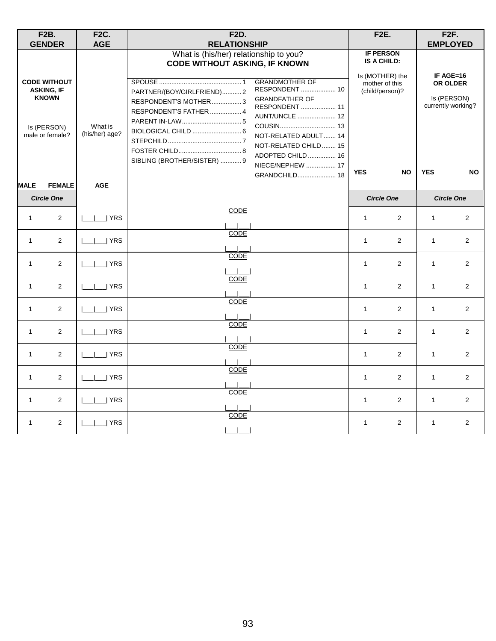|              | <b>F2B.</b><br><b>GENDER</b>                                                               | <b>F2C.</b><br><b>AGE</b> | <b>F2D.</b><br><b>RELATIONSHIP</b>                                                                                                                                                                                                                                                                                     |              | <b>F2E.</b>                                                                             |              | <b>F2F.</b><br><b>EMPLOYED</b>                             |
|--------------|--------------------------------------------------------------------------------------------|---------------------------|------------------------------------------------------------------------------------------------------------------------------------------------------------------------------------------------------------------------------------------------------------------------------------------------------------------------|--------------|-----------------------------------------------------------------------------------------|--------------|------------------------------------------------------------|
|              | <b>CODE WITHOUT</b><br><b>ASKING, IF</b><br><b>KNOWN</b><br>Is (PERSON)<br>male or female? | What is<br>(his/her) age? | What is (his/her) relationship to you?<br><b>CODE WITHOUT ASKING, IF KNOWN</b><br><b>GRANDMOTHER OF</b><br>RESPONDENT  10<br>PARTNER/(BOY/GIRLFRIEND)2<br><b>GRANDFATHER OF</b><br>RESPONDENT'S MOTHER3<br>RESPONDENT  11<br>RESPONDENT'S FATHER  4<br>AUNT/UNCLE  12<br>NOT-RELATED ADULT  14<br>NOT-RELATED CHILD 15 |              | <b>IF PERSON</b><br>IS A CHILD:<br>Is (MOTHER) the<br>mother of this<br>(child/person)? |              | IF AGE=16<br>OR OLDER<br>Is (PERSON)<br>currently working? |
| <b>MALE</b>  | <b>FEMALE</b>                                                                              | <b>AGE</b>                | ADOPTED CHILD  16<br>SIBLING (BROTHER/SISTER)  9<br>NIECE/NEPHEW  17<br>GRANDCHILD 18                                                                                                                                                                                                                                  | <b>YES</b>   | <b>NO</b>                                                                               | <b>YES</b>   | <b>NO</b>                                                  |
|              | <b>Circle One</b>                                                                          |                           |                                                                                                                                                                                                                                                                                                                        |              | <b>Circle One</b>                                                                       |              | <b>Circle One</b>                                          |
| $\mathbf{1}$ | 2                                                                                          | YRS                       | CODE                                                                                                                                                                                                                                                                                                                   | $\mathbf{1}$ | 2                                                                                       | $\mathbf{1}$ | 2                                                          |
| $\mathbf{1}$ | 2                                                                                          | ∣ YRS                     | CODE                                                                                                                                                                                                                                                                                                                   | $\mathbf{1}$ | 2                                                                                       | $\mathbf{1}$ | 2                                                          |
| $\mathbf{1}$ | 2                                                                                          | YRS                       | CODE                                                                                                                                                                                                                                                                                                                   | $\mathbf{1}$ | 2                                                                                       | $\mathbf{1}$ | $\overline{2}$                                             |
| $\mathbf{1}$ | 2                                                                                          | YRS                       | <b>CODE</b>                                                                                                                                                                                                                                                                                                            | $\mathbf{1}$ | 2                                                                                       | $\mathbf{1}$ | $\overline{2}$                                             |
| $\mathbf{1}$ | $\overline{2}$                                                                             | YRS                       | CODE                                                                                                                                                                                                                                                                                                                   | $\mathbf{1}$ | 2                                                                                       | $\mathbf{1}$ | $\overline{2}$                                             |
| $\mathbf{1}$ | 2                                                                                          | YRS                       | CODE                                                                                                                                                                                                                                                                                                                   | $\mathbf{1}$ | 2                                                                                       | $\mathbf{1}$ | $\overline{2}$                                             |
| $\mathbf{1}$ | 2                                                                                          | YRS                       | CODE                                                                                                                                                                                                                                                                                                                   | $\mathbf{1}$ | 2                                                                                       | $\mathbf{1}$ | 2                                                          |
| $\mathbf{1}$ | 2                                                                                          | YRS                       | CODE                                                                                                                                                                                                                                                                                                                   | 1            | 2                                                                                       | $\mathbf{1}$ | $\overline{2}$                                             |
| $\mathbf{1}$ | 2                                                                                          | YRS                       | CODE                                                                                                                                                                                                                                                                                                                   | $\mathbf{1}$ | 2                                                                                       | $\mathbf{1}$ | $\overline{2}$                                             |
| 1            | 2                                                                                          | $\Box$ YRS                | <b>CODE</b>                                                                                                                                                                                                                                                                                                            | $\mathbf{1}$ | 2                                                                                       | $\mathbf{1}$ | 2                                                          |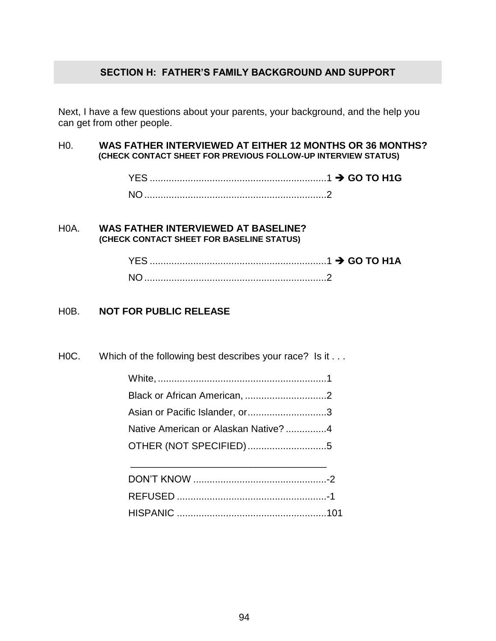### **SECTION H: FATHER'S FAMILY BACKGROUND AND SUPPORT**

Next, I have a few questions about your parents, your background, and the help you can get from other people.

### H0. **WAS FATHER INTERVIEWED AT EITHER 12 MONTHS OR 36 MONTHS? (CHECK CONTACT SHEET FOR PREVIOUS FOLLOW-UP INTERVIEW STATUS)**

| YES. |  |
|------|--|
| NC   |  |

### H0A. **WAS FATHER INTERVIEWED AT BASELINE? (CHECK CONTACT SHEET FOR BASELINE STATUS)**

### H0B. **NOT FOR PUBLIC RELEASE**

H0C. Which of the following best describes your race? Is it . . .

| Asian or Pacific Islander, or3       |  |
|--------------------------------------|--|
| Native American or Alaskan Native? 4 |  |
| OTHER (NOT SPECIFIED)5               |  |
|                                      |  |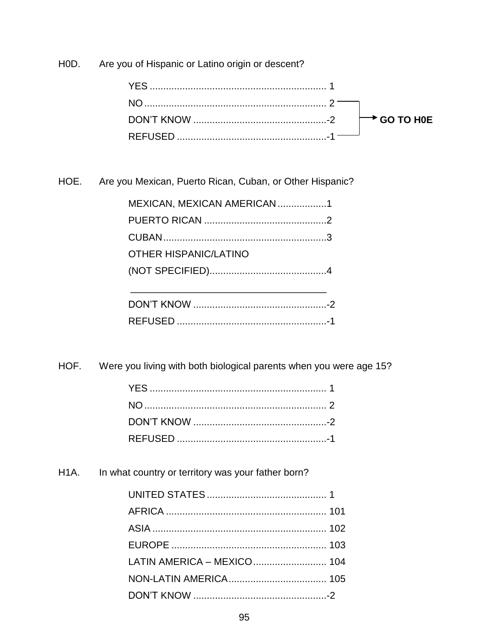HOD. Are you of Hispanic or Latino origin or descent?

HOE. Are you Mexican, Puerto Rican, Cuban, or Other Hispanic?

| MEXICAN, MEXICAN AMERICAN 1  |  |
|------------------------------|--|
|                              |  |
|                              |  |
| <b>OTHER HISPANIC/LATINO</b> |  |
|                              |  |
|                              |  |
|                              |  |
|                              |  |

HOF. Were you living with both biological parents when you were age 15?

H<sub>1</sub>A. In what country or territory was your father born?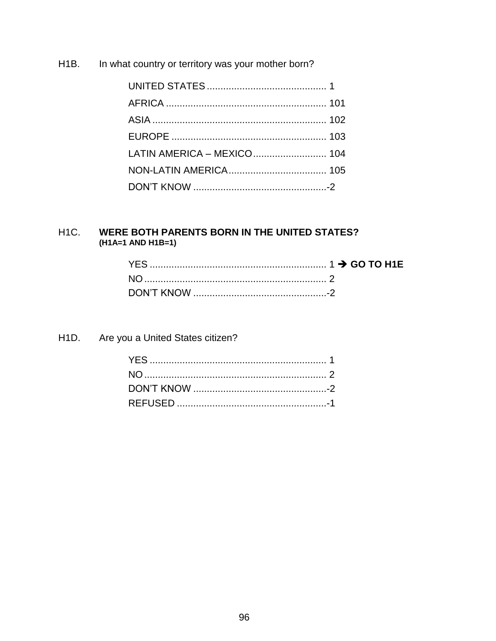H<sub>1</sub>B. In what country or territory was your mother born?

| LATIN AMERICA - MEXICO  104 |  |
|-----------------------------|--|
|                             |  |
|                             |  |

#### WERE BOTH PARENTS BORN IN THE UNITED STATES?  $H1C.$  $(H1A=1 AND H1B=1)$

H<sub>1</sub>D. Are you a United States citizen?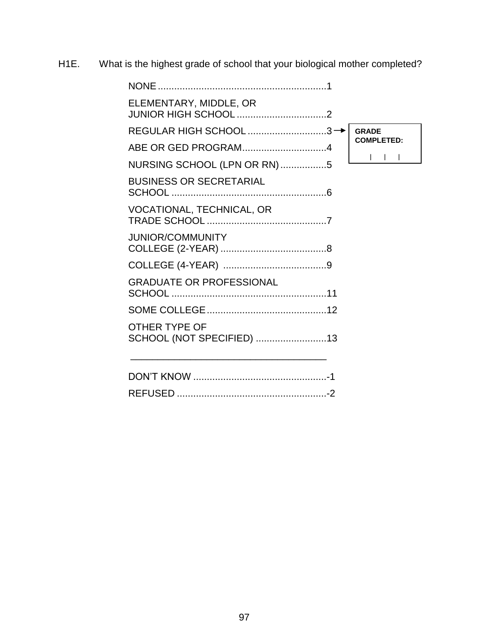H1E. What is the highest grade of school that your biological mother completed?

| <b>NONE</b>                                |                   |  |
|--------------------------------------------|-------------------|--|
| ELEMENTARY, MIDDLE, OR                     |                   |  |
| REGULAR HIGH SCHOOL 3→                     | <b>GRADE</b>      |  |
|                                            | <b>COMPLETED:</b> |  |
| NURSING SCHOOL (LPN OR RN)5                |                   |  |
| <b>BUSINESS OR SECRETARIAL</b>             |                   |  |
| VOCATIONAL, TECHNICAL, OR                  |                   |  |
| <b>JUNIOR/COMMUNITY</b>                    |                   |  |
|                                            |                   |  |
| <b>GRADUATE OR PROFESSIONAL</b>            |                   |  |
|                                            |                   |  |
| OTHER TYPE OF<br>SCHOOL (NOT SPECIFIED) 13 |                   |  |
|                                            |                   |  |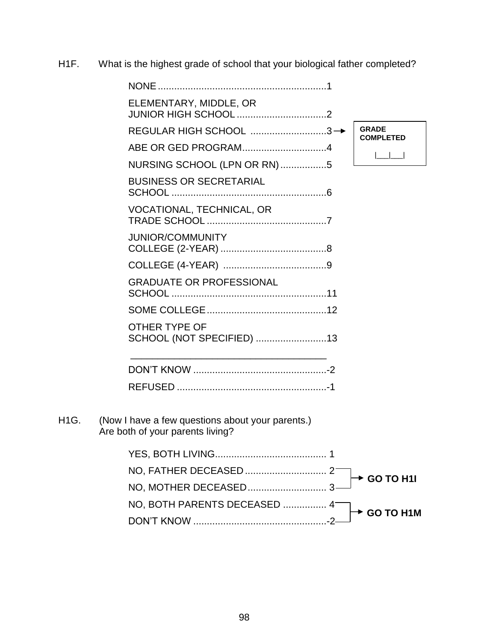H1F. What is the highest grade of school that your biological father completed?

|                   | ELEMENTARY, MIDDLE, OR                                                               |                                  |
|-------------------|--------------------------------------------------------------------------------------|----------------------------------|
|                   | REGULAR HIGH SCHOOL 3→                                                               | <b>GRADE</b><br><b>COMPLETED</b> |
|                   | ABE OR GED PROGRAM4                                                                  |                                  |
|                   | NURSING SCHOOL (LPN OR RN)5                                                          |                                  |
|                   | <b>BUSINESS OR SECRETARIAL</b>                                                       |                                  |
|                   | VOCATIONAL, TECHNICAL, OR                                                            |                                  |
|                   | <b>JUNIOR/COMMUNITY</b>                                                              |                                  |
|                   |                                                                                      |                                  |
|                   | <b>GRADUATE OR PROFESSIONAL</b>                                                      |                                  |
|                   |                                                                                      |                                  |
|                   | OTHER TYPE OF<br>SCHOOL (NOT SPECIFIED) 13                                           |                                  |
|                   |                                                                                      |                                  |
|                   |                                                                                      |                                  |
| H <sub>1</sub> G. | (Now I have a few questions about your parents.)<br>Are both of your parents living? |                                  |
|                   |                                                                                      |                                  |
|                   |                                                                                      |                                  |
|                   |                                                                                      | GO TO H1I                        |
|                   | NO, BOTH PARENTS DECEASED  4                                                         |                                  |
|                   |                                                                                      | <b>GO TO H1M</b>                 |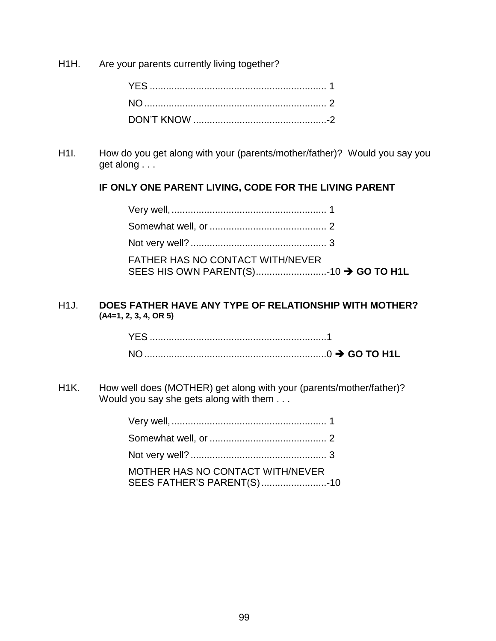H1H. Are your parents currently living together?

H1I. How do you get along with your (parents/mother/father)? Would you say you get along . . .

### **IF ONLY ONE PARENT LIVING, CODE FOR THE LIVING PARENT**

| <b>FATHER HAS NO CONTACT WITH/NEVER</b> |  |
|-----------------------------------------|--|

### H1J. **DOES FATHER HAVE ANY TYPE OF RELATIONSHIP WITH MOTHER? (A4=1, 2, 3, 4, OR 5)**

H1K. How well does (MOTHER) get along with your (parents/mother/father)? Would you say she gets along with them . . .

| MOTHER HAS NO CONTACT WITH/NEVER<br>SEES FATHER'S PARENT(S)10 |  |
|---------------------------------------------------------------|--|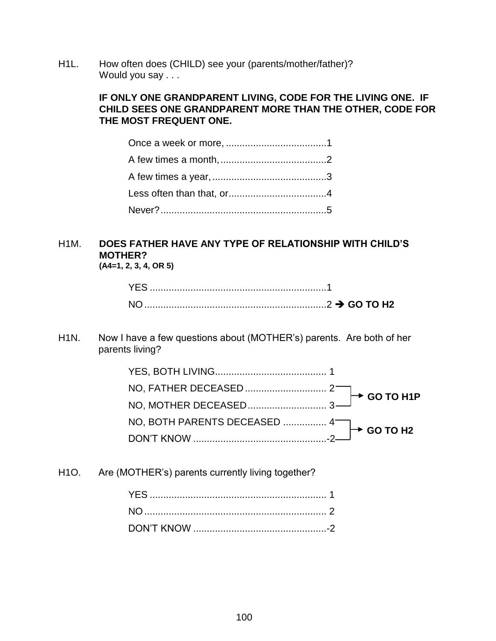H1L. How often does (CHILD) see your (parents/mother/father)? Would you say . . .

### **IF ONLY ONE GRANDPARENT LIVING, CODE FOR THE LIVING ONE. IF CHILD SEES ONE GRANDPARENT MORE THAN THE OTHER, CODE FOR THE MOST FREQUENT ONE.**

# H1M. **DOES FATHER HAVE ANY TYPE OF RELATIONSHIP WITH CHILD'S MOTHER?**

**(A4=1, 2, 3, 4, OR 5)**

| YES. |  |
|------|--|
|      |  |

H1N. Now I have a few questions about (MOTHER's) parents. Are both of her parents living?

H1O. Are (MOTHER's) parents currently living together?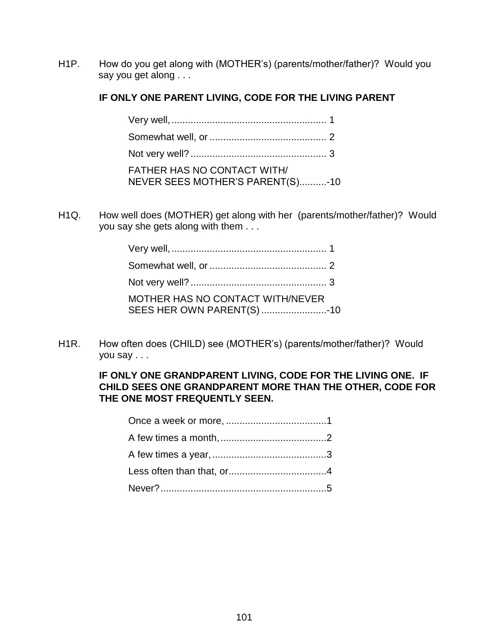H1P. How do you get along with (MOTHER's) (parents/mother/father)? Would you say you get along . . .

### **IF ONLY ONE PARENT LIVING, CODE FOR THE LIVING PARENT**

| FATHER HAS NO CONTACT WITH/<br>NEVER SEES MOTHER'S PARENT(S)-10 |  |
|-----------------------------------------------------------------|--|

H1Q. How well does (MOTHER) get along with her (parents/mother/father)? Would you say she gets along with them . . .

| MOTHER HAS NO CONTACT WITH/NEVER<br>SEES HER OWN PARENT(S) 10 |  |
|---------------------------------------------------------------|--|

H1R. How often does (CHILD) see (MOTHER's) (parents/mother/father)? Would you say . . .

### **IF ONLY ONE GRANDPARENT LIVING, CODE FOR THE LIVING ONE. IF CHILD SEES ONE GRANDPARENT MORE THAN THE OTHER, CODE FOR THE ONE MOST FREQUENTLY SEEN.**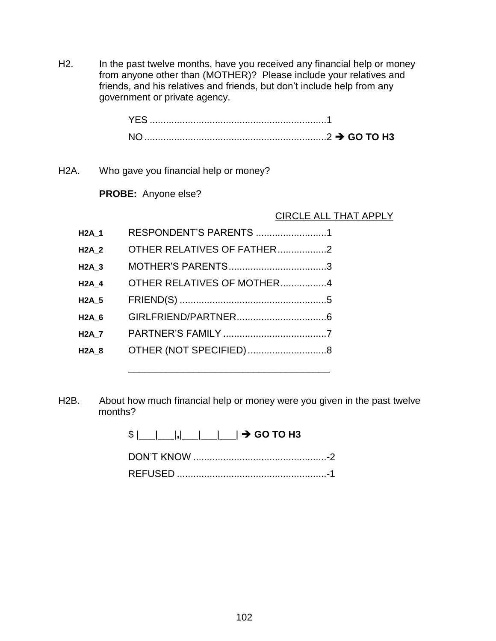H2. In the past twelve months, have you received any financial help or money from anyone other than (MOTHER)? Please include your relatives and friends, and his relatives and friends, but don't include help from any government or private agency.

| YES.                     |  |
|--------------------------|--|
| NO.<br>$\ldots$ GO TO H3 |  |

H2A. Who gave you financial help or money?

**PROBE:** Anyone else?

### CIRCLE ALL THAT APPLY

| <b>H2A 1</b> | RESPONDENT'S PARENTS 1     |  |
|--------------|----------------------------|--|
| $H2A_2$      | OTHER RELATIVES OF FATHER2 |  |
| <b>H2A 3</b> |                            |  |
| <b>H2A 4</b> | OTHER RELATIVES OF MOTHER4 |  |
| <b>H2A 5</b> |                            |  |
| <b>H2A 6</b> |                            |  |
| <b>H2A 7</b> |                            |  |
| <b>H2A 8</b> | OTHER (NOT SPECIFIED)8     |  |
|              |                            |  |

H2B. About how much financial help or money were you given in the past twelve months?

> $$|$  | | | | | | | |  $\rightarrow$  GO TO H3 DON'T KNOW .................................................-2 REFUSED .......................................................-1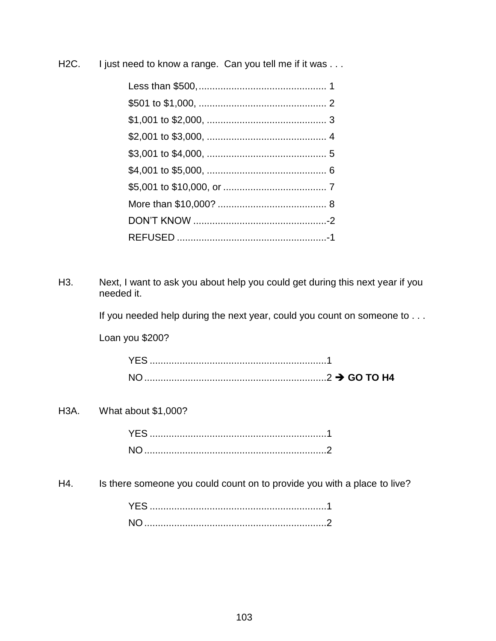H2C. I just need to know a range. Can you tell me if it was . . .

H3. Next, I want to ask you about help you could get during this next year if you needed it.

If you needed help during the next year, could you count on someone to . . .

Loan you \$200?

### H3A. What about \$1,000?

| NO. |  |
|-----|--|

H4. Is there someone you could count on to provide you with a place to live?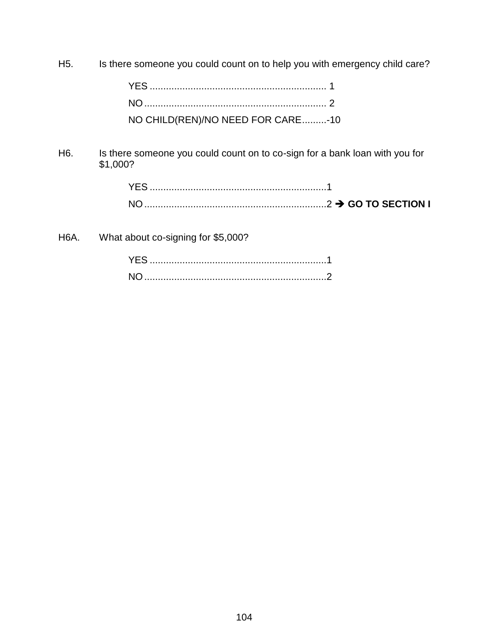H5. Is there someone you could count on to help you with emergency child care?

| NO CHILD(REN)/NO NEED FOR CARE-10 |  |
|-----------------------------------|--|

H6. Is there someone you could count on to co-sign for a bank loan with you for \$1,000?

| YF! |  |
|-----|--|
| N0  |  |

H6A. What about co-signing for \$5,000?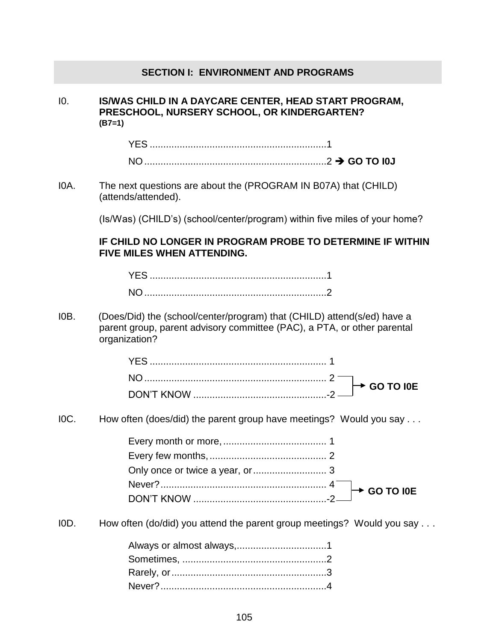### **SECTION I: ENVIRONMENT AND PROGRAMS**

I0. **IS/WAS CHILD IN A DAYCARE CENTER, HEAD START PROGRAM, PRESCHOOL, NURSERY SCHOOL, OR KINDERGARTEN? (B7=1)**

I0A. The next questions are about the (PROGRAM IN B07A) that (CHILD) (attends/attended).

(Is/Was) (CHILD's) (school/center/program) within five miles of your home?

### **IF CHILD NO LONGER IN PROGRAM PROBE TO DETERMINE IF WITHIN FIVE MILES WHEN ATTENDING.**

I0B. (Does/Did) the (school/center/program) that (CHILD) attend(s/ed) have a parent group, parent advisory committee (PAC), a PTA, or other parental organization?

I0C. How often (does/did) the parent group have meetings? Would you say . . .

I0D. How often (do/did) you attend the parent group meetings? Would you say . . .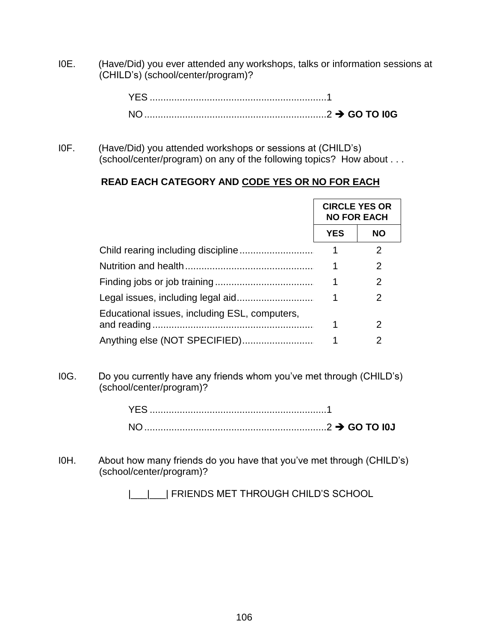I0E. (Have/Did) you ever attended any workshops, talks or information sessions at (CHILD's) (school/center/program)?

| YFS. |  |
|------|--|
|      |  |

I0F. (Have/Did) you attended workshops or sessions at (CHILD's) (school/center/program) on any of the following topics? How about . . .

### **READ EACH CATEGORY AND CODE YES OR NO FOR EACH**

|                                               | <b>CIRCLE YES OR</b><br><b>NO FOR EACH</b> |                |
|-----------------------------------------------|--------------------------------------------|----------------|
|                                               | <b>YES</b>                                 | <b>NO</b>      |
|                                               | 1                                          | $\overline{2}$ |
|                                               | 1                                          | 2              |
|                                               | 1                                          | 2              |
|                                               | 1                                          | 2              |
| Educational issues, including ESL, computers, | 1                                          | 2              |
|                                               | 1                                          | 2              |

I0G. Do you currently have any friends whom you've met through (CHILD's) (school/center/program)?

I0H. About how many friends do you have that you've met through (CHILD's) (school/center/program)?

|\_\_|\_\_| FRIENDS MET THROUGH CHILD'S SCHOOL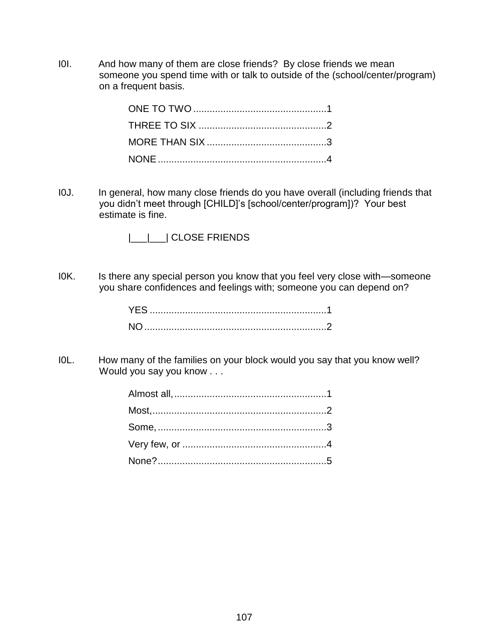I0I. And how many of them are close friends? By close friends we mean someone you spend time with or talk to outside of the (school/center/program) on a frequent basis.

I0J. In general, how many close friends do you have overall (including friends that you didn't meet through [CHILD]'s [school/center/program])? Your best estimate is fine.

|\_\_\_|\_\_\_| CLOSE FRIENDS

IOK. Is there any special person you know that you feel very close with—someone you share confidences and feelings with; someone you can depend on?

I0L. How many of the families on your block would you say that you know well? Would you say you know . . .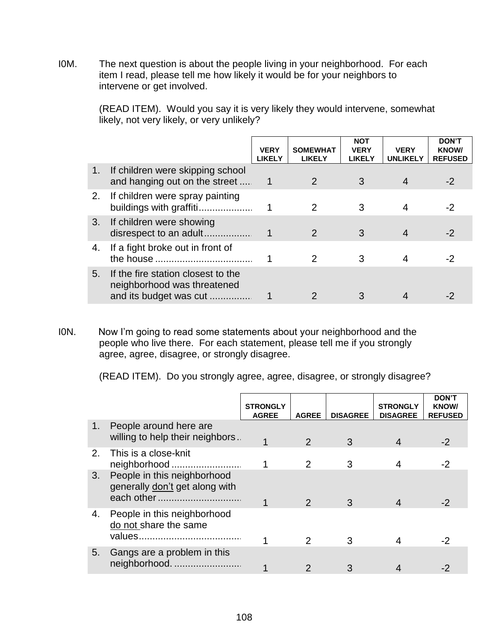I0M. The next question is about the people living in your neighborhood. For each item I read, please tell me how likely it would be for your neighbors to intervene or get involved.

> (READ ITEM). Would you say it is very likely they would intervene, somewhat likely, not very likely, or very unlikely?

|    |                                                                                             | <b>VERY</b><br><b>LIKELY</b> | <b>SOMEWHAT</b><br><b>LIKELY</b> | <b>NOT</b><br><b>VERY</b><br><b>LIKELY</b> | <b>VERY</b><br><b>UNLIKELY</b> | <b>DON'T</b><br><b>KNOW/</b><br><b>REFUSED</b> |
|----|---------------------------------------------------------------------------------------------|------------------------------|----------------------------------|--------------------------------------------|--------------------------------|------------------------------------------------|
| 1. | If children were skipping school<br>and hanging out on the street                           |                              | $\mathcal{P}$                    | 3                                          |                                | $-2$                                           |
| 2. | If children were spray painting<br>buildings with graffiti                                  |                              | 2                                | 3                                          |                                | -2                                             |
| 3. | If children were showing<br>disrespect to an adult                                          |                              | $\mathcal{P}$                    | 3                                          |                                | $-2$                                           |
| 4. | If a fight broke out in front of                                                            |                              | 2                                | 3                                          |                                | -2                                             |
| 5. | If the fire station closest to the<br>neighborhood was threatened<br>and its budget was cut |                              |                                  |                                            |                                |                                                |

I0N. Now I'm going to read some statements about your neighborhood and the people who live there. For each statement, please tell me if you strongly agree, agree, disagree, or strongly disagree.

(READ ITEM). Do you strongly agree, agree, disagree, or strongly disagree?

|                |                                                                             | <b>STRONGLY</b><br><b>AGREE</b> | <b>AGREE</b>  | <b>DISAGREE</b> | <b>STRONGLY</b><br><b>DISAGREE</b> | <b>DON'T</b><br><b>KNOW/</b><br><b>REFUSED</b> |
|----------------|-----------------------------------------------------------------------------|---------------------------------|---------------|-----------------|------------------------------------|------------------------------------------------|
| 1 <sub>1</sub> | People around here are<br>willing to help their neighbors.                  |                                 | $\mathcal{P}$ | 3               |                                    | $-2$                                           |
| 2.             | This is a close-knit<br>neighborhood                                        |                                 | 2             | З               |                                    | -2                                             |
| 3.             | People in this neighborhood<br>generally don't get along with<br>each other |                                 | 2             | 3               |                                    | -2                                             |
| 4.             | People in this neighborhood<br>do not share the same                        |                                 |               | З               |                                    | -2                                             |
| 5.             | Gangs are a problem in this<br>neighborhood.                                |                                 |               |                 |                                    |                                                |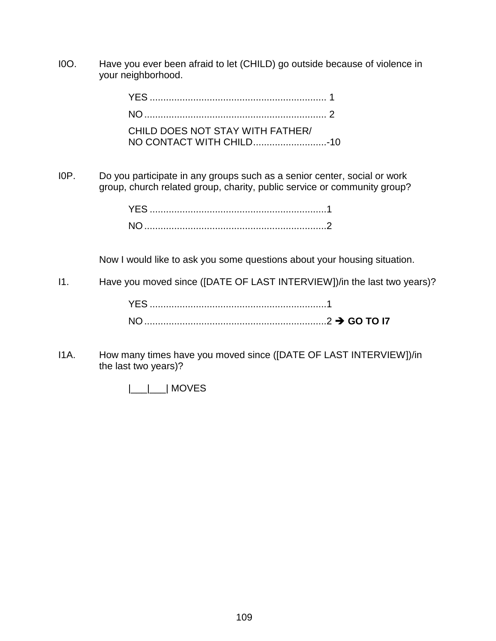I0O. Have you ever been afraid to let (CHILD) go outside because of violence in your neighborhood.

| CHILD DOES NOT STAY WITH FATHER/ |  |
|----------------------------------|--|

I0P. Do you participate in any groups such as a senior center, social or work group, church related group, charity, public service or community group?

Now I would like to ask you some questions about your housing situation.

I1. Have you moved since ([DATE OF LAST INTERVIEW])/in the last two years)?

I1A. How many times have you moved since ([DATE OF LAST INTERVIEW])/in the last two years)?

|\_\_\_|\_\_\_| MOVES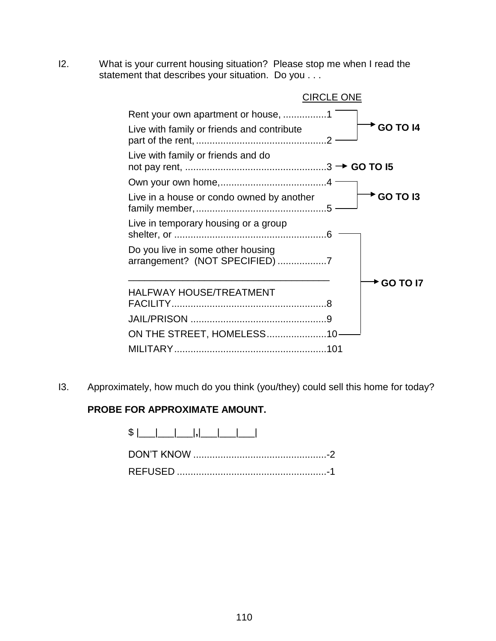I2. What is your current housing situation? Please stop me when I read the statement that describes your situation. Do you . . .

|                                                                     | <b>CIRCLE ONE</b> |
|---------------------------------------------------------------------|-------------------|
| Rent your own apartment or house, 1                                 |                   |
| Live with family or friends and contribute                          | <b>GO TO 14</b>   |
| Live with family or friends and do                                  |                   |
|                                                                     |                   |
| Live in a house or condo owned by another                           | <b>GO TO 13</b>   |
| Live in temporary housing or a group                                |                   |
| Do you live in some other housing<br>arrangement? (NOT SPECIFIED) 7 |                   |
|                                                                     | <b>GO TO 17</b>   |
| <b>HALFWAY HOUSE/TREATMENT</b>                                      |                   |
|                                                                     |                   |
| ON THE STREET, HOMELESS10-                                          |                   |
|                                                                     |                   |

I3. Approximately, how much do you think (you/they) could sell this home for today?

## **PROBE FOR APPROXIMATE AMOUNT.**

\$ |\_\_\_|\_\_\_|\_\_\_|**,**|\_\_\_|\_\_\_|\_\_\_|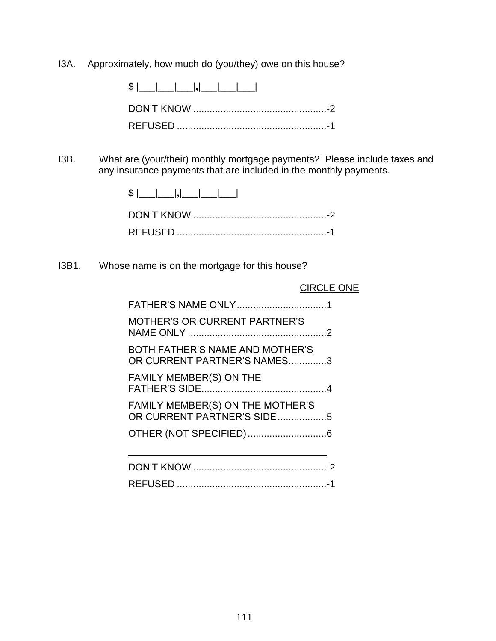I3A. Approximately, how much do (you/they) owe on this house?

 $$ |$   $|$ 

DON'T KNOW .................................................-2 REFUSED .......................................................-1

I3B. What are (your/their) monthly mortgage payments? Please include taxes and any insurance payments that are included in the monthly payments.

I3B1. Whose name is on the mortgage for this house?

#### CIRCLE ONE

| <b>MOTHER'S OR CURRENT PARTNER'S</b>                           |  |
|----------------------------------------------------------------|--|
| BOTH FATHER'S NAME AND MOTHER'S<br>OR CURRENT PARTNER'S NAMES3 |  |
| FAMILY MEMBER(S) ON THE                                        |  |
| FAMILY MEMBER(S) ON THE MOTHER'S<br>OR CURRENT PARTNER'S SIDE5 |  |
|                                                                |  |
|                                                                |  |

REFUSED .......................................................-1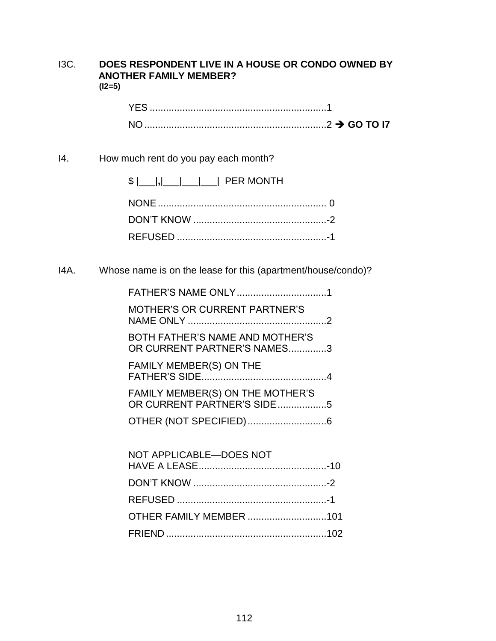#### I3C. **DOES RESPONDENT LIVE IN A HOUSE OR CONDO OWNED BY ANOTHER FAMILY MEMBER? (I2=5)**

| <b>YES</b>     |  |
|----------------|--|
| N <sub>O</sub> |  |

## I4. How much rent do you pay each month?

I4A. Whose name is on the lease for this (apartment/house/condo)?

| <b>MOTHER'S OR CURRENT PARTNER'S</b>                           |  |
|----------------------------------------------------------------|--|
| BOTH FATHER'S NAME AND MOTHER'S<br>OR CURRENT PARTNER'S NAMES3 |  |
| <b>FAMILY MEMBER(S) ON THE</b>                                 |  |
| FAMILY MEMBER(S) ON THE MOTHER'S<br>OR CURRENT PARTNER'S SIDE5 |  |
|                                                                |  |
| NOT APPLICABLE-DOES NOT                                        |  |
|                                                                |  |

| OTHER FAMILY MEMBER 101 |  |
|-------------------------|--|
|                         |  |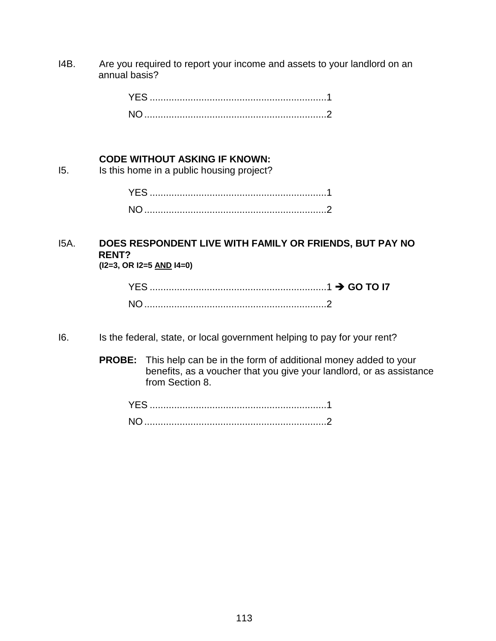I4B. Are you required to report your income and assets to your landlord on an annual basis?

#### **CODE WITHOUT ASKING IF KNOWN:**

I5. Is this home in a public housing project?

#### I5A. **DOES RESPONDENT LIVE WITH FAMILY OR FRIENDS, BUT PAY NO RENT? (I2=3, OR I2=5 AND I4=0)**

- I6. Is the federal, state, or local government helping to pay for your rent?
	- **PROBE:** This help can be in the form of additional money added to your benefits, as a voucher that you give your landlord, or as assistance from Section 8.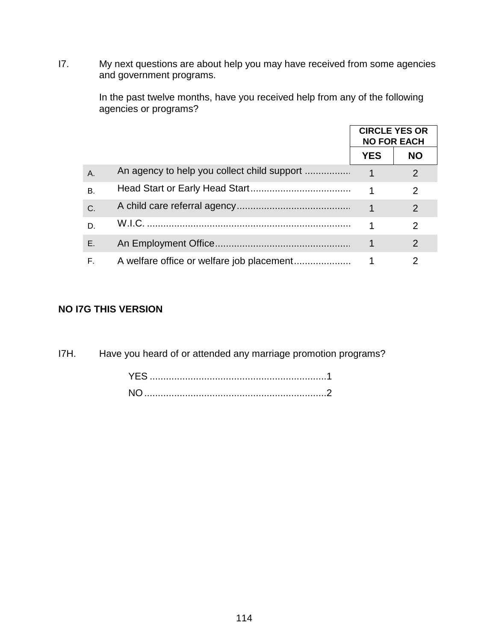I7. My next questions are about help you may have received from some agencies and government programs.

> In the past twelve months, have you received help from any of the following agencies or programs?

|    |        | <b>CIRCLE YES OR</b> | <b>NO FOR EACH</b> |
|----|--------|----------------------|--------------------|
|    |        | <b>YES</b>           | <b>NO</b>          |
| A. |        |                      | $\mathcal{P}$      |
| В. |        |                      | 2                  |
| C. |        |                      | 2                  |
| D. | W.I.C. |                      | $\mathcal{P}$      |
| E. |        |                      | $\overline{2}$     |
| F. |        |                      | 2                  |

## **NO I7G THIS VERSION**

I7H. Have you heard of or attended any marriage promotion programs?

| NO. |  |  |  |  |
|-----|--|--|--|--|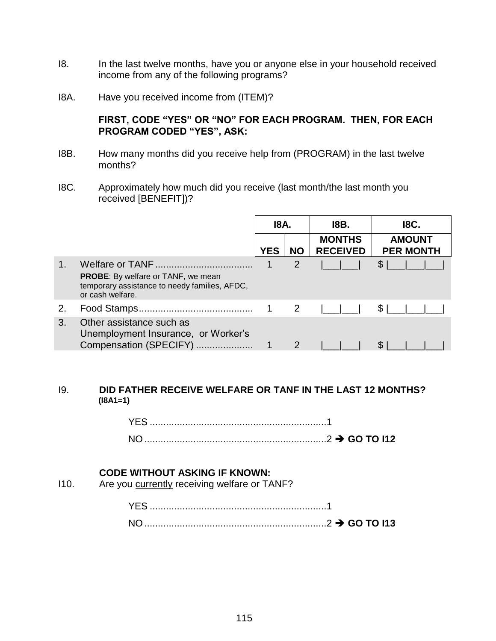- I8. In the last twelve months, have you or anyone else in your household received income from any of the following programs?
- I8A. Have you received income from (ITEM)?

### **FIRST, CODE "YES" OR "NO" FOR EACH PROGRAM. THEN, FOR EACH PROGRAM CODED "YES", ASK:**

- I8B. How many months did you receive help from (PROGRAM) in the last twelve months?
- I8C. Approximately how much did you receive (last month/the last month you received [BENEFIT])?

|    |                                                                                                                | 18A.        |               | 18B.                             | <b>I8C.</b>                       |  |
|----|----------------------------------------------------------------------------------------------------------------|-------------|---------------|----------------------------------|-----------------------------------|--|
|    |                                                                                                                | <b>YES</b>  | <b>NO</b>     | <b>MONTHS</b><br><b>RECEIVED</b> | <b>AMOUNT</b><br><b>PER MONTH</b> |  |
|    | <b>PROBE:</b> By welfare or TANF, we mean<br>temporary assistance to needy families, AFDC,<br>or cash welfare. |             | 2             |                                  | $\mathfrak{L}$                    |  |
| 2. |                                                                                                                | $\mathbf 1$ | 2             |                                  | \$1                               |  |
| 3. | Other assistance such as<br>Unemployment Insurance, or Worker's<br>Compensation (SPECIFY)                      |             | $\mathcal{P}$ |                                  |                                   |  |

#### I9. **DID FATHER RECEIVE WELFARE OR TANF IN THE LAST 12 MONTHS? (I8A1=1)**

YES .................................................................1 NO...................................................................2 **GO TO I12**

#### **CODE WITHOUT ASKING IF KNOWN:**

I10. Are you currently receiving welfare or TANF?

| NC<br>$\ldots$ GO TO I13 |  |  |
|--------------------------|--|--|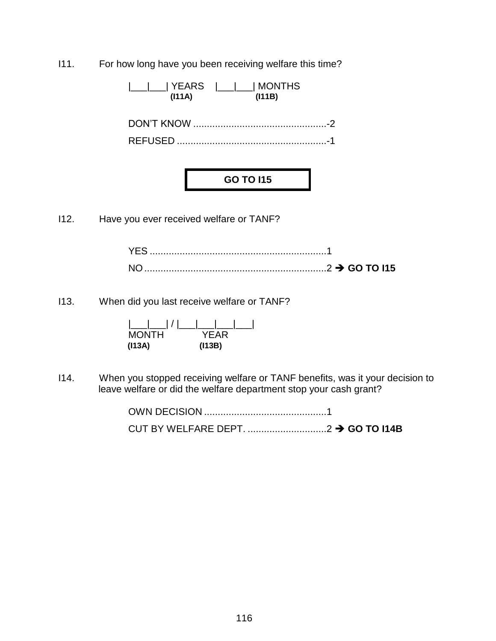I11. For how long have you been receiving welfare this time?

|\_\_\_|\_\_\_| YEARS |\_\_\_|\_\_\_| MONTHS  **(I11A) (I11B)**

DON'T KNOW .................................................-2 REFUSED .......................................................-1

# **GO TO I15**

I12. Have you ever received welfare or TANF?

| ———————————————————————2 → GO TO I15 |  |
|--------------------------------------|--|

I13. When did you last receive welfare or TANF?

| $\lfloor$ $\lfloor$ $\rfloor$ $\lfloor$ $\rfloor$ |        |
|---------------------------------------------------|--------|
| <b>MONTH</b>                                      | YFAR   |
| (113A)                                            | (113B) |

I14. When you stopped receiving welfare or TANF benefits, was it your decision to leave welfare or did the welfare department stop your cash grant?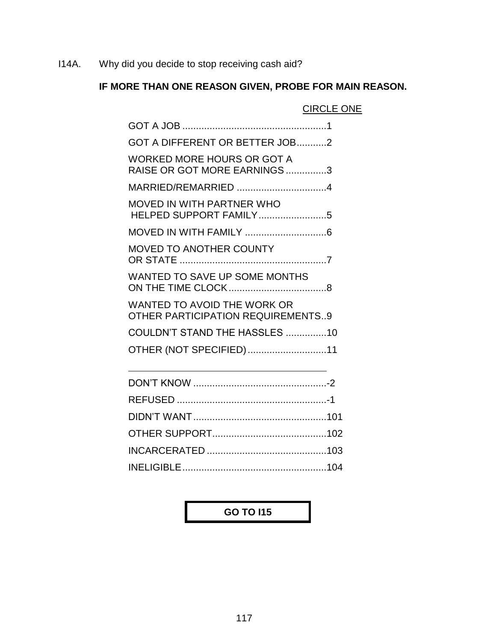I14A. Why did you decide to stop receiving cash aid?

## **IF MORE THAN ONE REASON GIVEN, PROBE FOR MAIN REASON.**

CIRCLE ONE

| GOT A DIFFERENT OR BETTER JOB2                                          |
|-------------------------------------------------------------------------|
| <b>WORKED MORE HOURS OR GOT A</b><br>RAISE OR GOT MORE EARNINGS3        |
| MARRIED/REMARRIED 4                                                     |
| <b>MOVED IN WITH PARTNER WHO</b><br>HELPED SUPPORT FAMILY5              |
|                                                                         |
| <b>MOVED TO ANOTHER COUNTY</b>                                          |
| WANTED TO SAVE UP SOME MONTHS                                           |
| WANTED TO AVOID THE WORK OR<br><b>OTHER PARTICIPATION REQUIREMENTS9</b> |
| COULDN'T STAND THE HASSLES 10                                           |
| OTHER (NOT SPECIFIED)11                                                 |
|                                                                         |
|                                                                         |
|                                                                         |
|                                                                         |

## **GO TO I15**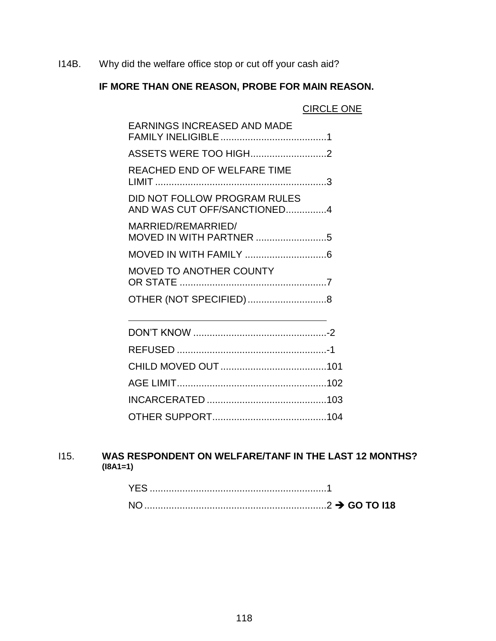I14B. Why did the welfare office stop or cut off your cash aid?

## **IF MORE THAN ONE REASON, PROBE FOR MAIN REASON.**

|                                                             | <b>CIRCLE ONE</b> |
|-------------------------------------------------------------|-------------------|
| <b>EARNINGS INCREASED AND MADE</b>                          |                   |
| ASSETS WERE TOO HIGH2                                       |                   |
| REACHED END OF WELFARE TIME                                 |                   |
| DID NOT FOLLOW PROGRAM RULES<br>AND WAS CUT OFF/SANCTIONED4 |                   |
| MARRIED/REMARRIED/<br>MOVED IN WITH PARTNER 5               |                   |
|                                                             |                   |
| <b>MOVED TO ANOTHER COUNTY</b>                              |                   |
|                                                             |                   |
|                                                             |                   |

## I15. **WAS RESPONDENT ON WELFARE/TANF IN THE LAST 12 MONTHS? (I8A1=1)**

| <b>YES</b> |                  |
|------------|------------------|
| NO.        | $\sim$ GO TO I18 |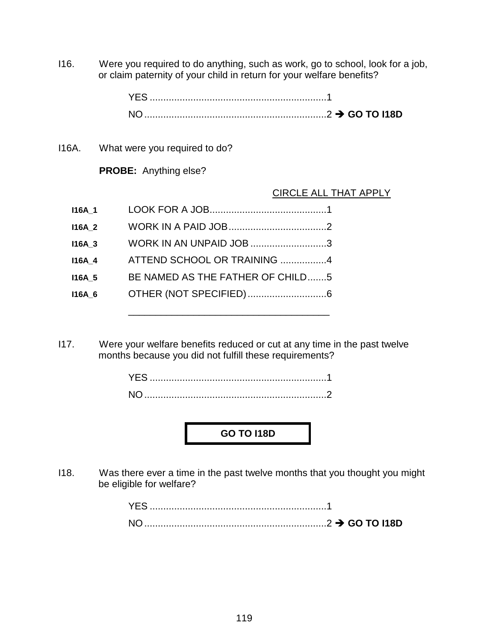I16. Were you required to do anything, such as work, go to school, look for a job, or claim paternity of your child in return for your welfare benefits?

| YFS                                     |  |
|-----------------------------------------|--|
| —————————————————————————2 → GO TO I18D |  |

I16A. What were you required to do?

**PROBE:** Anything else?

#### CIRCLE ALL THAT APPLY

| <b>I16A 1</b> |                                  |
|---------------|----------------------------------|
| <b>I16A 2</b> |                                  |
| <b>I16A 3</b> | WORK IN AN UNPAID JOB 3          |
| <b>I16A 4</b> | ATTEND SCHOOL OR TRAINING 4      |
| <b>I16A 5</b> | BE NAMED AS THE FATHER OF CHILD5 |
| <b>I16A 6</b> |                                  |
|               |                                  |

I17. Were your welfare benefits reduced or cut at any time in the past twelve months because you did not fulfill these requirements?

| <b>NO</b> |  |  |  |  |
|-----------|--|--|--|--|

## **GO TO I18D**

I18. Was there ever a time in the past twelve months that you thought you might be eligible for welfare?

| YES.      |  |
|-----------|--|
| <b>NO</b> |  |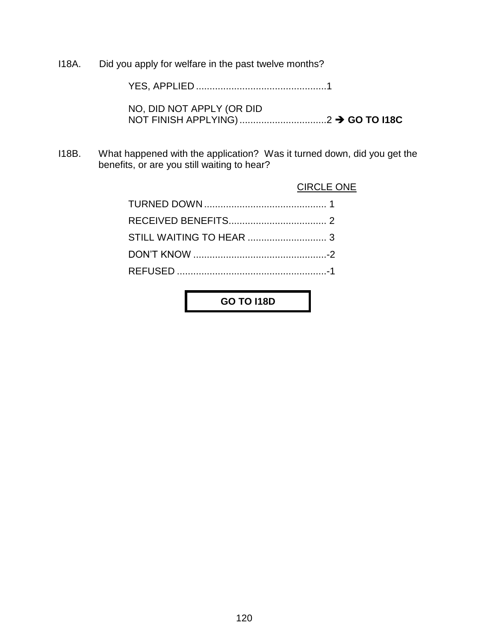I18A. Did you apply for welfare in the past twelve months?

YES, APPLIED ................................................1

NO, DID NOT APPLY (OR DID NOT FINISH APPLYING)................................2 **GO TO I18C**

I18B. What happened with the application? Was it turned down, did you get the benefits, or are you still waiting to hear?

#### CIRCLE ONE

**GO TO I18D**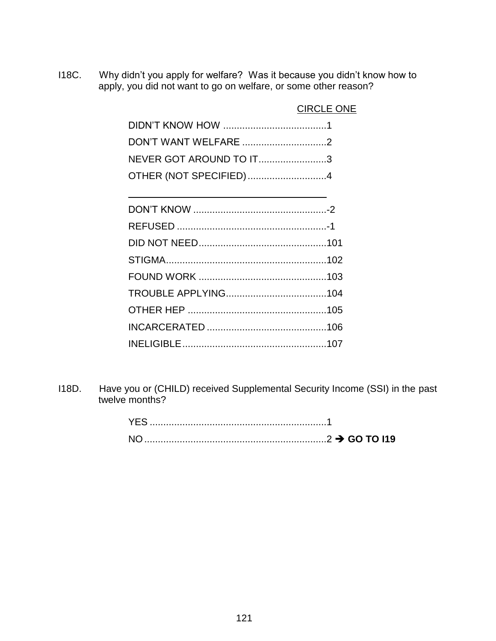I18C. Why didn't you apply for welfare? Was it because you didn't know how to apply, you did not want to go on welfare, or some other reason?

| DON'T WANT WELFARE 2    |  |
|-------------------------|--|
| NEVER GOT AROUND TO IT3 |  |
| OTHER (NOT SPECIFIED)4  |  |

I18D. Have you or (CHILD) received Supplemental Security Income (SSI) in the past twelve months?

| <b>YES</b> |  |
|------------|--|
|            |  |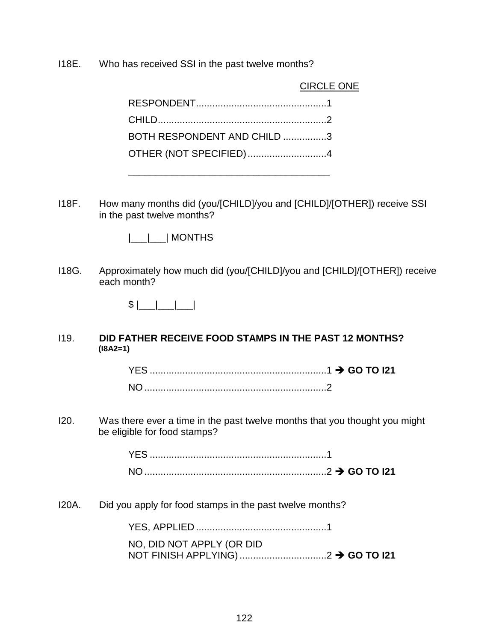I18E. Who has received SSI in the past twelve months?

|                             | <b>CIRCLE ONE</b> |
|-----------------------------|-------------------|
|                             |                   |
|                             |                   |
| BOTH RESPONDENT AND CHILD 3 |                   |
| OTHER (NOT SPECIFIED)4      |                   |
|                             |                   |

\_\_\_\_\_\_\_\_\_\_\_\_\_\_\_\_\_\_\_\_\_\_\_\_\_\_\_\_\_\_\_\_\_\_\_\_\_

I18F. How many months did (you/[CHILD]/you and [CHILD]/[OTHER]) receive SSI in the past twelve months?

|\_\_\_|\_\_\_| MONTHS

I18G. Approximately how much did (you/[CHILD]/you and [CHILD]/[OTHER]) receive each month?

\$ |\_\_\_|\_\_\_|\_\_\_|

#### I19. **DID FATHER RECEIVE FOOD STAMPS IN THE PAST 12 MONTHS? (I8A2=1)**

I20. Was there ever a time in the past twelve months that you thought you might be eligible for food stamps?

| YES |                                       |  |
|-----|---------------------------------------|--|
| N   | ————————————————————————2 → GO TO I21 |  |

I20A. Did you apply for food stamps in the past twelve months?

YES, APPLIED ................................................1

| NO, DID NOT APPLY (OR DID |  |
|---------------------------|--|
|                           |  |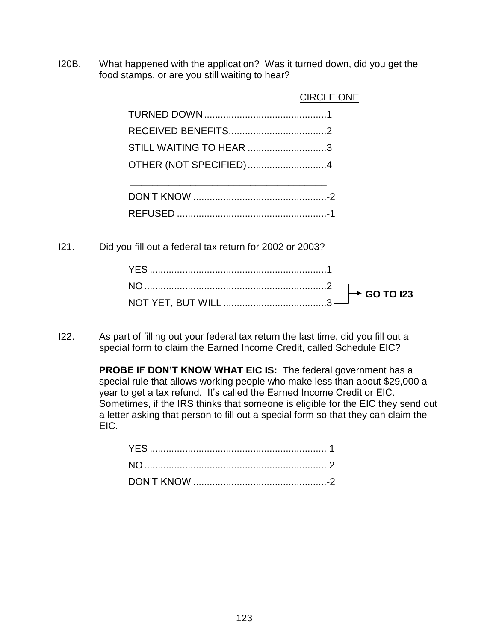I20B. What happened with the application? Was it turned down, did you get the food stamps, or are you still waiting to hear?

|                         | <b>CIRCLE ONE</b> |
|-------------------------|-------------------|
|                         |                   |
|                         |                   |
| STILL WAITING TO HEAR 3 |                   |
| OTHER (NOT SPECIFIED)4  |                   |
|                         |                   |

- REFUSED .......................................................-1
- I21. Did you fill out a federal tax return for 2002 or 2003?

I22. As part of filling out your federal tax return the last time, did you fill out a special form to claim the Earned Income Credit, called Schedule EIC?

> **PROBE IF DON'T KNOW WHAT EIC IS:** The federal government has a special rule that allows working people who make less than about \$29,000 a year to get a tax refund. It's called the Earned Income Credit or EIC. Sometimes, if the IRS thinks that someone is eligible for the EIC they send out a letter asking that person to fill out a special form so that they can claim the EIC.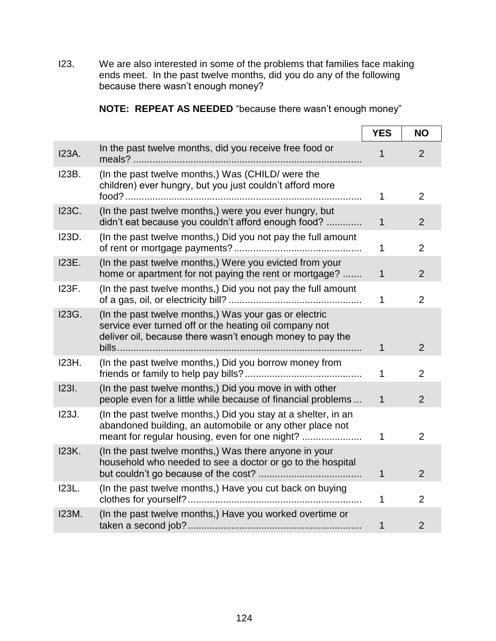I23. We are also interested in some of the problems that families face making ends meet. In the past twelve months, did you do any of the following because there wasn't enough money?

|  |  | NOTE: REPEAT AS NEEDED "because there wasn't enough money" |
|--|--|------------------------------------------------------------|
|  |  |                                                            |

|              |                                                                                                                                                                                       | <b>YES</b>   | <b>NO</b>      |
|--------------|---------------------------------------------------------------------------------------------------------------------------------------------------------------------------------------|--------------|----------------|
| <b>I23A.</b> | In the past twelve months, did you receive free food or                                                                                                                               |              | 2              |
| <b>I23B.</b> | (In the past twelve months,) Was (CHILD/ were the<br>children) ever hungry, but you just couldn't afford more                                                                         | 1            | $\overline{2}$ |
| <b>I23C.</b> | (In the past twelve months,) were you ever hungry, but<br>didn't eat because you couldn't afford enough food?                                                                         | $\mathbf{1}$ | $\overline{2}$ |
| 123D.        | (In the past twelve months,) Did you not pay the full amount                                                                                                                          | 1            | $\overline{2}$ |
| 123E.        | (In the past twelve months,) Were you evicted from your<br>home or apartment for not paying the rent or mortgage?                                                                     | $\mathbf{1}$ | $\overline{2}$ |
| <b>I23F.</b> | (In the past twelve months,) Did you not pay the full amount                                                                                                                          | 1            | $\overline{2}$ |
| 123G.        | (In the past twelve months,) Was your gas or electric<br>service ever turned off or the heating oil company not<br>deliver oil, because there wasn't enough money to pay the<br>bills | 1            | $\overline{2}$ |
| 123H.        | (In the past twelve months,) Did you borrow money from                                                                                                                                | 1            | $\overline{2}$ |
| <b>1231.</b> | (In the past twelve months,) Did you move in with other<br>people even for a little while because of financial problems                                                               | $\mathbf{1}$ | $\overline{2}$ |
| 123J.        | (In the past twelve months.) Did you stay at a shelter, in an<br>abandoned building, an automobile or any other place not<br>meant for regular housing, even for one night?           | 1            | 2              |
| <b>I23K.</b> | (In the past twelve months,) Was there anyone in your<br>household who needed to see a doctor or go to the hospital                                                                   | 1            | $\overline{2}$ |
| 123L.        | (In the past twelve months,) Have you cut back on buying                                                                                                                              | 1            | $\overline{2}$ |
| <b>I23M.</b> | (In the past twelve months,) Have you worked overtime or                                                                                                                              | 1            | $\overline{2}$ |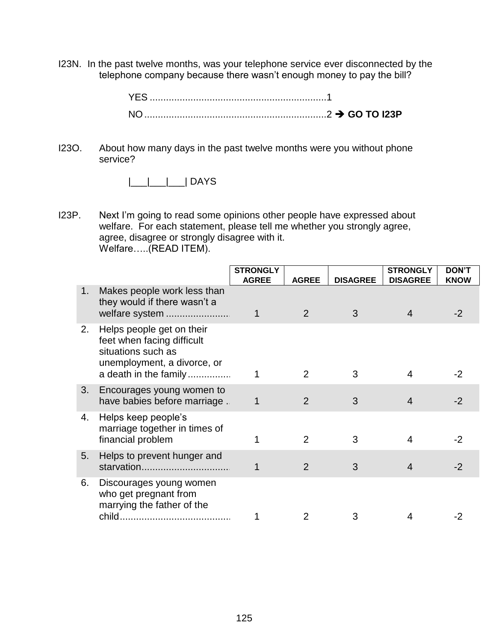I23N. In the past twelve months, was your telephone service ever disconnected by the telephone company because there wasn't enough money to pay the bill?

I23O. About how many days in the past twelve months were you without phone service?

 $|$  DAYS

I23P. Next I'm going to read some opinions other people have expressed about welfare. For each statement, please tell me whether you strongly agree, agree, disagree or strongly disagree with it. Welfare…..(READ ITEM).

|    |                                                                                                                                       | <b>STRONGLY</b><br><b>AGREE</b> | <b>AGREE</b> | <b>DISAGREE</b> | <b>STRONGLY</b><br><b>DISAGREE</b> | <b>DON'T</b><br><b>KNOW</b> |
|----|---------------------------------------------------------------------------------------------------------------------------------------|---------------------------------|--------------|-----------------|------------------------------------|-----------------------------|
| 1. | Makes people work less than<br>they would if there wasn't a<br>welfare system                                                         | 1                               | 2            | 3               | $\overline{4}$                     | $-2$                        |
| 2. | Helps people get on their<br>feet when facing difficult<br>situations such as<br>unemployment, a divorce, or<br>a death in the family |                                 | 2            | 3               | 4                                  | -2                          |
| 3. | Encourages young women to<br>have babies before marriage.                                                                             | 1                               | 2            | 3               | 4                                  | -2                          |
| 4. | Helps keep people's<br>marriage together in times of<br>financial problem                                                             |                                 | 2            | 3               | 4                                  | -2                          |
| 5. | Helps to prevent hunger and<br>starvation                                                                                             |                                 | 2            | 3               | $\overline{4}$                     | $-2$                        |
| 6. | Discourages young women<br>who get pregnant from<br>marrying the father of the<br>child                                               |                                 |              | 3               | 4                                  |                             |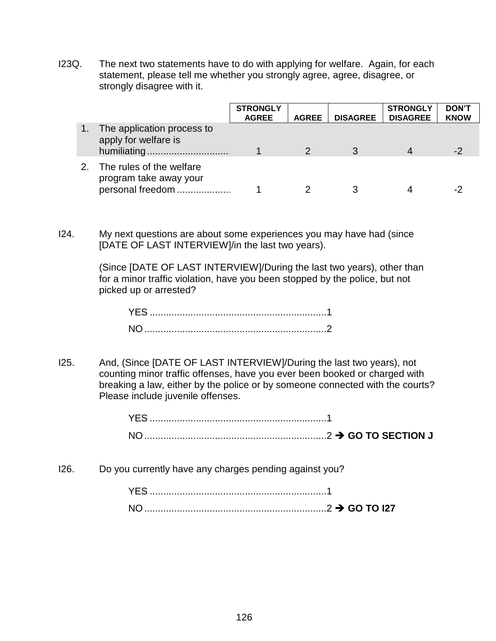I23Q. The next two statements have to do with applying for welfare. Again, for each statement, please tell me whether you strongly agree, agree, disagree, or strongly disagree with it.

|                                                                        | <b>STRONGLY</b><br><b>AGREE</b> | <b>AGREE</b> | <b>DISAGREE</b> | <b>STRONGLY</b><br><b>DISAGREE</b> | <b>DON'T</b><br><b>KNOW</b> |
|------------------------------------------------------------------------|---------------------------------|--------------|-----------------|------------------------------------|-----------------------------|
| The application process to<br>apply for welfare is                     |                                 |              |                 |                                    | -2                          |
| The rules of the welfare<br>program take away your<br>personal freedom |                                 |              |                 |                                    | - -                         |

I24. My next questions are about some experiences you may have had (since [DATE OF LAST INTERVIEW]/in the last two years).

> (Since [DATE OF LAST INTERVIEW]/During the last two years), other than for a minor traffic violation, have you been stopped by the police, but not picked up or arrested?

I25. And, (Since [DATE OF LAST INTERVIEW]/During the last two years), not counting minor traffic offenses, have you ever been booked or charged with breaking a law, either by the police or by someone connected with the courts? Please include juvenile offenses.

I26. Do you currently have any charges pending against you?

| <b>YES</b>     |                  |
|----------------|------------------|
| N <sub>O</sub> | $\sim$ GO TO 127 |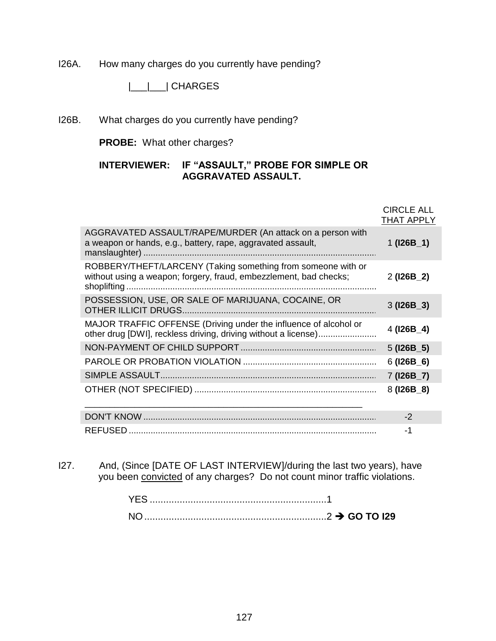I26A. How many charges do you currently have pending?

|\_\_\_|\_\_\_| CHARGES

I26B. What charges do you currently have pending?

**PROBE:** What other charges?

## **INTERVIEWER: IF "ASSAULT," PROBE FOR SIMPLE OR AGGRAVATED ASSAULT.**

|                                                                                                                                   | <b>CIRCLE ALL</b><br><b>THAT APPLY</b> |
|-----------------------------------------------------------------------------------------------------------------------------------|----------------------------------------|
| AGGRAVATED ASSAULT/RAPE/MURDER (An attack on a person with<br>a weapon or hands, e.g., battery, rape, aggravated assault,         | 1 $(126B_1)$                           |
| ROBBERY/THEFT/LARCENY (Taking something from someone with or<br>without using a weapon; forgery, fraud, embezzlement, bad checks; | $2$ (126B $\_2$ )                      |
| POSSESSION, USE, OR SALE OF MARIJUANA, COCAINE, OR                                                                                | $3$ (126B $\_3$ )                      |
| MAJOR TRAFFIC OFFENSE (Driving under the influence of alcohol or                                                                  | $4$ (126B_4)                           |
|                                                                                                                                   | $5$ (126B $-5$ )                       |
|                                                                                                                                   | $6$ (I26B_6)                           |
|                                                                                                                                   | $7$ (126B $\_7$ )                      |
|                                                                                                                                   | $8(126B_8)$                            |
|                                                                                                                                   | $-2$                                   |
|                                                                                                                                   | -1                                     |

I27. And, (Since [DATE OF LAST INTERVIEW]/during the last two years), have you been convicted of any charges? Do not count minor traffic violations.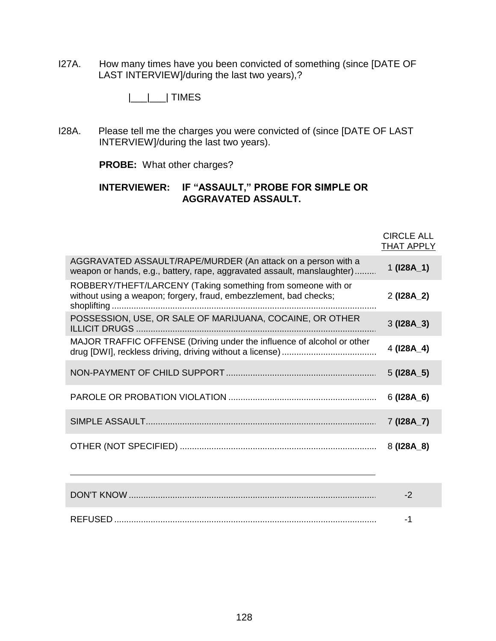I27A. How many times have you been convicted of something (since [DATE OF LAST INTERVIEW]/during the last two years),?

|\_\_\_|\_\_\_| TIMES

I28A. Please tell me the charges you were convicted of (since [DATE OF LAST INTERVIEW]/during the last two years).

**PROBE:** What other charges?

### **INTERVIEWER: IF "ASSAULT," PROBE FOR SIMPLE OR AGGRAVATED ASSAULT.**

|                                                                                                                                         | <b>CIRCLE ALL</b><br><b>THAT APPLY</b> |
|-----------------------------------------------------------------------------------------------------------------------------------------|----------------------------------------|
| AGGRAVATED ASSAULT/RAPE/MURDER (An attack on a person with a<br>weapon or hands, e.g., battery, rape, aggravated assault, manslaughter) | 1 $(128A_1)$                           |
| ROBBERY/THEFT/LARCENY (Taking something from someone with or<br>without using a weapon; forgery, fraud, embezzlement, bad checks;       | $2$ (128A $_2$ )                       |
| POSSESSION, USE, OR SALE OF MARIJUANA, COCAINE, OR OTHER                                                                                | $3$ (I28A $\_3$ )                      |
| MAJOR TRAFFIC OFFENSE (Driving under the influence of alcohol or other                                                                  | 4 (128A_4)                             |
|                                                                                                                                         | $5$ (128A $\_5$ )                      |
|                                                                                                                                         | $6$ (I28A_6)                           |
|                                                                                                                                         | $7$ (128A $_7$ )                       |
|                                                                                                                                         | $8(128A_8)$                            |
|                                                                                                                                         |                                        |
|                                                                                                                                         | $-2$                                   |
|                                                                                                                                         | -1                                     |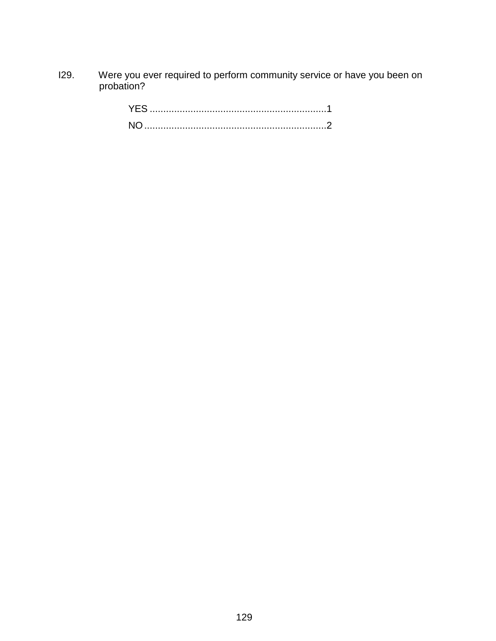I29. Were you ever required to perform community service or have you been on probation?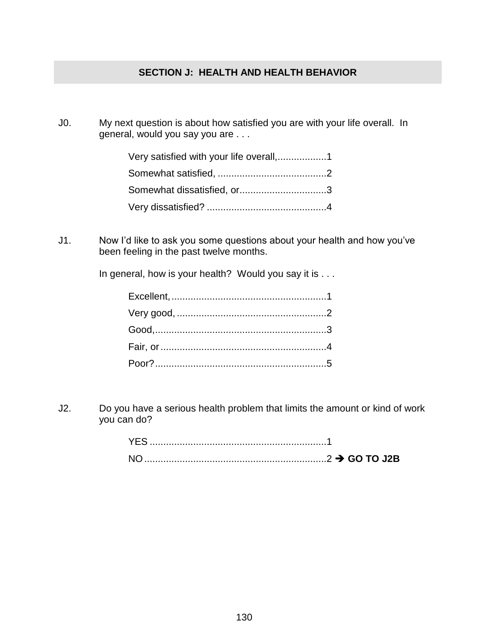## **SECTION J: HEALTH AND HEALTH BEHAVIOR**

J0. My next question is about how satisfied you are with your life overall. In general, would you say you are . . .

| Somewhat dissatisfied, or3 |
|----------------------------|
|                            |

J1. Now I'd like to ask you some questions about your health and how you've been feeling in the past twelve months.

In general, how is your health? Would you say it is . . .

J2. Do you have a serious health problem that limits the amount or kind of work you can do?

| <b>YEL</b>   |  |  |
|--------------|--|--|
| $\mathsf{N}$ |  |  |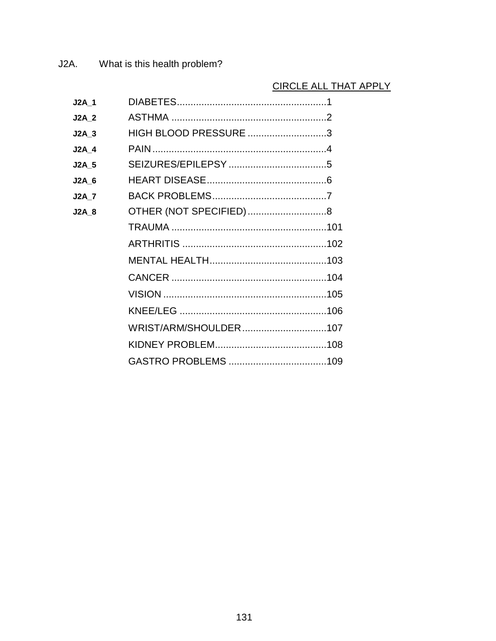## CIRCLE ALL THAT APPLY

| <b>J2A 1</b> |                        |  |
|--------------|------------------------|--|
| <b>J2A 2</b> |                        |  |
| $J2A$ 3      | HIGH BLOOD PRESSURE 3  |  |
| <b>J2A 4</b> |                        |  |
| <b>J2A 5</b> |                        |  |
| <b>J2A 6</b> |                        |  |
| <b>J2A 7</b> |                        |  |
| <b>J2A 8</b> | OTHER (NOT SPECIFIED)8 |  |
|              |                        |  |
|              |                        |  |
|              |                        |  |
|              |                        |  |
|              |                        |  |
|              |                        |  |
|              | WRIST/ARM/SHOULDER107  |  |
|              |                        |  |
|              |                        |  |
|              |                        |  |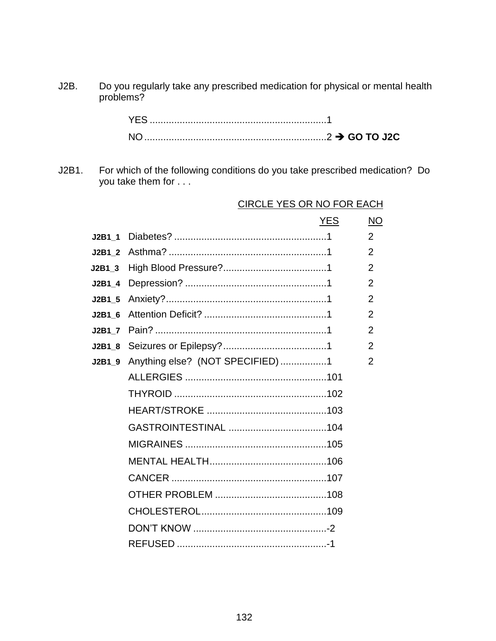J2B. Do you regularly take any prescribed medication for physical or mental health problems?

| <b>YES</b>         |  |
|--------------------|--|
| $\overline{\sf N}$ |  |

J2B1. For which of the following conditions do you take prescribed medication? Do you take them for . . .

|          |                                  | <b>YES</b> | <b>NO</b>      |
|----------|----------------------------------|------------|----------------|
| J2B1 1   |                                  |            | $\overline{2}$ |
| J2B1 2   |                                  |            | $\overline{2}$ |
| J2B1 3   |                                  |            | 2              |
| $J2B1_4$ |                                  |            | $\overline{2}$ |
| $J2B1_5$ |                                  |            | $\overline{2}$ |
| J2B1 6   |                                  |            | 2              |
| J2B1 7   |                                  |            | $\overline{2}$ |
| J2B1 8   |                                  |            | $\overline{2}$ |
| $J2B1_9$ | Anything else? (NOT SPECIFIED) 1 |            | 2              |
|          |                                  |            |                |
|          |                                  |            |                |
|          |                                  |            |                |
|          |                                  |            |                |
|          |                                  |            |                |
|          |                                  |            |                |
|          |                                  |            |                |
|          |                                  |            |                |
|          |                                  |            |                |
|          |                                  |            |                |
|          |                                  |            |                |
|          |                                  |            |                |

# CIRCLE YES OR NO FOR EACH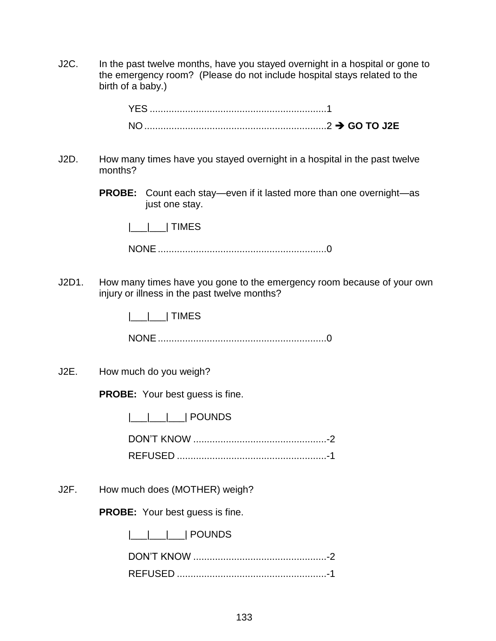J2C. In the past twelve months, have you stayed overnight in a hospital or gone to the emergency room? (Please do not include hospital stays related to the birth of a baby.)

- J2D. How many times have you stayed overnight in a hospital in the past twelve months?
	- **PROBE:** Count each stay—even if it lasted more than one overnight—as just one stay.

|\_\_\_|\_\_\_| TIMES

NONE..............................................................0

J2D1. How many times have you gone to the emergency room because of your own injury or illness in the past twelve months?

|\_\_\_|\_\_\_| TIMES

NONE..............................................................0

J2E. How much do you weigh?

**PROBE:** Your best guess is fine.

|  |  | <b>POUNDS</b> |
|--|--|---------------|
|  |  |               |

DON'T KNOW .................................................-2 REFUSED .......................................................-1

J2F. How much does (MOTHER) weigh?

**PROBE:** Your best guess is fine.

|  | <b>POUNDS</b> |
|--|---------------|
|--|---------------|

| <b>REFUSED</b> |  |
|----------------|--|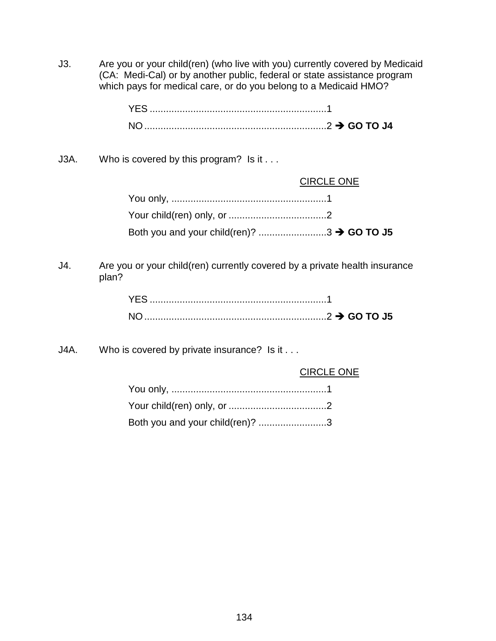J3. Are you or your child(ren) (who live with you) currently covered by Medicaid (CA: Medi-Cal) or by another public, federal or state assistance program which pays for medical care, or do you belong to a Medicaid HMO?

| YES.      |  |
|-----------|--|
| <b>NO</b> |  |

J3A. Who is covered by this program? Is it . . .

| <b>CIRCLE ONE</b> |
|-------------------|
|                   |
|                   |
|                   |

J4. Are you or your child(ren) currently covered by a private health insurance plan?

J4A. Who is covered by private insurance? Is it . . .

|  | <b>CIRCLE ONE</b> |
|--|-------------------|
|  |                   |

| Both you and your child(ren)? 3 |  |
|---------------------------------|--|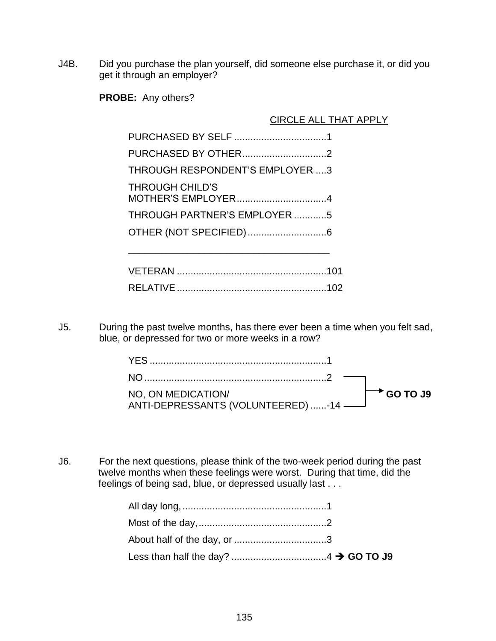J4B. Did you purchase the plan yourself, did someone else purchase it, or did you get it through an employer?

**PROBE:** Any others?

 CIRCLE ALL THAT APPLY PURCHASED BY SELF ..................................1 PURCHASED BY OTHER...............................2 THROUGH RESPONDENT'S EMPLOYER ....3 THROUGH CHILD'S MOTHER'S EMPLOYER.................................4 THROUGH PARTNER'S EMPLOYER ............5 OTHER (NOT SPECIFIED).............................6 \_\_\_\_\_\_\_\_\_\_\_\_\_\_\_\_\_\_\_\_\_\_\_\_\_\_\_\_\_\_\_\_\_\_\_\_\_

J5. During the past twelve months, has there ever been a time when you felt sad, blue, or depressed for two or more weeks in a row?

| NO, ON MEDICATION/<br>NO, ON MEDICATION<br>ANTI-DEPRESSANTS (VOLUNTEERED)-14 | $\mapsto$ GO TO J9 |
|------------------------------------------------------------------------------|--------------------|

J6. For the next questions, please think of the two-week period during the past twelve months when these feelings were worst. During that time, did the feelings of being sad, blue, or depressed usually last . . .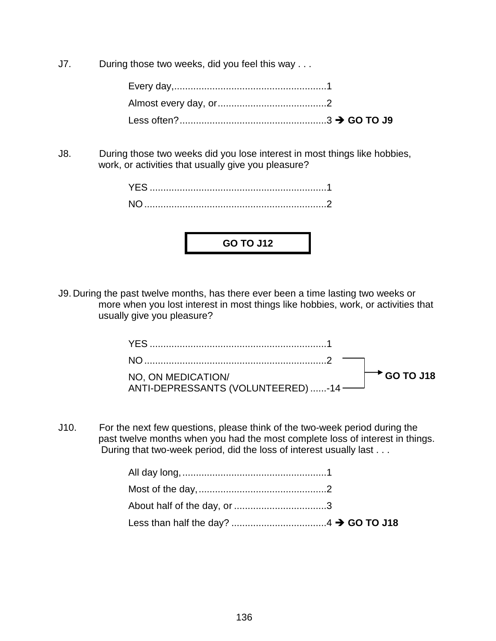J7. During those two weeks, did you feel this way . . .

J8. During those two weeks did you lose interest in most things like hobbies, work, or activities that usually give you pleasure?



J9. During the past twelve months, has there ever been a time lasting two weeks or more when you lost interest in most things like hobbies, work, or activities that usually give you pleasure?

| NO, ON MEDICATION/                 | $\rightarrow$ GO TO J18 |
|------------------------------------|-------------------------|
| ANTI-DEPRESSANTS (VOLUNTEERED) -14 |                         |

J10. For the next few questions, please think of the two-week period during the past twelve months when you had the most complete loss of interest in things. During that two-week period, did the loss of interest usually last . . .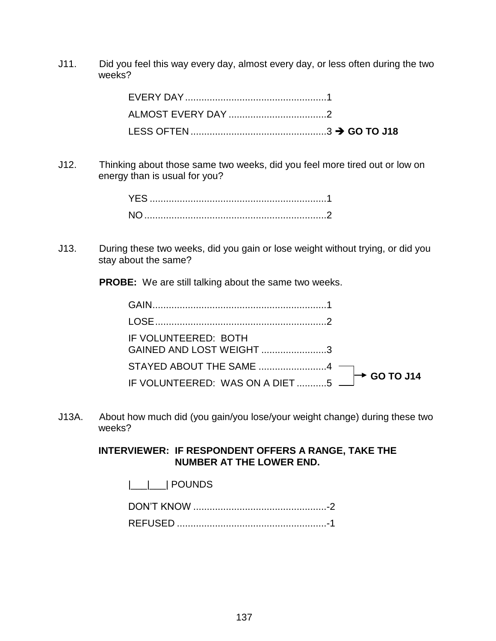J11. Did you feel this way every day, almost every day, or less often during the two weeks?

J12. Thinking about those same two weeks, did you feel more tired out or low on energy than is usual for you?

J13. During these two weeks, did you gain or lose weight without trying, or did you stay about the same?

**PROBE:** We are still talking about the same two weeks.

| IF VOLUNTEERED: BOTH<br>GAINED AND LOST WEIGHT3 |  |
|-------------------------------------------------|--|
|                                                 |  |
|                                                 |  |

J13A. About how much did (you gain/you lose/your weight change) during these two weeks?

### **INTERVIEWER: IF RESPONDENT OFFERS A RANGE, TAKE THE NUMBER AT THE LOWER END.**

|\_\_\_|\_\_\_| POUNDS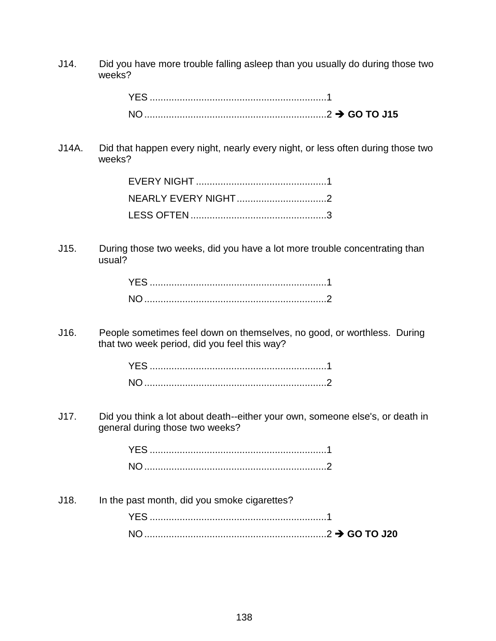J14. Did you have more trouble falling asleep than you usually do during those two weeks?

J14A. Did that happen every night, nearly every night, or less often during those two weeks?

J15. During those two weeks, did you have a lot more trouble concentrating than usual?

J16. People sometimes feel down on themselves, no good, or worthless. During that two week period, did you feel this way?

J17. Did you think a lot about death--either your own, someone else's, or death in general during those two weeks?

J18. In the past month, did you smoke cigarettes? YES .................................................................1 NO...................................................................2 **GO TO J20**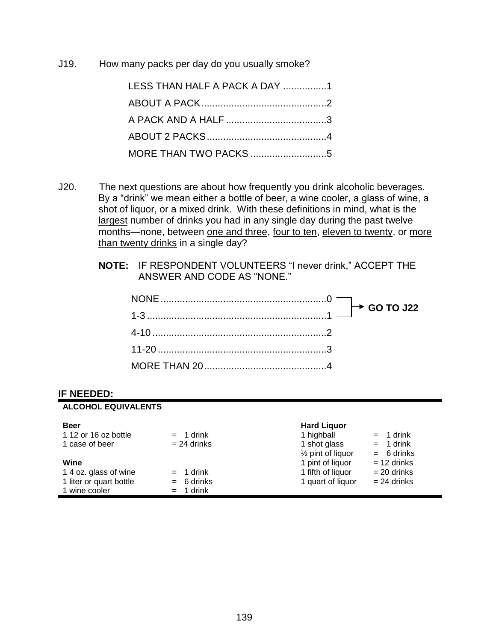J19. How many packs per day do you usually smoke?

| LESS THAN HALF A PACK A DAY 1 |
|-------------------------------|
|                               |
|                               |
|                               |
|                               |

- J20. The next questions are about how frequently you drink alcoholic beverages. By a "drink" we mean either a bottle of beer, a wine cooler, a glass of wine, a shot of liquor, or a mixed drink. With these definitions in mind, what is the largest number of drinks you had in any single day during the past twelve months—none, between one and three, four to ten, eleven to twenty, or more than twenty drinks in a single day?
	- **NOTE:** IF RESPONDENT VOLUNTEERS "I never drink," ACCEPT THE ANSWER AND CODE AS "NONE."

#### **IF NEEDED:**

| <b>ALCOHOL EQUIVALENTS</b> |                |                              |               |
|----------------------------|----------------|------------------------------|---------------|
| <b>Beer</b>                |                | <b>Hard Liquor</b>           |               |
| 1 12 or 16 oz bottle       | $= 1$ drink    | 1 highball                   | $= 1$ drink   |
| 1 case of beer             | $= 24$ drinks  | 1 shot glass                 | $= 1$ drink   |
|                            |                | $\frac{1}{2}$ pint of liquor | $= 6$ drinks  |
| Wine                       |                | 1 pint of liquor             | $= 12$ drinks |
| 1 4 oz. glass of wine      | $= 1$ drink    | 1 fifth of liquor            | $= 20$ drinks |
| 1 liter or quart bottle    | $= 6$ drinks   | 1 quart of liquor            | $= 24$ drinks |
| 1 wine cooler              | 1 drink<br>$=$ |                              |               |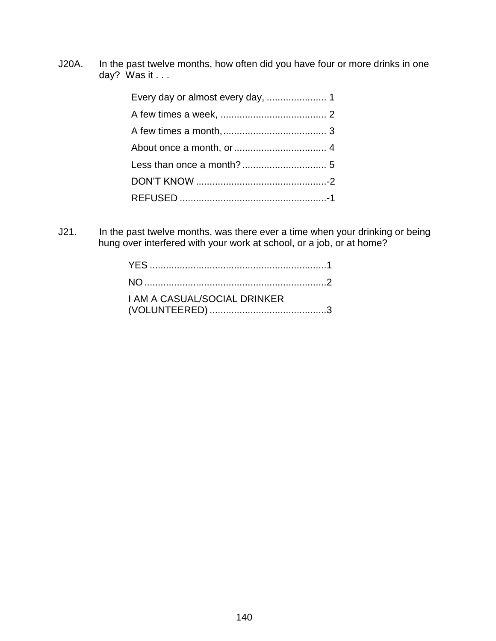J20A. In the past twelve months, how often did you have four or more drinks in one day? Was it . . .

J21. In the past twelve months, was there ever a time when your drinking or being hung over interfered with your work at school, or a job, or at home?

| <b>I AM A CASUAL/SOCIAL DRINKER</b> |  |
|-------------------------------------|--|
|                                     |  |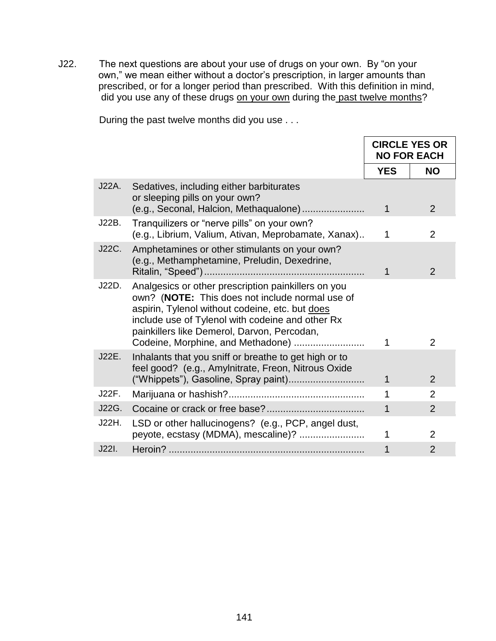J22. The next questions are about your use of drugs on your own. By "on your own," we mean either without a doctor's prescription, in larger amounts than prescribed, or for a longer period than prescribed. With this definition in mind, did you use any of these drugs on your own during the past twelve months?

| During the past twelve months did you use |  |
|-------------------------------------------|--|
|-------------------------------------------|--|

|       |                                                                                                                                                                                                                                                                                                   | <b>CIRCLE YES OR</b><br><b>NO FOR EACH</b> |                |
|-------|---------------------------------------------------------------------------------------------------------------------------------------------------------------------------------------------------------------------------------------------------------------------------------------------------|--------------------------------------------|----------------|
|       |                                                                                                                                                                                                                                                                                                   | <b>YES</b>                                 | <b>NO</b>      |
| J22A. | Sedatives, including either barbiturates<br>or sleeping pills on your own?<br>(e.g., Seconal, Halcion, Methaqualone)                                                                                                                                                                              | $\mathbf 1$                                | 2              |
| J22B. | Tranquilizers or "nerve pills" on your own?<br>(e.g., Librium, Valium, Ativan, Meprobamate, Xanax)                                                                                                                                                                                                | 1                                          | $\overline{2}$ |
| J22C. | Amphetamines or other stimulants on your own?<br>(e.g., Methamphetamine, Preludin, Dexedrine,                                                                                                                                                                                                     | 1                                          | 2              |
| J22D. | Analgesics or other prescription painkillers on you<br>own? (NOTE: This does not include normal use of<br>aspirin, Tylenol without codeine, etc. but does<br>include use of Tylenol with codeine and other Rx<br>painkillers like Demerol, Darvon, Percodan,<br>Codeine, Morphine, and Methadone) | 1                                          | $\overline{2}$ |
| J22E. | Inhalants that you sniff or breathe to get high or to<br>feel good? (e.g., Amylnitrate, Freon, Nitrous Oxide<br>("Whippets"), Gasoline, Spray paint)                                                                                                                                              | 1                                          | 2              |
| J22F. |                                                                                                                                                                                                                                                                                                   | 1                                          | $\overline{2}$ |
| J22G. |                                                                                                                                                                                                                                                                                                   | 1                                          | $\overline{2}$ |
| J22H. | LSD or other hallucinogens? (e.g., PCP, angel dust,<br>peyote, ecstasy (MDMA), mescaline)?                                                                                                                                                                                                        | 1                                          | $\overline{2}$ |
| J22I. |                                                                                                                                                                                                                                                                                                   | 1                                          | $\overline{2}$ |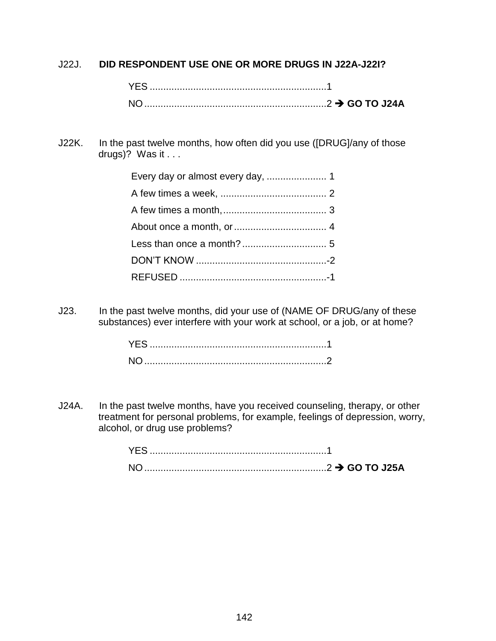J22J. **DID RESPONDENT USE ONE OR MORE DRUGS IN J22A-J22I?**

J22K. In the past twelve months, how often did you use ([DRUG]/any of those drugs)? Was it . . .

J23. In the past twelve months, did your use of (NAME OF DRUG/any of these substances) ever interfere with your work at school, or a job, or at home?

J24A. In the past twelve months, have you received counseling, therapy, or other treatment for personal problems, for example, feelings of depression, worry, alcohol, or drug use problems?

| YES.           |  |
|----------------|--|
| N <sub>O</sub> |  |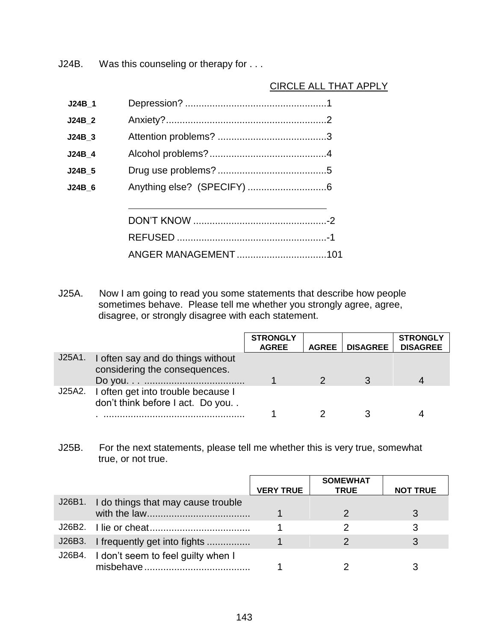J24B. Was this counseling or therapy for . . .

## CIRCLE ALL THAT APPLY

| ANGER MANAGEMENT 101 |
|----------------------|
|                      |

J25A. Now I am going to read you some statements that describe how people sometimes behave. Please tell me whether you strongly agree, agree, disagree, or strongly disagree with each statement.

|        |                                                                        | <b>STRONGLY</b><br><b>AGREE</b> | <b>AGREE</b> | <b>DISAGREE</b> | <b>STRONGLY</b><br><b>DISAGREE</b> |
|--------|------------------------------------------------------------------------|---------------------------------|--------------|-----------------|------------------------------------|
| J25A1. | I often say and do things without<br>considering the consequences.     |                                 |              |                 |                                    |
| J25A2. | I often get into trouble because I<br>don't think before I act. Do you |                                 |              |                 |                                    |

J25B. For the next statements, please tell me whether this is very true, somewhat true, or not true.

|                                           |                  | <b>SOMEWHAT</b> |                 |
|-------------------------------------------|------------------|-----------------|-----------------|
|                                           | <b>VERY TRUE</b> | <b>TRUE</b>     | <b>NOT TRUE</b> |
| J26B1. I do things that may cause trouble |                  |                 |                 |
|                                           |                  |                 |                 |
|                                           |                  |                 |                 |
| J26B3. I frequently get into fights       |                  |                 |                 |
| J26B4. I don't seem to feel guilty when I |                  |                 |                 |
|                                           |                  |                 |                 |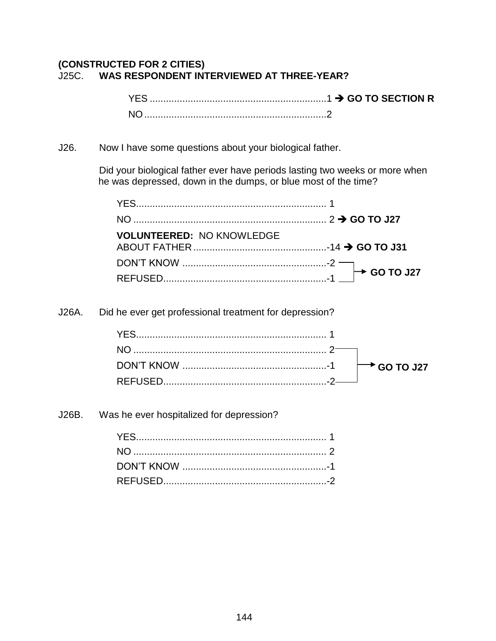## **(CONSTRUCTED FOR 2 CITIES)** J25C. **WAS RESPONDENT INTERVIEWED AT THREE-YEAR?**

J26. Now I have some questions about your biological father.

Did your biological father ever have periods lasting two weeks or more when he was depressed, down in the dumps, or blue most of the time?

| <b>VOLUNTEERED: NO KNOWLEDGE</b> |  |
|----------------------------------|--|
|                                  |  |
|                                  |  |

J26A. Did he ever get professional treatment for depression?

J26B. Was he ever hospitalized for depression?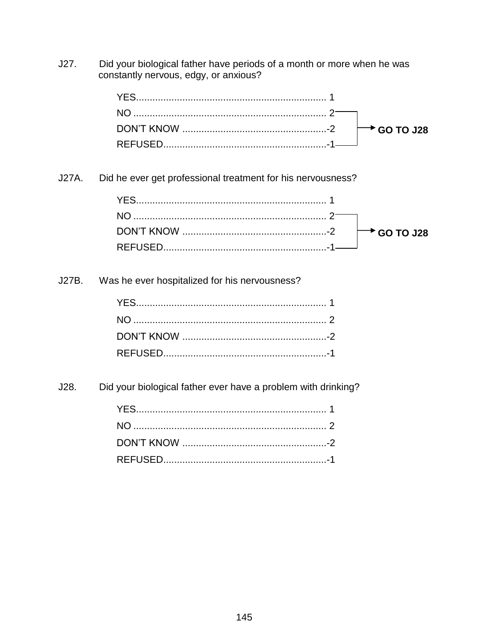Did your biological father have periods of a month or more when he was  $J27.$ constantly nervous, edgy, or anxious?

Did he ever get professional treatment for his nervousness? J27A.

J27B. Was he ever hospitalized for his nervousness?

 $J28.$ Did your biological father ever have a problem with drinking?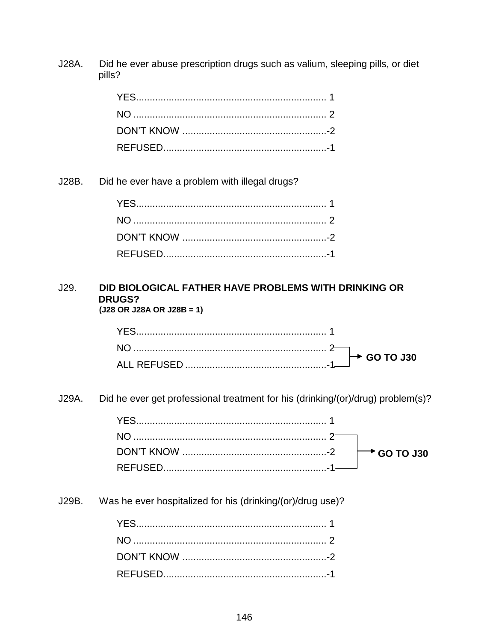Did he ever abuse prescription drugs such as valium, sleeping pills, or diet J28A. pills?

J28B. Did he ever have a problem with illegal drugs?

#### $J29.$ DID BIOLOGICAL FATHER HAVE PROBLEMS WITH DRINKING OR **DRUGS?**  $(J28 \t{OR} \t{J28A} \t{OR} \t{J28B} = 1)$

J29A. Did he ever get professional treatment for his (drinking/(or)/drug) problem(s)?

J29B. Was he ever hospitalized for his (drinking/(or)/drug use)?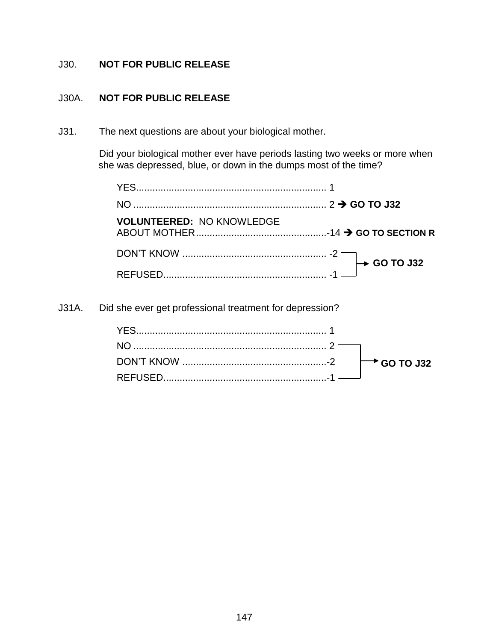## J30. **NOT FOR PUBLIC RELEASE**

### J30A. **NOT FOR PUBLIC RELEASE**

J31. The next questions are about your biological mother.

Did your biological mother ever have periods lasting two weeks or more when she was depressed, blue, or down in the dumps most of the time?

| <b>VOLUNTEERED: NO KNOWLEDGE</b> |  |
|----------------------------------|--|
|                                  |  |
|                                  |  |

J31A. Did she ever get professional treatment for depression?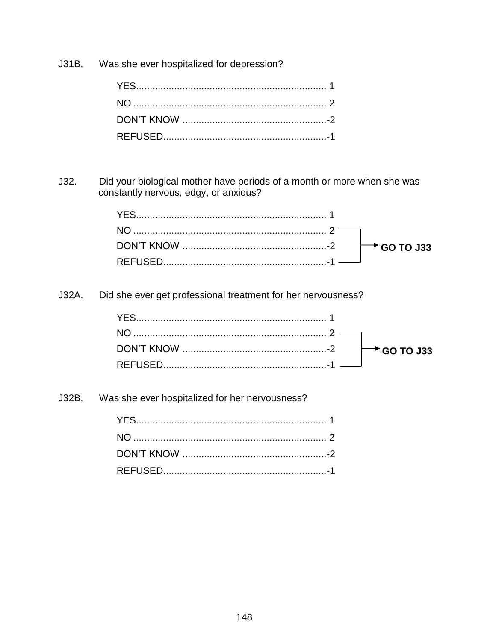Was she ever hospitalized for depression?  $J31B.$ 

Did your biological mother have periods of a month or more when she was  $J32.$ constantly nervous, edgy, or anxious?

Did she ever get professional treatment for her nervousness? J32A.

Was she ever hospitalized for her nervousness? J32B.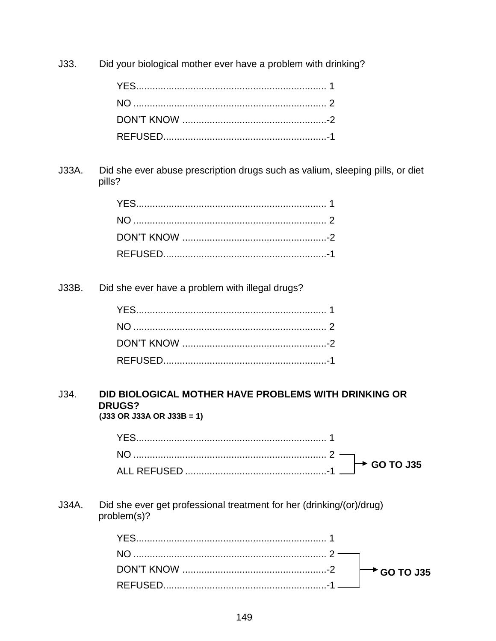Did your biological mother ever have a problem with drinking?  $J33.$ 

Did she ever abuse prescription drugs such as valium, sleeping pills, or diet  $J33A.$ pills?

 $J33B.$ Did she ever have a problem with illegal drugs?

#### $J34.$ DID BIOLOGICAL MOTHER HAVE PROBLEMS WITH DRINKING OR **DRUGS?**  $(J33 \t{OR} J33A \t{OR} J33B = 1)$

Did she ever get professional treatment for her (drinking/(or)/drug) J34A. problem(s)?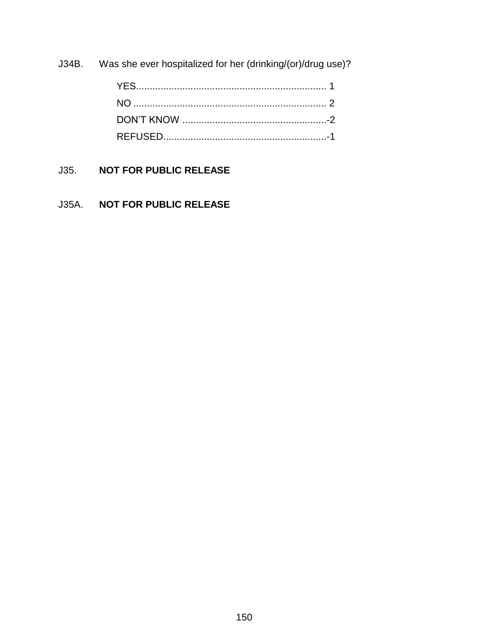J34B. Was she ever hospitalized for her (drinking/(or)/drug use)?

# J35. **NOT FOR PUBLIC RELEASE**

# J35A. **NOT FOR PUBLIC RELEASE**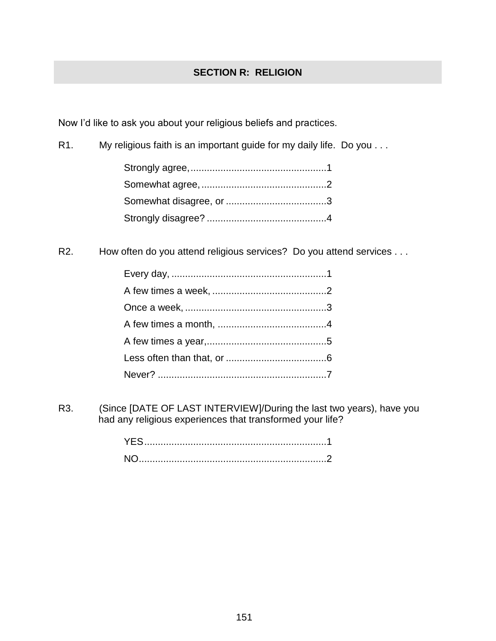## **SECTION R: RELIGION**

Now I'd like to ask you about your religious beliefs and practices.

R1. My religious faith is an important guide for my daily life. Do you . . .

R2. How often do you attend religious services? Do you attend services . . .

R3. (Since [DATE OF LAST INTERVIEW]/During the last two years), have you had any religious experiences that transformed your life?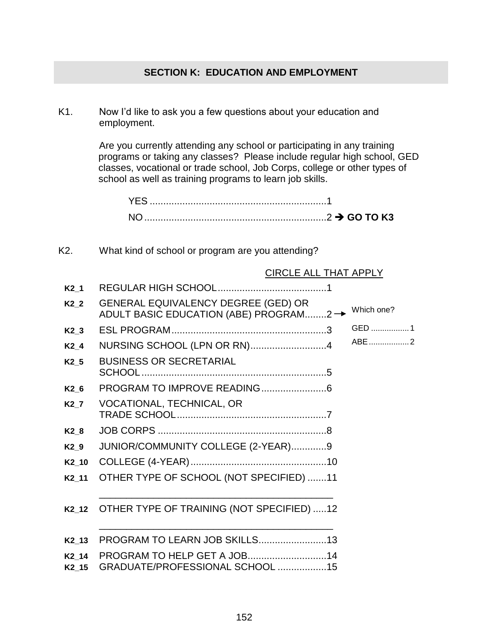## **SECTION K: EDUCATION AND EMPLOYMENT**

K1. Now I'd like to ask you a few questions about your education and employment.

> Are you currently attending any school or participating in any training programs or taking any classes? Please include regular high school, GED classes, vocational or trade school, Job Corps, college or other types of school as well as training programs to learn job skills.

YES .................................................................1 NO...................................................................2 **GO TO K3**

K2. What kind of school or program are you attending?

#### CIRCLE ALL THAT APPLY

| K2 1              |                                                                               |            |
|-------------------|-------------------------------------------------------------------------------|------------|
| $K2_2$            | GENERAL EQUIVALENCY DEGREE (GED) OR<br>ADULT BASIC EDUCATION (ABE) PROGRAM2 → | Which one? |
| K2 3              |                                                                               | GED 1      |
| $K2_4$            | NURSING SCHOOL (LPN OR RN)4                                                   | ABE 2      |
| K <sub>2</sub> 5  | <b>BUSINESS OR SECRETARIAL</b>                                                |            |
| K2 6              |                                                                               |            |
| K2 7              | VOCATIONAL, TECHNICAL, OR                                                     |            |
| K2 8              |                                                                               |            |
| K <sub>2</sub> 9  | JUNIOR/COMMUNITY COLLEGE (2-YEAR)9                                            |            |
| $K2_10$           |                                                                               |            |
| $K2_11$           | OTHER TYPE OF SCHOOL (NOT SPECIFIED) 11                                       |            |
|                   |                                                                               |            |
| K2 12             | OTHER TYPE OF TRAINING (NOT SPECIFIED) 12                                     |            |
|                   |                                                                               |            |
| K2 13             | PROGRAM TO LEARN JOB SKILLS13                                                 |            |
| K2 14             | PROGRAM TO HELP GET A JOB14                                                   |            |
| K <sub>2</sub> 15 | GRADUATE/PROFESSIONAL SCHOOL 15                                               |            |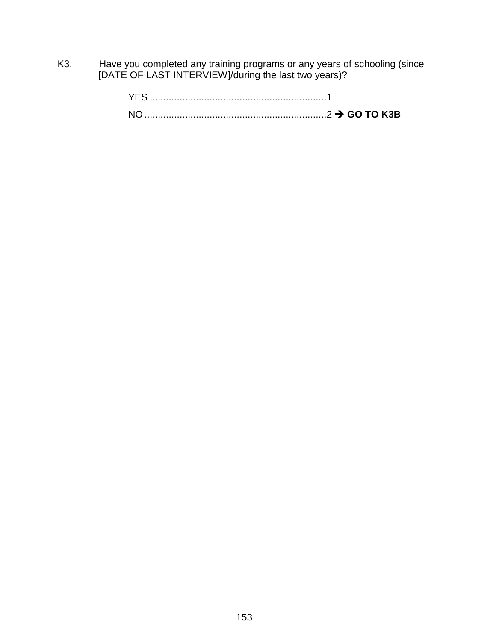K3. Have you completed any training programs or any years of schooling (since [DATE OF LAST INTERVIEW]/during the last two years)?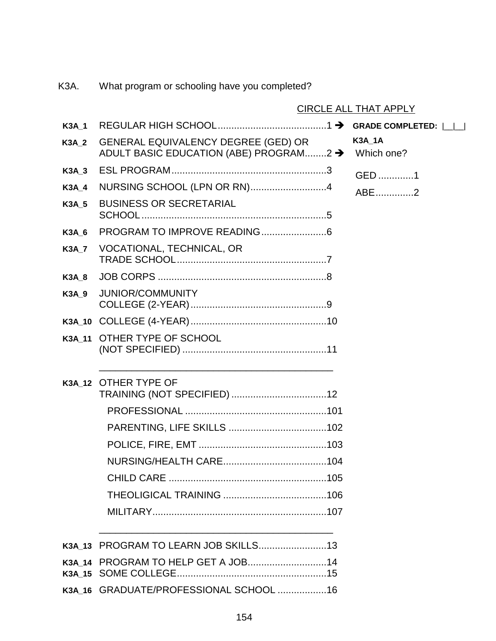|              |                                                                                      | <b>CIRCLE ALL THAT APPLY</b> |
|--------------|--------------------------------------------------------------------------------------|------------------------------|
| <b>K3A 1</b> |                                                                                      |                              |
| <b>K3A 2</b> | <b>GENERAL EQUIVALENCY DEGREE (GED) OR</b><br>ADULT BASIC EDUCATION (ABE) PROGRAM2 → | <b>K3A_1A</b><br>Which one?  |
| <b>K3A 3</b> |                                                                                      | GED 1                        |
| <b>K3A 4</b> | NURSING SCHOOL (LPN OR RN)4                                                          | ABE2                         |
| <b>K3A 5</b> | <b>BUSINESS OR SECRETARIAL</b>                                                       |                              |
| K3A 6        |                                                                                      |                              |
| <b>K3A 7</b> | VOCATIONAL, TECHNICAL, OR                                                            |                              |
| <b>K3A 8</b> |                                                                                      |                              |
| <b>K3A 9</b> | <b>JUNIOR/COMMUNITY</b>                                                              |                              |
|              |                                                                                      |                              |
|              | K3A 11 OTHER TYPE OF SCHOOL                                                          |                              |
|              |                                                                                      |                              |
|              | K3A_12 OTHER TYPE OF                                                                 |                              |
|              |                                                                                      |                              |
|              |                                                                                      |                              |
|              |                                                                                      |                              |
|              |                                                                                      |                              |
|              |                                                                                      |                              |
|              |                                                                                      |                              |
|              |                                                                                      |                              |
|              |                                                                                      |                              |
|              |                                                                                      |                              |
|              |                                                                                      |                              |
|              | K3A 16 GRADUATE/PROFESSIONAL SCHOOL 16                                               |                              |

K3A. What program or schooling have you completed?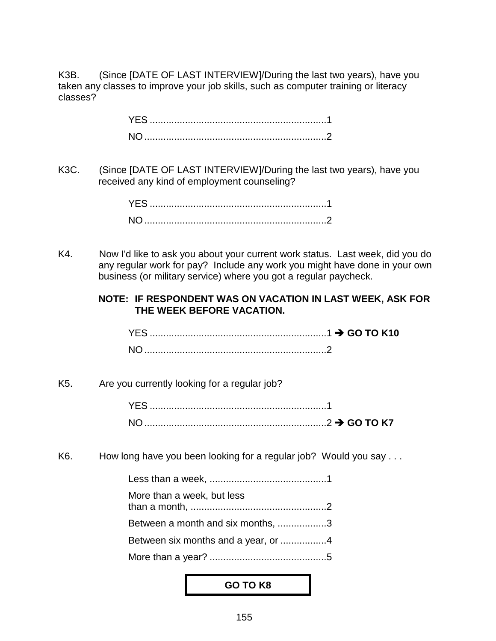K3B. (Since [DATE OF LAST INTERVIEW]/During the last two years), have you taken any classes to improve your job skills, such as computer training or literacy classes?

> YES .................................................................1 NO...................................................................2

K3C. (Since [DATE OF LAST INTERVIEW]/During the last two years), have you received any kind of employment counseling?

K4. Now I'd like to ask you about your current work status. Last week, did you do any regular work for pay? Include any work you might have done in your own business (or military service) where you got a regular paycheck.

#### **NOTE: IF RESPONDENT WAS ON VACATION IN LAST WEEK, ASK FOR THE WEEK BEFORE VACATION.**

| NO. |  |
|-----|--|

#### K5. Are you currently looking for a regular job?

K6. How long have you been looking for a regular job? Would you say ...

| More than a week, but less          |  |
|-------------------------------------|--|
| Between a month and six months, 3   |  |
| Between six months and a year, or 4 |  |
|                                     |  |

#### **GO TO K8**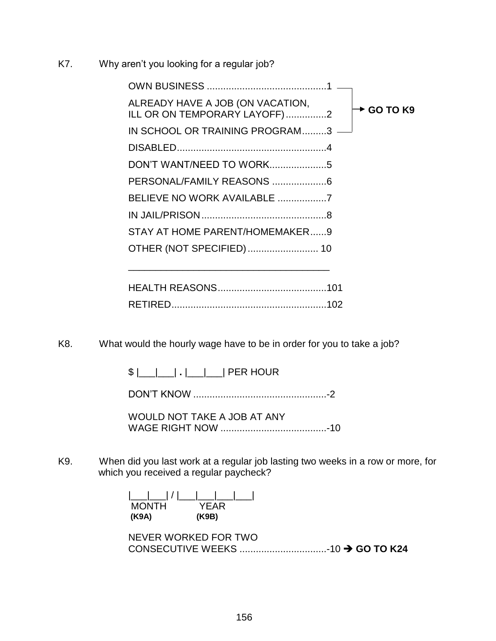K7. Why aren't you looking for a regular job?

| ALREADY HAVE A JOB (ON VACATION,<br>ILL OR ON TEMPORARY LAYOFF)2 | $\div$ GO TO K9 |
|------------------------------------------------------------------|-----------------|
| IN SCHOOL OR TRAINING PROGRAM3 -                                 |                 |
|                                                                  |                 |
|                                                                  |                 |
|                                                                  |                 |
|                                                                  |                 |
|                                                                  |                 |
| STAY AT HOME PARENT/HOMEMAKER9                                   |                 |
| OTHER (NOT SPECIFIED)  10                                        |                 |
|                                                                  |                 |

\_\_\_\_\_\_\_\_\_\_\_\_\_\_\_\_\_\_\_\_\_\_\_\_\_\_\_\_\_\_\_\_\_\_\_\_\_

K8. What would the hourly wage have to be in order for you to take a job?

\$ |\_\_\_|\_\_\_| **.** |\_\_\_|\_\_\_| PER HOUR

DON'T KNOW .................................................-2

WOULD NOT TAKE A JOB AT ANY WAGE RIGHT NOW .......................................-10

K9. When did you last work at a regular job lasting two weeks in a row or more, for which you received a regular paycheck?

| <b>MONTH</b> | YFAR  |
|--------------|-------|
| (K9A)        | (K9B) |

| NEVER WORKED FOR TWO |  |  |
|----------------------|--|--|
|                      |  |  |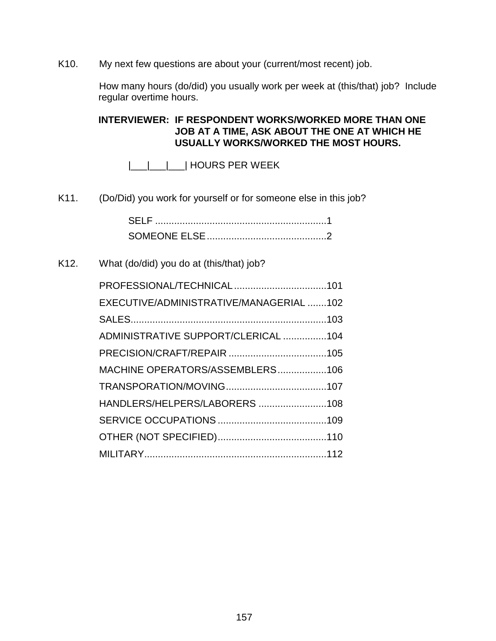K10. My next few questions are about your (current/most recent) job.

How many hours (do/did) you usually work per week at (this/that) job? Include regular overtime hours.

**INTERVIEWER: IF RESPONDENT WORKS/WORKED MORE THAN ONE JOB AT A TIME, ASK ABOUT THE ONE AT WHICH HE USUALLY WORKS/WORKED THE MOST HOURS.**

|\_\_\_|\_\_\_|\_\_\_| HOURS PER WEEK

K11. (Do/Did) you work for yourself or for someone else in this job?

| -SELE |  |
|-------|--|
|       |  |

### K12. What (do/did) you do at (this/that) job?

| PROFESSIONAL/TECHNICAL101               |  |
|-----------------------------------------|--|
| EXECUTIVE/ADMINISTRATIVE/MANAGERIAL 102 |  |
|                                         |  |
| ADMINISTRATIVE SUPPORT/CLERICAL 104     |  |
|                                         |  |
| MACHINE OPERATORS/ASSEMBLERS106         |  |
|                                         |  |
| HANDLERS/HELPERS/LABORERS 108           |  |
|                                         |  |
|                                         |  |
|                                         |  |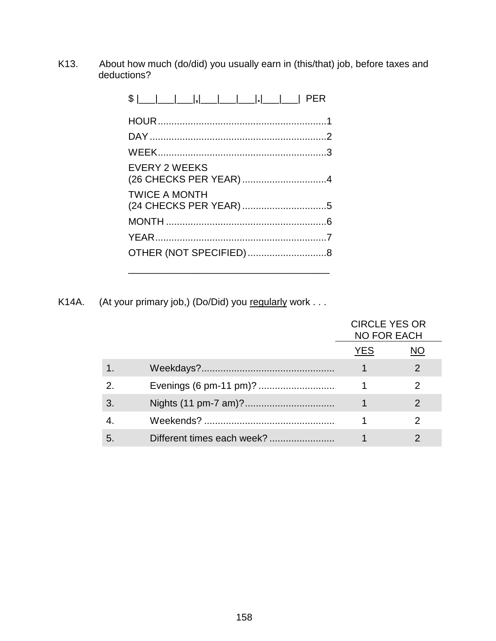K13. About how much (do/did) you usually earn in (this/that) job, before taxes and deductions?

| <b>EVERY 2 WEEKS</b> |  |
|----------------------|--|
| <b>TWICE A MONTH</b> |  |
|                      |  |
|                      |  |
|                      |  |
|                      |  |

K14A. (At your primary job,) (Do/Did) you regularly work . . .

|   |                            | <b>CIRCLE YES OR</b><br><b>NO FOR EACH</b> |               |
|---|----------------------------|--------------------------------------------|---------------|
|   |                            | YES.                                       |               |
|   |                            |                                            | $\mathcal{P}$ |
|   |                            |                                            |               |
|   |                            |                                            | 2             |
|   |                            |                                            |               |
| 5 | Different times each week? |                                            |               |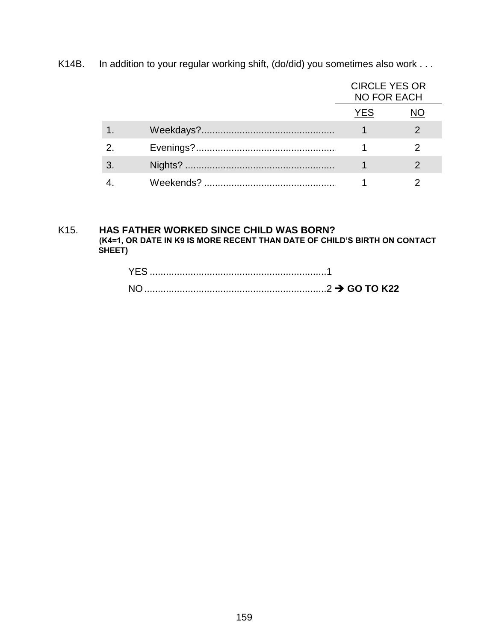K14B. In addition to your regular working shift, (do/did) you sometimes also work . . .

|  | <b>CIRCLE YES OR</b><br><b>NO FOR EACH</b> |  |
|--|--------------------------------------------|--|
|  | YES.                                       |  |
|  |                                            |  |
|  |                                            |  |
|  |                                            |  |
|  |                                            |  |

#### K15. HAS FATHER WORKED SINCE CHILD WAS BORN? (K4=1, OR DATE IN K9 IS MORE RECENT THAN DATE OF CHILD'S BIRTH ON CONTACT SHEET)

| YES.           |  |
|----------------|--|
| N <sub>O</sub> |  |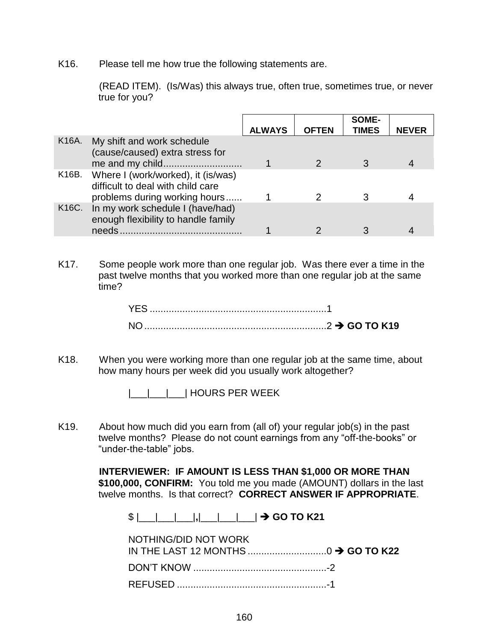K16. Please tell me how true the following statements are.

(READ ITEM). (Is/Was) this always true, often true, sometimes true, or never true for you?

|       |                                                                         |               |              | SOME-        |              |
|-------|-------------------------------------------------------------------------|---------------|--------------|--------------|--------------|
|       |                                                                         | <b>ALWAYS</b> | <b>OFTEN</b> | <b>TIMES</b> | <b>NEVER</b> |
| K16A. | My shift and work schedule<br>(cause/caused) extra stress for           |               |              |              |              |
| K16B. | Where I (work/worked), it (is/was)<br>difficult to deal with child care |               |              |              |              |
|       | problems during working hours                                           |               |              |              |              |
| K16C. | In my work schedule I (have/had)<br>enough flexibility to handle family |               |              |              |              |
|       | needs                                                                   |               |              |              |              |

K17. Some people work more than one regular job. Was there ever a time in the past twelve months that you worked more than one regular job at the same time?

K18. When you were working more than one regular job at the same time, about how many hours per week did you usually work altogether?

|\_\_\_|\_\_\_|\_\_\_| HOURS PER WEEK

K19. About how much did you earn from (all of) your regular job(s) in the past twelve months? Please do not count earnings from any "off-the-books" or "under-the-table" jobs.

> **INTERVIEWER: IF AMOUNT IS LESS THAN \$1,000 OR MORE THAN \$100,000, CONFIRM:** You told me you made (AMOUNT) dollars in the last twelve months. Is that correct? **CORRECT ANSWER IF APPROPRIATE**.

\$ |\_\_\_|\_\_\_|\_\_\_|**,**|\_\_\_|\_\_\_|\_\_\_| **GO TO K21**

| NOTHING/DID NOT WORK |  |
|----------------------|--|
|                      |  |
|                      |  |
|                      |  |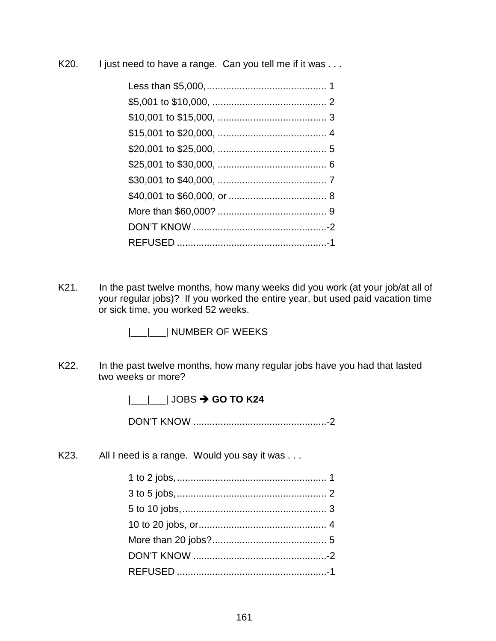K20. I just need to have a range. Can you tell me if it was . . .

K21. In the past twelve months, how many weeks did you work (at your job/at all of your regular jobs)? If you worked the entire year, but used paid vacation time or sick time, you worked 52 weeks.

|\_\_|\_\_| NUMBER OF WEEKS

K22. In the past twelve months, how many regular jobs have you had that lasted two weeks or more?

|\_\_\_|\_\_\_| JOBS  $\rightarrow$  **GO TO K24** 

DON'T KNOW .................................................-2

K23. All I need is a range. Would you say it was . . .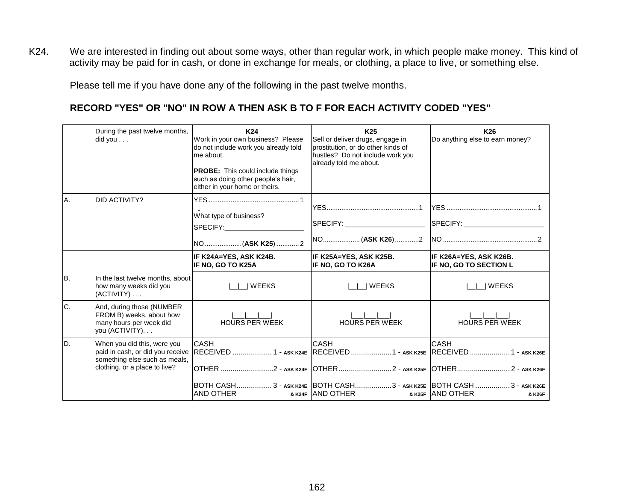K24. We are interested in finding out about some ways, other than regular work, in which people make money. This kind of activity may be paid for in cash, or done in exchange for meals, or clothing, a place to live, or something else.

Please tell me if you have done any of the following in the past twelve months.

# **RECORD "YES" OR "NO" IN ROW A THEN ASK B TO F FOR EACH ACTIVITY CODED "YES"**

|     | During the past twelve months,<br>did you                                                           | K24<br>Work in your own business? Please<br>do not include work you already told<br>me about.<br><b>PROBE:</b> This could include things<br>such as doing other people's hair,<br>either in your home or theirs. | K <sub>25</sub><br>Sell or deliver drugs, engage in<br>prostitution, or do other kinds of<br>hustles? Do not include work you<br>already told me about. | K <sub>26</sub><br>Do anything else to earn money? |
|-----|-----------------------------------------------------------------------------------------------------|------------------------------------------------------------------------------------------------------------------------------------------------------------------------------------------------------------------|---------------------------------------------------------------------------------------------------------------------------------------------------------|----------------------------------------------------|
| Α.  | DID ACTIVITY?                                                                                       | What type of business?<br>SPECIFY: New York SPECIFY:                                                                                                                                                             | SPECIFY: _______________________                                                                                                                        |                                                    |
|     |                                                                                                     | IF K24A=YES, ASK K24B.<br>IF NO, GO TO K25A                                                                                                                                                                      | IF K25A=YES, ASK K25B.<br>IF NO. GO TO K26A                                                                                                             | IF K26A=YES, ASK K26B.<br>IF NO, GO TO SECTION L   |
| IB. | In the last twelve months, about<br>how many weeks did you<br>$(ACTIVITY) \ldots$                   | <b>WEEKS</b>                                                                                                                                                                                                     | <b>WEEKS</b>                                                                                                                                            | <b>IWEEKS</b>                                      |
| C.  | And, during those (NUMBER<br>FROM B) weeks, about how<br>many hours per week did<br>you (ACTIVITY). | <b>HOURS PER WEEK</b>                                                                                                                                                                                            | <b>HOURS PER WEEK</b>                                                                                                                                   | <b>HOURS PER WEEK</b>                              |
| ID. | When you did this, were you<br>something else such as meals,<br>clothing, or a place to live?       | <b>CASH</b><br>paid in cash, or did you receive RECEIVED  1 - ASK K24E RECEIVED  1 - ASK K25E RECEIVED  1 - ASK K26E                                                                                             | <b>CASH</b>                                                                                                                                             | <b>CASH</b>                                        |
|     |                                                                                                     | AND OTHER                                                                                                                                                                                                        | BOTH CASH 3 - ask k24E BOTH CASH3 - ask k25E BOTH CASH  3 - ask k26E<br>& K24F AND OTHER                                                                | & K25F AND OTHER<br>& K26F                         |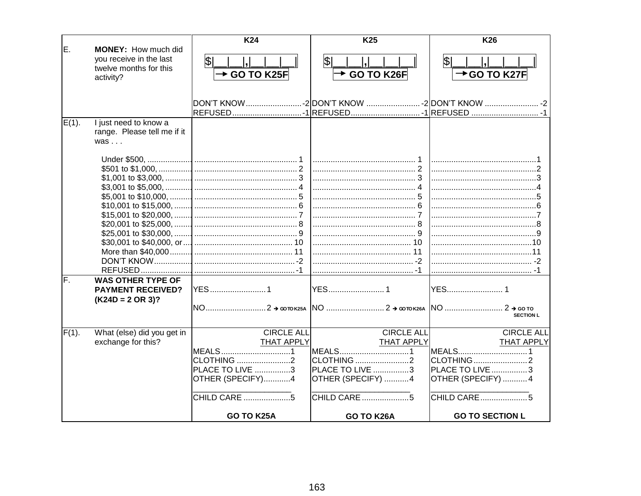|          |                             | K24                    | K <sub>25</sub>        | <b>K26</b>                                                           |
|----------|-----------------------------|------------------------|------------------------|----------------------------------------------------------------------|
| E.       | MONEY: How much did         |                        |                        |                                                                      |
|          | you receive in the last     | \$                     | \$                     | \$                                                                   |
|          | twelve months for this      | <b>→ GO TO K25F</b>    | GO TO K26F             | $\rightarrow$ GO TO K27F                                             |
|          | activity?                   |                        |                        |                                                                      |
|          |                             |                        |                        |                                                                      |
|          |                             |                        |                        | DON'T KNOW………………………-2 DON'T KNOW ……………………--2 DON'T KNOW ……………………--2- |
|          |                             |                        |                        | REFUSED1 REFUSED -1 REFUSED  -1                                      |
| $E(1)$ . | I just need to know a       |                        |                        |                                                                      |
|          | range. Please tell me if it |                        |                        |                                                                      |
|          | $was \dots$                 |                        |                        |                                                                      |
|          |                             |                        |                        |                                                                      |
|          |                             |                        |                        |                                                                      |
|          |                             |                        |                        |                                                                      |
|          |                             |                        |                        |                                                                      |
|          |                             |                        |                        |                                                                      |
|          |                             |                        |                        |                                                                      |
|          |                             |                        |                        |                                                                      |
|          |                             |                        |                        |                                                                      |
|          |                             |                        |                        |                                                                      |
|          |                             |                        |                        |                                                                      |
|          |                             |                        |                        |                                                                      |
|          |                             |                        |                        |                                                                      |
|          |                             |                        |                        |                                                                      |
| F.       | <b>WAS OTHER TYPE OF</b>    |                        |                        |                                                                      |
|          | <b>PAYMENT RECEIVED?</b>    | <b>YES</b> 1           |                        |                                                                      |
|          | $(K24D = 2 \text{ OR } 3)?$ |                        |                        |                                                                      |
|          |                             |                        |                        | <b>SECTION L</b>                                                     |
|          |                             |                        |                        |                                                                      |
| $F(1)$ . | What (else) did you get in  | <b>CIRCLE ALL</b>      | <b>CIRCLE ALL</b>      | <b>CIRCLE ALL</b>                                                    |
|          | exchange for this?          | <b>THAT APPLY</b>      | <b>THAT APPLY</b>      | <b>THAT APPLY</b>                                                    |
|          |                             | MEALS1                 | MEALS1                 | MEALS1                                                               |
|          |                             | <b>CLOTHING</b> 2      | <b>CLOTHING</b> 2      |                                                                      |
|          |                             | <b>PLACE TO LIVE 3</b> | <b>PLACE TO LIVE 3</b> | <b>PLACE TO LIVE 3</b>                                               |
|          |                             | OTHER (SPECIFY)4       | OTHER (SPECIFY) 4      | OTHER (SPECIFY) 4                                                    |
|          |                             |                        | CHILD CARE 5           | CHILD CARE                                                           |
|          |                             | GO TO K25A             | GO TO K26A             | <b>GO TO SECTION L</b>                                               |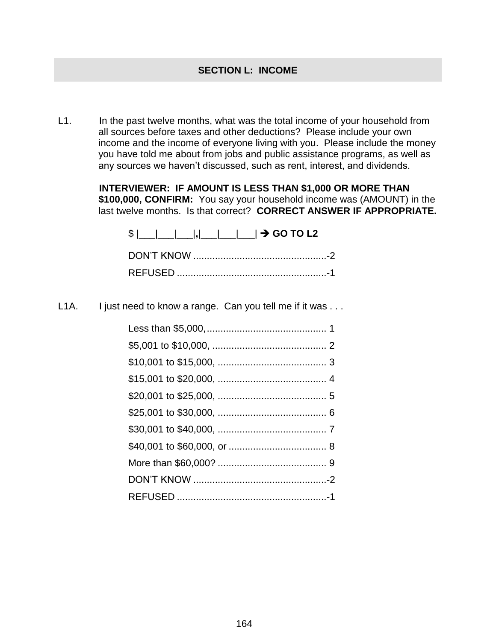L1. In the past twelve months, what was the total income of your household from all sources before taxes and other deductions? Please include your own income and the income of everyone living with you. Please include the money you have told me about from jobs and public assistance programs, as well as any sources we haven't discussed, such as rent, interest, and dividends.

> **INTERVIEWER: IF AMOUNT IS LESS THAN \$1,000 OR MORE THAN \$100,000, CONFIRM:** You say your household income was (AMOUNT) in the last twelve months. Is that correct? **CORRECT ANSWER IF APPROPRIATE.**

| $\frac{1}{2}$ $\frac{1}{2}$ $\frac{1}{2}$ $\frac{1}{2}$ $\frac{1}{2}$ $\frac{1}{2}$ GO TO L2 |  |
|----------------------------------------------------------------------------------------------|--|
|                                                                                              |  |
|                                                                                              |  |

L1A. I just need to know a range. Can you tell me if it was . . .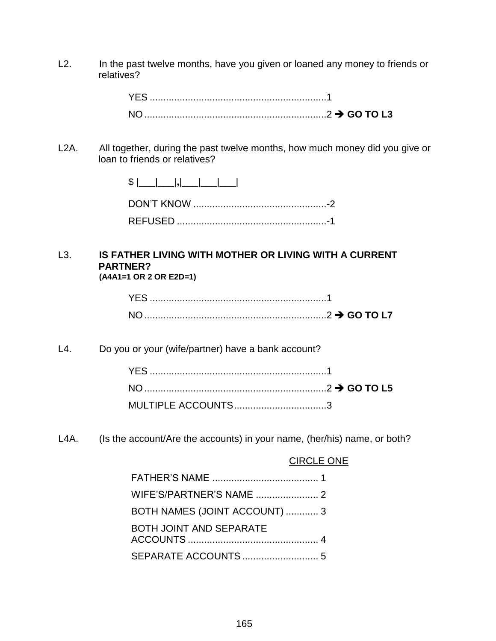L2. In the past twelve months, have you given or loaned any money to friends or relatives?

| YES. |  |
|------|--|
|      |  |

L2A. All together, during the past twelve months, how much money did you give or loan to friends or relatives?

#### L3. **IS FATHER LIVING WITH MOTHER OR LIVING WITH A CURRENT PARTNER? (A4A1=1 OR 2 OR E2D=1)**

L4. Do you or your (wife/partner) have a bank account?

| MULTIPLE ACCOUNTS3 |  |
|--------------------|--|

L4A. (Is the account/Are the accounts) in your name, (her/his) name, or both?

#### CIRCLE ONE

| BOTH NAMES (JOINT ACCOUNT)  3 |
|-------------------------------|
| BOTH JOINT AND SEPARATE       |
|                               |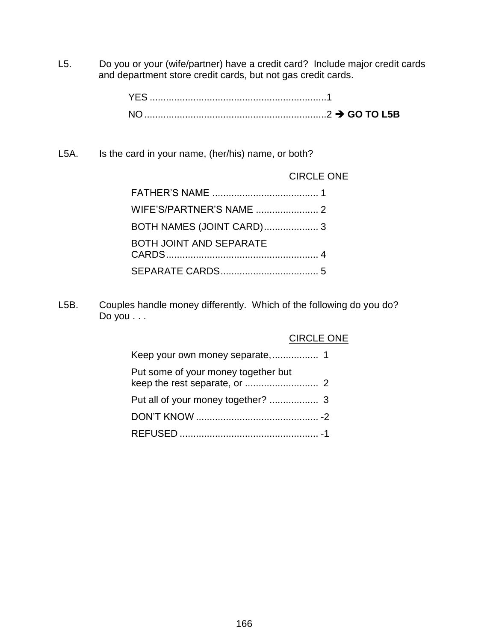L5. Do you or your (wife/partner) have a credit card? Include major credit cards and department store credit cards, but not gas credit cards.

L5A. Is the card in your name, (her/his) name, or both?

#### CIRCLE ONE

| <b>BOTH JOINT AND SEPARATE</b> |  |
|--------------------------------|--|
|                                |  |

L5B. Couples handle money differently. Which of the following do you do? Do you . . .

#### CIRCLE ONE

| Put some of your money together but |  |
|-------------------------------------|--|
|                                     |  |
|                                     |  |
|                                     |  |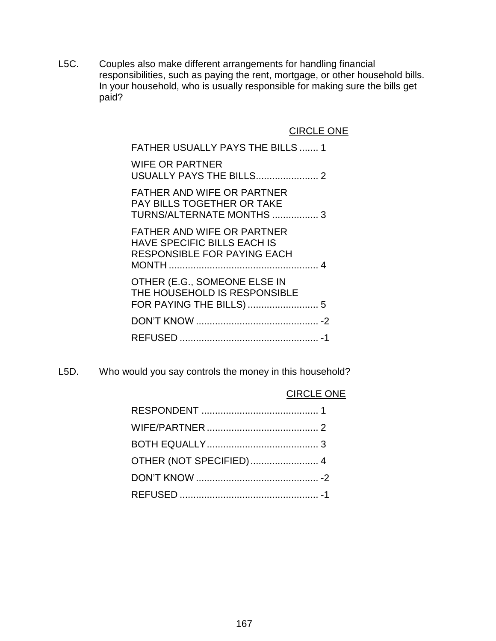L5C. Couples also make different arrangements for handling financial responsibilities, such as paying the rent, mortgage, or other household bills. In your household, who is usually responsible for making sure the bills get paid?

CIRCLE ONE

| <b>FATHER USUALLY PAYS THE BILLS  1</b>                                                                       |
|---------------------------------------------------------------------------------------------------------------|
| <b>WIFE OR PARTNER</b>                                                                                        |
| <b>FATHER AND WIFE OR PARTNER</b><br><b>PAY BILLS TOGETHER OR TAKE</b><br>TURNS/ALTERNATE MONTHS  3           |
| <b>FATHER AND WIFE OR PARTNER</b><br><b>HAVE SPECIFIC BILLS EACH IS</b><br><b>RESPONSIBLE FOR PAYING EACH</b> |
| OTHER (E.G., SOMEONE ELSE IN<br>THE HOUSEHOLD IS RESPONSIBLE                                                  |
|                                                                                                               |
|                                                                                                               |

L5D. Who would you say controls the money in this household?

### CIRCLE ONE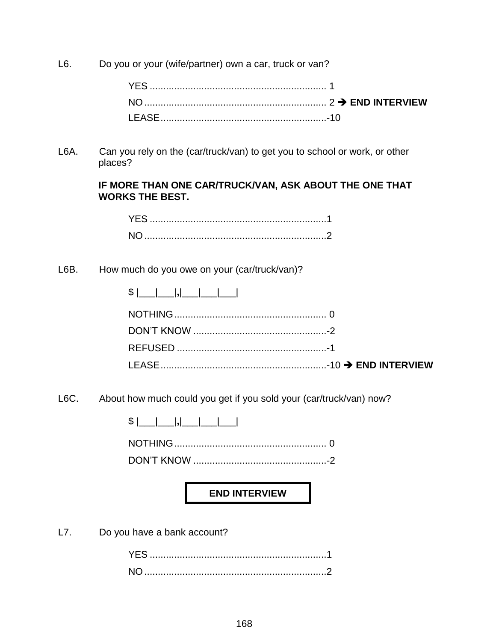L6. Do you or your (wife/partner) own a car, truck or van?

L6A. Can you rely on the (car/truck/van) to get you to school or work, or other places?

#### **IF MORE THAN ONE CAR/TRUCK/VAN, ASK ABOUT THE ONE THAT WORKS THE BEST.**

## L6B. How much do you owe on your (car/truck/van)?

| ጦ<br>J. |  |  |  |  |
|---------|--|--|--|--|
|---------|--|--|--|--|

L6C. About how much could you get if you sold your (car/truck/van) now?

\$ |\_\_\_|\_\_\_|**,**|\_\_\_|\_\_\_|\_\_\_|

NOTHING........................................................ 0

DON'T KNOW .................................................-2

**END INTERVIEW**

L7. Do you have a bank account?